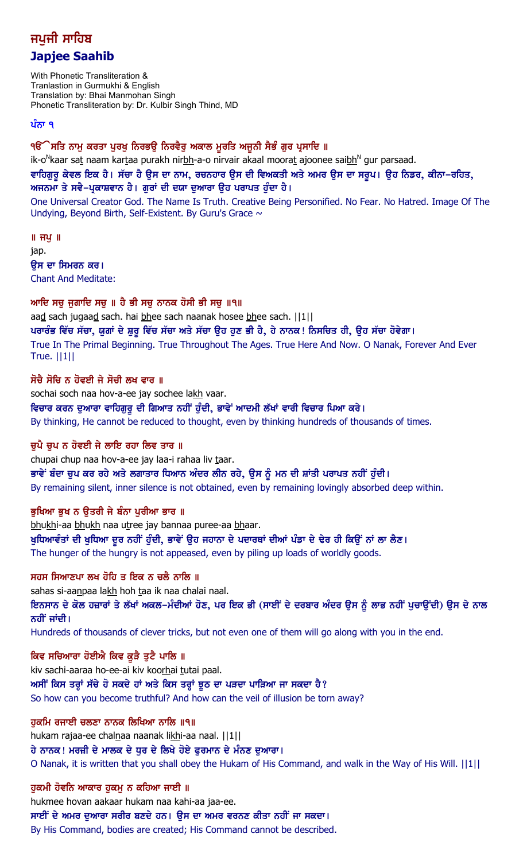# ਜਪਜੀ ਸਾਹਿਬ **Japjee Saahib**

With Phonetic Transliteration & Tranlastion in Gurmukhi & English Translation by: Bhai Manmohan Singh Phonetic Transliteration by: Dr. Kulbir Singh Thind, MD

### ਪੰਨਾ ੧

੧ੳੱੇਸਤਿ ਨਾਮੂ ਕਰਤਾ ਪੂਰਖੂ ਨਿਰਭਉ ਨਿਰਵੈਰੂ ਅਕਾਲ ਮੁਰਤਿ ਅਜੂਨੀ ਸੈਭੰ ਗੁਰ ਪ੍ਰਸਾਦਿ ॥

ik-o<sup>N</sup>kaar sat naam kartaa purakh nir<u>bh</u>-a-o nirvair akaal moorat ajoonee sai<u>bh</u><sup>N</sup> gur parsaad.

ਵਾਹਿਗੁਰੂ ਕੇਵਲ ਇਕ ਹੈ। ਸੱਚਾ ਹੈ ਉਸ ਦਾ ਨਾਮ, ਰਚਨਹਾਰ ਉਸ ਦੀ ਵਿਅਕਤੀ ਅਤੇ ਅਮਰ ਉਸ ਦਾ ਸਰੂਪ। ਉਹ ਨਿਡਰ, ਕੀਨਾ–ਰਹਿਤ, ਅਜਨਮਾ ਤੇ ਸਵੈ-ਪ੍ਰਕਾਸ਼ਵਾਨ ਹੈ। ਗੁਰਾਂ ਦੀ ਦਯਾ ਦੁਆਰਾ ਉਹ ਪਰਾਪਤ ਹੁੰਦਾ ਹੈ।

One Universal Creator God. The Name Is Truth. Creative Being Personified. No Fear. No Hatred. Image Of The Undying, Beyond Birth, Self-Existent. By Guru's Grace  $\sim$ 

 $\parallel$  ਜ $\frac{1}{2}$   $\parallel$ jap. ਉਸ ਦਾ ਸਿਮਰਨ ਕਰ। Chant And Meditate:

ਆਦਿ ਸਚੁ ਜੁਗਾਦਿ ਸਚੁ ॥ ਹੈ ਭੀ ਸਚੁ ਨਾਨਕ ਹੋਸੀ ਭੀ ਸਚੁ ॥੧॥

aad sach jugaad sach. hai bhee sach naanak hosee bhee sach. ||1|| ਪਰਾਰੰਭ ਵਿੱਚ ਸੱਚਾ, ਯੁਗਾਂ ਦੇ ਸ਼ੁਰੂ ਵਿੱਚ ਸੱਚਾ ਅਤੇ ਸੱਚਾ ਉਹ ਹੁਣ ਭੀ ਹੈ, ਹੇ ਨਾਨਕ! ਨਿਸਚਿਤ ਹੀ, ਉਹ ਸੱਚਾ ਹੋਵੇਗਾ। True In The Primal Beginning. True Throughout The Ages. True Here And Now. O Nanak, Forever And Ever True. ||1||

## ਸੋਚੈ ਸੋਚਿ ਨ ਹੋਵਈ ਜੇ ਸੋਚੀ ਲਖ ਵਾਰ ॥

sochai soch naa hov-a-ee jay sochee lakh vaar.

ਵਿਚਾਰ ਕਰਨ ਦੁਆਰਾ ਵਾਹਿਗੁਰੂ ਦੀ ਗਿਆਤ ਨਹੀਂ ਹੁੰਦੀ, ਭਾਵੇਂ ਆਦਮੀ ਲੱਖਾਂ ਵਾਰੀ ਵਿਚਾਰ ਪਿਆ ਕਰੇ।

By thinking, He cannot be reduced to thought, even by thinking hundreds of thousands of times.

## ਚਪੈ ਚਪ ਨ ਹੋਵਈ ਜੇ ਲਾਇ ਰਹਾ ਲਿਵ ਤਾਰ ॥

chupai chup naa hov-a-ee jay laa-i rahaa liv taar.

ਭਾਵੇਂ ਬੰਦਾ ਚੁਪ ਕਰ ਰਹੇ ਅਤੇ ਲਗਾਤਾਰ ਧਿਆਨ ਅੰਦਰ ਲੀਨ ਰਹੇ, ਉਸ ਨੂੰ ਮਨ ਦੀ ਸ਼ਾਂਤੀ ਪਰਾਪਤ ਨਹੀਂ ਹੁੰਦੀ। By remaining silent, inner silence is not obtained, even by remaining lovingly absorbed deep within.

## ਭਖਿਆ ਭਖ ਨ ੳਤਰੀ ਜੇ ਬੰਨਾ ਪਰੀਆ ਭਾਰ ॥

bhukhi-aa bhukh naa utree jay bannaa puree-aa bhaar. ਖੁਧਿਆਵੰਤਾਂ ਦੀ ਖੁਧਿਆ ਦੂਰ ਨਹੀਂ ਹੁੰਦੀ, ਭਾਵੇਂ ਉਹ ਜਹਾਨਾ ਦੇ ਪਦਾਰਥਾਂ ਦੀਆਂ ਪੰਡਾ ਦੇ ਢੇਰ ਹੀ ਕਿਉਂ ਨਾਂ ਲਾ ਲੈਣ। The hunger of the hungry is not appeased, even by piling up loads of worldly goods.

## ਸਹਸ ਸਿਆਣਪਾ ਲਖ ਹੋਹਿ ਤ ਇਕ ਨ ਚਲੈ ਨਾਲਿ ॥

sahas si-aanpaa lakh hoh taa ik naa chalai naal.

ieਿਨਸਾਨ ਦੇ ਕੋਲ ਹਜ਼ਾਰਾਂ ਤੇ ਲੱਖਾਂ ਅਕਲ–ਮੰਦੀਆਂ ਹੋਣ, ਪਰ ਇਕ ਭੀ (ਸਾਈਂ ਦੇ ਦਰਬਾਰ ਅੰਦਰ ਉਸ ਨੂੰ ਲਾਭ ਨਹੀਂ ਪੁਚਾਉਂਦੀ) ਉਸ ਦੇ ਨਾਲ ਨਹੀਂ ਜਾਂਦੀ।

Hundreds of thousands of clever tricks, but not even one of them will go along with you in the end.

## ਕਿਵ ਸਚਿਆਰਾ ਹੋਈਐ ਕਿਵ ਕੁੜੈ ਤੁਟੈ ਪਾਲਿ ॥

kiv sachi-aaraa ho-ee-ai kiv koorhai tutai paal. ਅਸੀਂ ਕਿਸ ਤਰ੍ਹਾਂ ਸੱਚੇ ਹੋ ਸਕਦੇ ਹਾਂ ਅਤੇ ਕਿਸ ਤਰ੍ਹਾਂ ਝੂਠ ਦਾ ਪੜਦਾ ਪਾੜਿਆ ਜਾ ਸਕਦਾ ਹੈ? So how can you become truthful? And how can the veil of illusion be torn away?

## ਹਕਮਿ ਰਜਾਈ ਚਲਣਾ ਨਾਨਕ ਲਿਖਿਆ ਨਾਲਿ ॥੧॥

hukam rajaa-ee chalnaa naanak likhi-aa naal. ||1||

ਹੇ ਨਾਨਕ ! ਮਰਜ਼ੀ ਦੇ ਮਾਲਕ ਦੇ ਧੁਰ ਦੇ ਲਿਖੇ ਹੋਏ ਫੁਰਮਾਨ ਦੇ ਮੰਨਣ ਦੁਆਰਾ ।

O Nanak, it is written that you shall obey the Hukam of His Command, and walk in the Way of His Will. ||1||

## ਹੁਕਮੀ ਹੋਵਨਿ ਆਕਾਰ ਹੁਕਮੂ ਨ ਕਹਿਆ ਜਾਈ ॥

hukmee hovan aakaar hukam naa kahi-aa jaa-ee.

ਸਾਈਂ ਦੇ ਅਮਰ ਦੁਆਰਾ ਸਰੀਰ ਬਣਦੇ ਹਨ। ਉਸ ਦਾ ਅਮਰ ਵਰਨਣ ਕੀਤਾ ਨਹੀਂ ਜਾ ਸਕਦਾ।

By His Command, bodies are created; His Command cannot be described.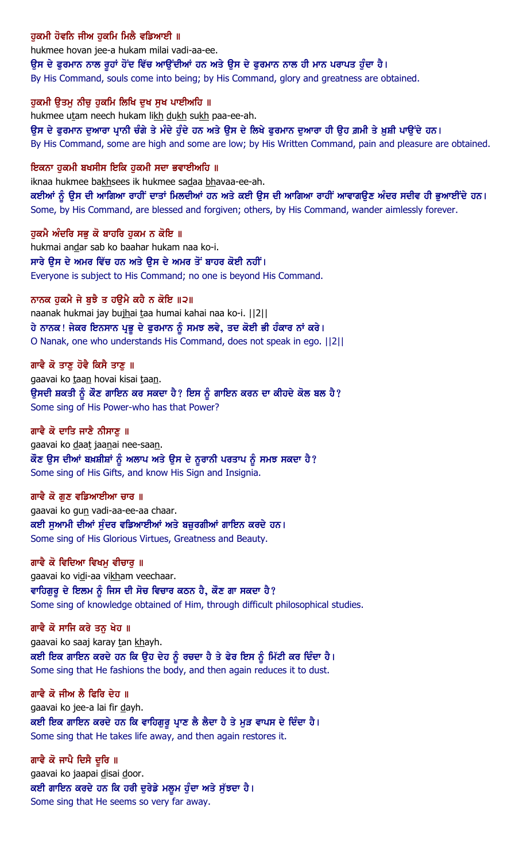## ਹਕਮੀ ਹੋਵਨਿ ਜੀਅ ਹਕਮਿ ਮਿਲੈ ਵਡਿਆਈ ॥

hukmee hovan jee-a hukam milai vadi-aa-ee.

ਉਸ ਦੇ ਫੁਰਮਾਨ ਨਾਲ ਰੂਹਾਂ ਹੋਂਦ ਵਿੱਚ ਆਉਂਦੀਆਂ ਹਨ ਅਤੇ ਉਸ ਦੇ ਫੁਰਮਾਨ ਨਾਲ ਹੀ ਮਾਨ ਪਰਾਪਤ ਹੁੰਦਾ ਹੈ।

By His Command, souls come into being; by His Command, glory and greatness are obtained.

#### ਹਕਮੀ ੳਤਮ ਨੀਚ ਹਕਮਿ ਲਿਖਿ ਦਖ ਸਖ ਪਾਈਅਹਿ ॥

hukmee utam neech hukam likh dukh sukh paa-ee-ah.

ਉਸ ਦੇ ਫੁਰਮਾਨ ਦੁਆਰਾ ਪ੍ਰਾਨੀ ਚੰਗੇ ਤੇ ਮੰਦੇ ਹੁੰਦੇ ਹਨ ਅਤੇ ਉਸ ਦੇ ਲਿਖੇ ਫੁਰਮਾਨ ਦੁਆਰਾ ਹੀ ਉਹ ਗ਼ਮੀ ਤੇ ਖ਼ੁਸ਼ੀ ਪਾਉਂਦੇ ਹਨ। By His Command, some are high and some are low; by His Written Command, pain and pleasure are obtained.

#### ਇਕਨਾ ਹਕਮੀ ਬਖਸੀਸ ਇਕਿ ਹਕਮੀ ਸਦਾ ਭਵਾਈਅਹਿ ॥

iknaa hukmee bakhsees ik hukmee sadaa bhavaa-ee-ah.

ਕਈਆਂ ਨੂੰ ਉਸ ਦੀ ਆਗਿਆ ਰਾਹੀਂ ਦਾਤਾਂ ਮਿਲਦੀਆਂ ਹਨ ਅਤੇ ਕਈ ਉਸ ਦੀ ਆਗਿਆ ਰਾਹੀਂ ਆਵਾਗਉਣ ਅੰਦਰ ਸਦੀਵ ਹੀ ਭੁਆਈਂਦੇ ਹਨ। Some, by His Command, are blessed and forgiven; others, by His Command, wander aimlessly forever.

ਹਕਮੈ ਅੰਦਰਿ ਸਭ ਕੋ ਬਾਹਰਿ ਹਕਮ ਨ ਕੋਇ ॥ hukmai andar sab ko baahar hukam naa ko-i. ਸਾਰੇ ੳਸ ਦੇ ਅਮਰ ਵਿੱਚ ਹਨ ਅਤੇ ੳਸ ਦੇ ਅਮਰ ਤੋਂ ਬਾਹਰ ਕੋਈ ਨਹੀਂ। Everyone is subject to His Command; no one is beyond His Command.

#### ਨਾਨਕ ਹੁਕਮੈ ਜੇ ਬੁਝੈ ਤ ਹਉਮੈ ਕਹੈ ਨ ਕੋਇ ॥੨॥

naanak hukmai jay bujhai taa humai kahai naa ko-i. ||2|| ਹੇ ਨਾਨਕ ! ਜੇਕਰ ਇਨਸਾਨ ਪ੍ਰਭੂ ਦੇ ਫੁਰਮਾਨ ਨੂੰ ਸਮਝ ਲਵੇ, ਤਦ ਕੋਈ ਭੀ ਹੰਕਾਰ ਨਾਂ ਕਰੇ । O Nanak, one who understands His Command, does not speak in ego. ||2||

#### ਗਾਵੈ ਕੋ ਤਾਣ ਹੋਵੈ ਕਿਸੈ ਤਾਣ ॥

gaavai ko taan hovai kisai taan. ਉਸਦੀ ਸ਼ਕਤੀ ਨੂੰ ਕੌਣ ਗਾਇਨ ਕਰ ਸਕਦਾ ਹੈ? ਇਸ ਨੂੰ ਗਾਇਨ ਕਰਨ ਦਾ ਕੀਹਦੇ ਕੋਲ ਬਲ ਹੈ? Some sing of His Power-who has that Power?

#### ਗਾਵੈ ਕੋ ਦਾਤਿ ਜਾਣੈ ਨੀਸਾਣ ॥

gaavai ko daat jaanai nee-saan. ਕੌਣ ਉਸ ਦੀਆਂ ਬਖ਼ਸ਼ੀਸ਼ਾਂ ਨੂੰ ਅਲਾਪ ਅਤੇ ਉਸ ਦੇ ਨੁਰਾਨੀ ਪਰਤਾਪ ਨੂੰ ਸਮਝ ਸਕਦਾ ਹੈ? Some sing of His Gifts, and know His Sign and Insignia.

#### ਗਾਵੈ ਕੋ ਗਣ ਵਡਿਆਈਆ ਚਾਰ ॥

gaavai ko gun vadi-aa-ee-aa chaar. ਕਈ ਸਆਮੀ ਦੀਆਂ ਸੰਦਰ ਵਡਿਆਈਆਂ ਅਤੇ ਬਜ਼ਰਗੀਆਂ ਗਾਇਨ ਕਰਦੇ ਹਨ। Some sing of His Glorious Virtues, Greatness and Beauty.

#### ਗਾਵੈ ਕੋ ਵਿਦਿਆ ਵਿਖਮ ਵੀਚਾਰ ॥

gaavai ko vidi-aa vikham veechaar. ਵਾਹਿਗੁਰੂ ਦੇ ਇਲਮ ਨੂੰ ਜਿਸ ਦੀ ਸੋਚ ਵਿਚਾਰ ਕਠਨ ਹੈ, ਕੌਣ ਗਾ ਸਕਦਾ ਹੈ? Some sing of knowledge obtained of Him, through difficult philosophical studies.

#### ਗਾਵੈ ਕੋ ਸਾਜਿ ਕਰੇ ਤਨ ਖੇਹ ॥

gaavai ko saaj karay tan khayh. ਕਈ ਇਕ ਗਾਇਨ ਕਰਦੇ ਹਨ ਕਿ ਉਹ ਦੇਹ ਨੂੰ ਰਚਦਾ ਹੈ ਤੇ ਫੇਰ ਇਸ ਨੂੰ ਮਿੱਟੀ ਕਰ ਦਿੰਦਾ ਹੈ। Some sing that He fashions the body, and then again reduces it to dust.

#### ਗਾਵੈ ਕੋ ਜੀਅ ਲੈ ਫਿਰਿ ਦੇਹ ॥

gaavai ko jee-a lai fir dayh. ਕਈ ਇਕ ਗਾਇਨ ਕਰਦੇ ਹਨ ਕਿ ਵਾਹਿਗੁਰੂ ਪ੍ਰਾਣ ਲੈ ਲੈਦਾ ਹੈ ਤੇ ਮੁੜ ਵਾਪਸ ਦੇ ਦਿੰਦਾ ਹੈ। Some sing that He takes life away, and then again restores it.

ਗਾਵੈ ਕੋ ਜਾਪੈ ਦਿਸੈ ਦੁਰਿ ॥ gaavai ko jaapai disai door. ਕਈ ਗਾਇਨ ਕਰਦੇ ਹਨ ਕਿ ਹਰੀ ਦੁਰੇਡੇ ਮਲੁਮ ਹੁੰਦਾ ਅਤੇ ਸੁੱਝਦਾ ਹੈ। Some sing that He seems so very far away.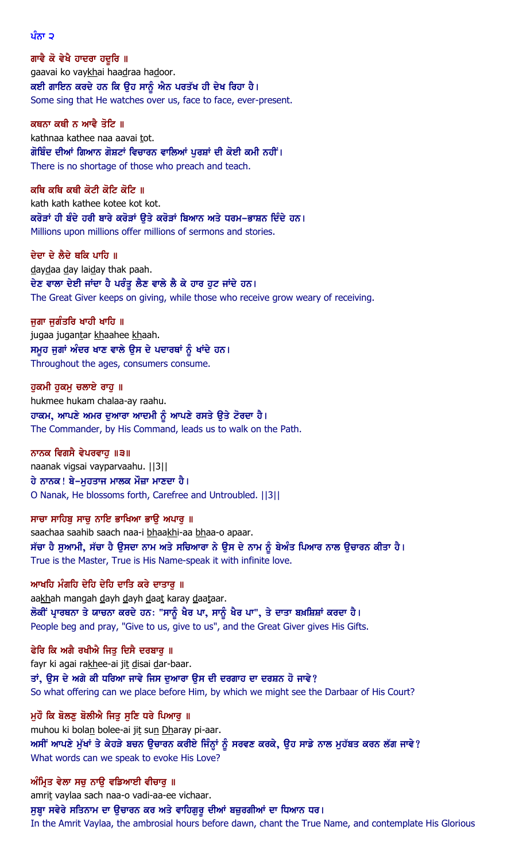ਪੰਨਾ ੨

ਗਾਵੈ ਕੋ ਵੇਖੈ ਹਾਦਰਾ ਹਦੁਰਿ ॥ gaavai ko vaykhai haadraa hadoor. ਕਈ ਗਾਇਨ ਕਰਦੇ ਹਨ ਕਿ ਉਹ ਸਾਨੂੰ ਐਨ ਪਰਤੱਖ ਹੀ ਦੇਖ ਰਿਹਾ ਹੈ। Some sing that He watches over us, face to face, ever-present.

ਕਥਨਾ ਕਥੀ ਨ ਆਵੈ ਤੋਟਿ ॥ kathnaa kathee naa aavai tot. ਗੋਬਿੰਦ ਦੀਆਂ ਗਿਆਨ ਗੋਸ਼ਟਾਂ ਵਿਚਾਰਨ ਵਾਲਿਆਂ ਪੂਰਸ਼ਾਂ ਦੀ ਕੋਈ ਕਮੀ ਨਹੀਂ।

There is no shortage of those who preach and teach. ਕਥਿ ਕਥਿ ਕਥੀ ਕੋਟੀ ਕੋਟਿ ਕੋਟਿ ॥ kath kath kathee kotee kot kot.

ਕਰੋੜਾਂ ਹੀ ਬੰਦੇ ਹਰੀ ਬਾਰੇ ਕਰੋੜਾਂ ੳਤੇ ਕਰੋੜਾਂ ਬਿਆਨ ਅਤੇ ਧਰਮ-ਭਾਸ਼ਨ ਦਿੰਦੇ ਹਨ। Millions upon millions offer millions of sermons and stories.

ਦੇਦਾ ਦੇ ਲੈਦੇ ਥਕਿ ਪਾਹਿ ॥ daydaa day laiday thak paah. ਦੇਣ ਵਾਲਾ ਦੇਈ ਜਾਂਦਾ ਹੈ ਪਰੰਤੂ ਲੈਣ ਵਾਲੇ ਲੈ ਕੇ ਹਾਰ ਹੁਟ ਜਾਂਦੇ ਹਨ। The Great Giver keeps on giving, while those who receive grow weary of receiving.

ਜਗਾ ਜਗੰਤਰਿ ਖਾਹੀ ਖਾਹਿ ॥ jugaa jugantar khaahee khaah. ਸਮੂਹ ਜੁਗਾਂ ਅੰਦਰ ਖਾਣ ਵਾਲੇ ਉਸ ਦੇ ਪਦਾਰਥਾਂ ਨੂੰ ਖਾਂਦੇ ਹਨ। Throughout the ages, consumers consume.

ਹੁਕਮੀ ਹੁਕਮੁ ਚਲਾਏ ਰਾਹੁ ॥ hukmee hukam chalaa-ay raahu. ਹਾਕਮ, ਆਪਣੇ ਅਮਰ ਦੁਆਰਾ ਆਦਮੀ ਨੂੰ ਆਪਣੇ ਰਸਤੇ ਉਤੇ ਟੋਰਦਾ ਹੈ। The Commander, by His Command, leads us to walk on the Path.

ਨਾਨਕ ਵਿਗਸੈ ਵੇਪਰਵਾਹੁ ॥੩॥ naanak vigsai vayparvaahu. ||3|| ਹੇ ਨਾਨਕ! ਬੇ–ਮੁਹਤਾਜ ਮਾਲਕ ਮੌਜ਼ਾ ਮਾਣਦਾ ਹੈ। O Nanak, He blossoms forth, Carefree and Untroubled. ||3||

ਸਾਚਾ ਸਾਹਿਬੂ ਸਾਚੂ ਨਾਇ ਭਾਖਿਆ ਭਾਉ ਅਪਾਰੂ ॥ saachaa saahib saach naa-i bhaakhi-aa bhaa-o apaar. ਸੱਚਾ ਹੈ ਸੁਆਮੀ, ਸੱਚਾ ਹੈ ਉਸਦਾ ਨਾਮ ਅਤੇ ਸਚਿਆਰਾ ਨੇ ਉਸ ਦੇ ਨਾਮ ਨੂੰ ਬੇਅੰਤ ਪਿਆਰ ਨਾਲ ਉਚਾਰਨ ਕੀਤਾ ਹੈ। True is the Master, True is His Name-speak it with infinite love.

ਆਖਹਿ ਮੰਗਹਿ ਦੇਹਿ ਦੇਹਿ ਦਾਤਿ ਕਰੇ ਦਾਤਾਰ ॥ aakhah mangah dayh dayh daat karay daataar. ਲੋਕੀਂ ਪ੍ਰਾਰਥਨਾ ਤੇ ਯਾਚਨਾ ਕਰਦੇ ਹਨ: "ਸਾਨੂੰ ਖੈਰ ਪਾ, ਸਾਨੂੰ ਖੈਰ ਪਾ", ਤੇ ਦਾਤਾ ਬਖ਼ਸ਼ਿਸ਼ਾਂ ਕਰਦਾ ਹੈ। People beg and pray, "Give to us, give to us", and the Great Giver gives His Gifts.

ਫੇਰਿ ਕਿ ਅਗੈ ਰਖੀਐ ਜਿਤੂ ਦਿਸੈ ਦਰਬਾਰੂ ॥ fayr ki agai rakhee-ai jit disai dar-baar. ਤਾਂ, ਉਸ ਦੇ ਅਗੇ ਕੀ ਧਰਿਆ ਜਾਵੇ ਜਿਸ ਦੁਆਰਾ ਉਸ ਦੀ ਦਰਗਾਹ ਦਾ ਦਰਸ਼ਨ ਹੋ ਜਾਵੇ? So what offering can we place before Him, by which we might see the Darbaar of His Court?

ਮੁਹੌ ਕਿ ਬੋਲਣੂ ਬੋਲੀਐ ਜਿਤੂ ਸੁਣਿ ਧਰੇ ਪਿਆਰੂ ॥ muhou ki bolan bolee-ai jit sun Dharay pi-aar. ਅਸੀਂ ਆਪਣੇ ਮੁੱਖਾਂ ਤੇ ਕੇਹੜੇ ਬਚਨ ਉਚਾਰਨ ਕਰੀਏ ਜਿੰਨ੍ਹਾਂ ਨੂੰ ਸਰਵਣ ਕਰਕੇ, ਉਹ ਸਾਡੇ ਨਾਲ ਮੁਹੱਬਤ ਕਰਨ ਲੱਗ ਜਾਵੇ? What words can we speak to evoke His Love?

ਅੰਮ੍ਰਿਤ ਵੇਲਾ ਸਚੁ ਨਾਉ ਵਡਿਆਈ ਵੀਚਾਰੁ **॥** amrit vaylaa sach naa-o vadi-aa-ee vichaar. ਸੁਬ੍ਹਾ ਸਵੇਰੇ ਸਤਿਨਾਮ ਦਾ ਉਚਾਰਨ ਕਰ ਅਤੇ ਵਾਹਿਗੁਰੁ ਦੀਆਂ ਬਜ਼ੁਰਗੀਆਂ ਦਾ ਧਿਆਨ ਧਰ। In the Amrit Vaylaa, the ambrosial hours before dawn, chant the True Name, and contemplate His Glorious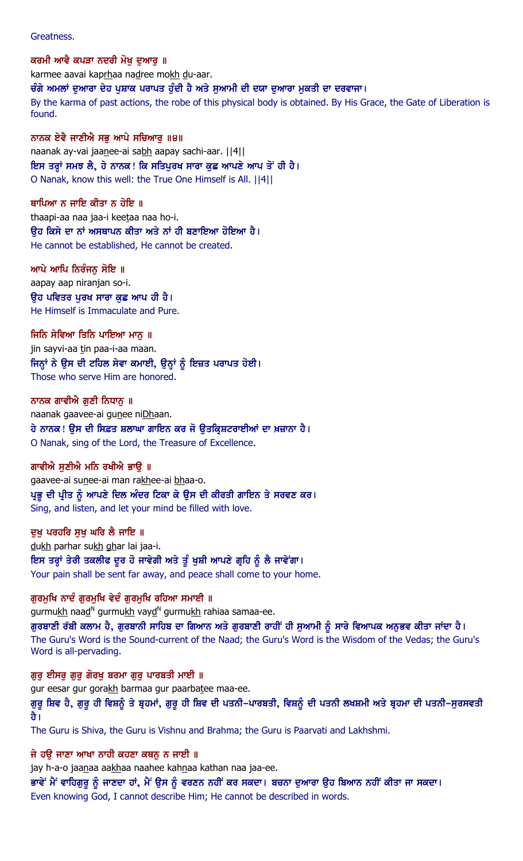Greatness.

ਕਰਮੀ ਆਵੈ ਕਪੜਾ ਨਦਰੀ ਮੋਖ ਦਆਰ ॥ karmee aavai kaprhaa nadree mokh du-aar. ਚੰਗੇ ਅਮਲਾਂ ਦੁਆਰਾ ਦੇਹ ਪੁਸ਼ਾਕ ਪਰਾਪਤ ਹੁੰਦੀ ਹੈ ਅਤੇ ਸੁਆਮੀ ਦੀ ਦਯਾ ਦੁਆਰਾ ਮੁਕਤੀ ਦਾ ਦਰਵਾਜਾ। By the karma of past actions, the robe of this physical body is obtained. By His Grace, the Gate of Liberation is found.

ਨਾਨਕ ਏਵੈ ਜਾਣੀਐ ਸਭੂ ਆਪੇ ਸਚਿਆਰੂ ॥੪॥ naanak ay-vai jaanee-ai sabh aapay sachi-aar. | | 4 | | ਇਸ ਤਰ੍ਹਾਂ ਸਮਝ ਲੈ, ਹੇ ਨਾਨਕ ! ਕਿ ਸਤਿਪੁਰਖ ਸਾਰਾ ਕੁਛ ਆਪਣੇ ਆਪ ਤੋਂ ਹੀ ਹੈ। O Nanak, know this well: the True One Himself is All. ||4||

ਥਾਪਿਆ ਨ ਜਾਇ ਕੀਤਾ ਨ ਹੋਇ ॥ thaapi-aa naa jaa-i keetaa naa ho-i. ੳਹ ਕਿਸੇ ਦਾ ਨਾਂ ਅਸਥਾਪਨ ਕੀਤਾ ਅਤੇ ਨਾਂ ਹੀ ਬਣਾਇਆ ਹੋਇਆ ਹੈ। He cannot be established, He cannot be created.

ਆਪੇ ਆਪਿ ਨਿਰੰਜਨ ਸੋਇ ॥ aapay aap niranjan so-i. ੳਹ ਪਵਿਤਰ ਪਰਖ ਸਾਰਾ ਕਛ ਆਪ ਹੀ ਹੈ। He Himself is Immaculate and Pure.

ਜਿਨਿ ਸੇਵਿਆ ਤਿਨਿ ਪਾਇਆ ਮਾਨੂ ॥ jin sayvi-aa tin paa-i-aa maan. ਜਿਨ੍ਹਾਂ ਨੇ ਉਸ ਦੀ ਟਹਿਲ ਸੇਵਾ ਕਮਾਈ, ਉਨ੍ਹਾਂ ਨੂੰ ਇਜ਼ਤ ਪਰਾਪਤ ਹੋਈ। Those who serve Him are honored.

ਨਾਨਕ ਗਾਵੀਐ ਗਣੀ ਨਿਧਾਨ ॥ naanak gaavee-ai gunee niDhaan. ਹੇ ਨਾਨਕ ! ਉਸ ਦੀ ਸਿਫ਼ਤ ਸ਼ਲਾਘਾ ਗਾਇਨ ਕਰ ਜੋ ਉਤਕ੍ਰਿਸ਼ਟਰਾਈਆਂ ਦਾ ਖ਼ਜ਼ਾਨਾ ਹੈ। O Nanak, sing of the Lord, the Treasure of Excellence.

ਗਾਵੀਐ ਸਣੀਐ ਮਨਿ ਰਖੀਐ ਭਾੳ ॥

gaavee-ai sunee-ai man rakhee-ai bhaa-o. ਪ੍ਰਭੂ ਦੀ ਪ੍ਰੀਤ ਨੂੰ ਆਪਣੇ ਦਿਲ ਅੰਦਰ ਟਿਕਾ ਕੇ ਉਸ ਦੀ ਕੀਰਤੀ ਗਾਇਨ ਤੇ ਸਰਵਣ ਕਰ। Sing, and listen, and let your mind be filled with love.

ਦੁਖੁ ਪਰਹਰਿ ਸੁਖੁ ਘਰਿ ਲੈ ਜਾਇ ॥

dukh parhar sukh ghar lai jaa-i. ਇਸ ਤਰ੍ਹਾਂ ਤੇਰੀ ਤਕਲੀਫ ਦੂਰ ਹੋ ਜਾਵੇਗੀ ਅਤੇ ਤੂੰ ਖੁਸ਼ੀ ਆਪਣੇ ਗ੍ਰਹਿ ਨੂੰ ਲੈ ਜਾਵੇਂਗਾ। Your pain shall be sent far away, and peace shall come to your home.

ਗੁਰਮੁਖਿ ਨਾਦੰ ਗੁਰਮੁਖਿ ਵੇਦੰ ਗੁਰਮੁਖਿ ਰਹਿਆ ਸਮਾਈ ॥ gurmu<u>kh</u> naa<u>d</u><sup>n</sup> gurmu<u>kh</u> vay<u>d</u><sup>n</sup> gurmu<u>kh</u> rahiaa samaa-ee. ਗੁਰਬਾਣੀ ਰੱਬੀ ਕਲਾਮ ਹੈ, ਗੁਰਬਾਨੀ ਸਾਹਿਬ ਦਾ ਗਿਆਨ ਅਤੇ ਗੁਰਬਾਣੀ ਰਾਹੀਂ ਹੀ ਸੁਆਮੀ ਨੂੰ ਸਾਰੇ ਵਿਆਪਕ ਅਨੁਭਵ ਕੀਤਾ ਜਾਂਦਾ ਹੈ। The Guru's Word is the Sound-current of the Naad; the Guru's Word is the Wisdom of the Vedas; the Guru's Word is all-pervading.

ਗੁਰੂ ਈਸਰੂ ਗੁਰੂ ਗੋਰਖੂ ਬਰਮਾ ਗੁਰੂ ਪਾਰਬਤੀ ਮਾਈ ॥ gur eesar gur gorakh barmaa gur paarbatee maa-ee. ਗੁਰੂ ਸ਼ਿਵ ਹੈ, ਗੁਰੂ ਹੀ ਵਿਸ਼ਨੂੰ ਤੇ ਬ੍ਰਹਮਾਂ, ਗੁਰੂ ਹੀ ਸ਼ਿਵ ਦੀ ਪਤਨੀ–ਪਾਰਬਤੀ, ਵਿਸ਼ਨੂੰ ਦੀ ਪਤਨੀ ਲਖਸ਼ਮੀ ਅਤੇ ਬ੍ਰਹਮਾ ਦੀ ਪਤਨੀ–ਸੁਰਸਵਤੀ ਹੈ।

The Guru is Shiva, the Guru is Vishnu and Brahma; the Guru is Paarvati and Lakhshmi.

ਜੇ ਹੳ ਜਾਣਾ ਆਖਾ ਨਾਹੀ ਕਹਣਾ ਕਥਨ ਨ ਜਾਈ ॥

jay h-a-o jaanaa aakhaa naahee kahnaa kathan naa jaa-ee.

ਭਾਵੇਂ ਮੈਂ ਵਾਹਿਗੁਰੂ ਨੂੰ ਜਾਣਦਾ ਹਾਂ, ਮੈਂ ਉਸ ਨੂੰ ਵਰਣਨ ਨਹੀਂ ਕਰ ਸਕਦਾ। ਬਚਨਾ ਦੁਆਰਾ ਉਹ ਬਿਆਨ ਨਹੀਂ ਕੀਤਾ ਜਾ ਸਕਦਾ। Even knowing God, I cannot describe Him; He cannot be described in words.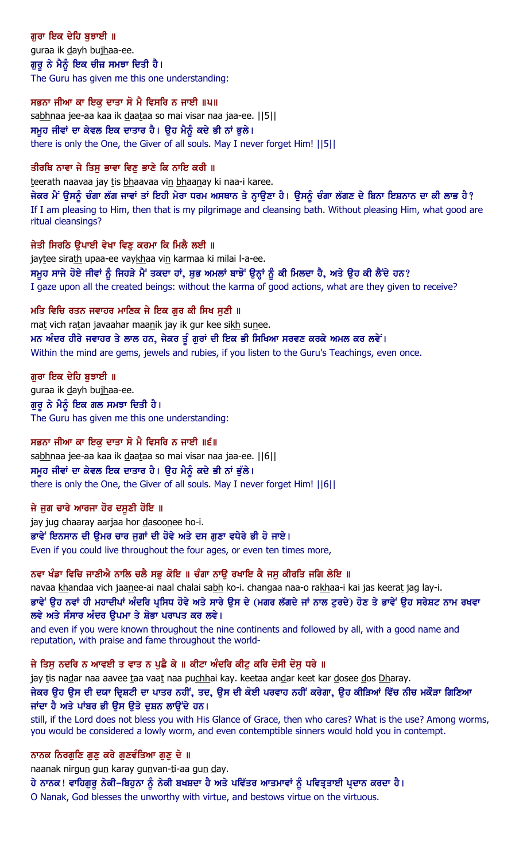## ਗਰਾ ਇਕ ਦੇਹਿ ਬਝਾਈ ॥ guraa ik dayh bujhaa-ee. ਗੁਰੂ ਨੇ ਮੈਨੂੰ ਇਕ ਚੀਜ਼ ਸਮਝਾ ਦਿਤੀ ਹੈ। The Guru has given me this one understanding:

### ਸਭਨਾ ਜੀਆ ਕਾ ਇਕ ਦਾਤਾ ਸੋ ਮੈ ਵਿਸਰਿ ਨ ਜਾਈ ॥੫॥

sabhnaa jee-aa kaa ik daataa so mai visar naa jaa-ee. [[5]] ਸਮੂਹ ਜੀਵਾਂ ਦਾ ਕੇਵਲ ਇਕ ਦਾਤਾਰ ਹੈ। ਉਹ ਮੈਨੂੰ ਕਦੇ ਭੀ ਨਾਂ ਭੁਲੇ। there is only the One, the Giver of all souls. May I never forget Him! ||5||

## ਤੀਰਥਿ ਨਾਵਾ ਜੇ ਤਿਸ ਭਾਵਾ ਵਿਣ ਭਾਣੇ ਕਿ ਨਾਇ ਕਰੀ ॥

teerath naavaa jay tis bhaavaa vin bhaanay ki naa-i karee.

ਜੇਕਰ ਮੈਂ ਉਸਨੂੰ ਚੰਗਾ ਲੱਗ ਜਾਵਾਂ ਤਾਂ ਇਹੀ ਮੇਰਾ ਧਰਮ ਅਸਥਾਨ ਤੇ ਨ੍ਹਾਉਣਾ ਹੈ। ਉਸਨੂੰ ਚੰਗਾ ਲੱਗਣ ਦੇ ਬਿਨਾ ਇਸ਼ਨਾਨ ਦਾ ਕੀ ਲਾਭ ਹੈ? If I am pleasing to Him, then that is my pilgrimage and cleansing bath. Without pleasing Him, what good are ritual cleansings?

### ਜੇਤੀ ਸਿਰਠਿ ਉਪਾਈ ਵੇਖਾ ਵਿਣੂ ਕਰਮਾ ਕਿ ਮਿਲੈ ਲਈ ॥

jaytee sirath upaa-ee vaykhaa vin karmaa ki milai l-a-ee. ਸਮੂਹ ਸਾਜੇ ਹੋਏ ਜੀਵਾਂ ਨੂੰ ਜਿਹੜੇ ਮੈਂ ਤਕਦਾ ਹਾਂ, ਸ਼ੁਭ ਅਮਲਾਂ ਬਾਝੋਂ ਉਨ੍ਹਾਂ ਨੂੰ ਕੀ ਮਿਲਦਾ ਹੈ, ਅਤੇ ਉਹ ਕੀ ਲੈਂਦੇ ਹਨ? I gaze upon all the created beings: without the karma of good actions, what are they given to receive?

ਮਤਿ ਵਿਚਿ ਰਤਨ ਜਵਾਹਰ ਮਾਣਿਕ ਜੇ ਇਕ ਗਰ ਕੀ ਸਿਖ ਸਣੀ ॥ mat vich ratan javaahar maanik jay ik gur kee sikh sunee. ਮਨ ਅੰਦਰ ਹੀਰੇ ਜਵਾਹਰ ਤੇ ਲਾਲ ਹਨ, ਜੇਕਰ ਤੂੰ ਗੁਰਾਂ ਦੀ ਇਕ ਭੀ ਸਿਖਿਆ ਸਰਵਣ ਕਰਕੇ ਅਮਲ ਕਰ ਲਵੇਂ। Within the mind are gems, jewels and rubies, if you listen to the Guru's Teachings, even once.

### ਗੁਰਾ ਇਕ ਦੇਹਿ ਬੁਝਾਈ ॥

guraa ik dayh bujhaa-ee. ਗੁਰੂ ਨੇ ਮੈਨੂੰ ਇਕ ਗਲ ਸਮਝਾ ਦਿਤੀ ਹੈ। The Guru has given me this one understanding:

## ਸਭਨਾ ਜੀਆ ਕਾ ਇਕ ਦਾਤਾ ਸੋ ਮੈ ਵਿਸਰਿ ਨ ਜਾਈ ॥੬॥

sabhnaa jee-aa kaa ik daataa so mai visar naa jaa-ee. | [6] | ਸਮੂਹ ਜੀਵਾਂ ਦਾ ਕੇਵਲ ਇਕ ਦਾਤਾਰ ਹੈ। ਉਹ ਮੈਨੂੰ ਕਦੇ ਭੀ ਨਾਂ ਭੁੱਲੇ। there is only the One, the Giver of all souls. May I never forget Him! ||6||

### ਜੇ ਜਗ ਚਾਰੇ ਆਰਜਾ ਹੋਰ ਦਸਣੀ ਹੋਇ ॥

jay jug chaaray aarjaa hor dasoonee ho-i. ਭਾਵੇਂ ਇਨਸਾਨ ਦੀ ੳਮਰ ਚਾਰ ਜਗਾਂ ਦੀ ਹੋਵੇ ਅਤੇ ਦਸ ਗਣਾ ਵਧੇਰੇ ਭੀ ਹੋ ਜਾਏ। Even if you could live throughout the four ages, or even ten times more,

## ਨਵਾ ਖੰਡਾ ਵਿਚਿ ਜਾਣੀਐ ਨਾਲਿ ਚਲੈ ਸਭ ਕੋਇ ॥ ਚੰਗਾ ਨਾੳ ਰਖਾਇ ਕੈ ਜਸ ਕੀਰਤਿ ਜਗਿ ਲੇਇ ॥

navaa khandaa vich jaanee-ai naal chalai sabh ko-i. changaa naa-o rakhaa-i kai jas keerat jag lay-i. ਭਾਵੇਂ ਉਹ ਨਵਾਂ ਹੀ ਮਹਾਦੀਪਾਂ ਅੰਦਰਿ ਪ੍ਰਸਿਧ ਹੋਵੇ ਅਤੇ ਸਾਰੇ ਉਸ ਦੇ (ਮਗਰ ਲੱਗਦੇ ਜਾਂ ਨਾਲ ਟੁਰਦੇ) ਹੋਣ ਤੇ ਭਾਵੇਂ ਉਹ ਸਰੇਸ਼ਟ ਨਾਮ ਰਖਵਾ ਲਵੇ ਅਤੇ ਸੰਸਾਰ ਅੰਦਰ ੳਪਮਾ ਤੇ ਸ਼ੋਭਾ ਪਰਾਪਤ ਕਰ ਲਵੇ।

and even if you were known throughout the nine continents and followed by all, with a good name and reputation, with praise and fame throughout the world-

## ਜੇ ਤਿਸੁ ਨਦਰਿ ਨ ਆਵਈ ਤ ਵਾਤ ਨ ਪੁਛੈ ਕੇ ॥ ਕੀਟਾ ਅੰਦਰਿ ਕੀਟੁ ਕਰਿ ਦੋਸੀ ਦੋਸੁ ਧਰੇ ॥

jay tis nadar naa aavee taa vaat naa puchhai kay. keetaa andar keet kar dosee dos Dharay.

### ਜੇਕਰ ਉਹ ਉਸ ਦੀ ਦਯਾ ਦ੍ਰਿਸ਼ਟੀ ਦਾ ਪਾਤਰ ਨਹੀਂ, ਤਦ, ਉਸ ਦੀ ਕੋਈ ਪਰਵਾਹ ਨਹੀਂ ਕਰੇਗਾ, ਉਹ ਕੀੜਿਆਂ ਵਿੱਚ ਨੀਚ ਮਕੌੜਾ ਗਿਣਿਆ ਜਾਂਦਾ ਹੈ ਅਤੇ ਪਾਂਬਰ ਭੀ ੳਸ ੳਤੇ ਦਸ਼ਨ ਲਾੳਂਦੇ ਹਨ।

still, if the Lord does not bless you with His Glance of Grace, then who cares? What is the use? Among worms, you would be considered a lowly worm, and even contemptible sinners would hold you in contempt.

## ਨਾਨਕ ਨਿਰਗੁਣਿ ਗੁਣੁ ਕਰੇ ਗੁਣਵੰਤਿਆ ਗੁਣੁ ਦੇ ॥

naanak nirgun gun karay gunvan-ti-aa gun day.

ਹੇ ਨਾਨਕ ! ਵਾਹਿਗੁਰੂ ਨੇਕੀ-ਬਿਹੁਨਾ ਨੂੰ ਨੇਕੀ ਬਖਸ਼ਦਾ ਹੈ ਅਤੇ ਪਵਿੱਤਰ ਆਤਮਾਵਾਂ ਨੂੰ ਪਵਿਤ੍ਰਤਾਈ ਪ੍ਰਦਾਨ ਕਰਦਾ ਹੈ । O Nanak, God blesses the unworthy with virtue, and bestows virtue on the virtuous.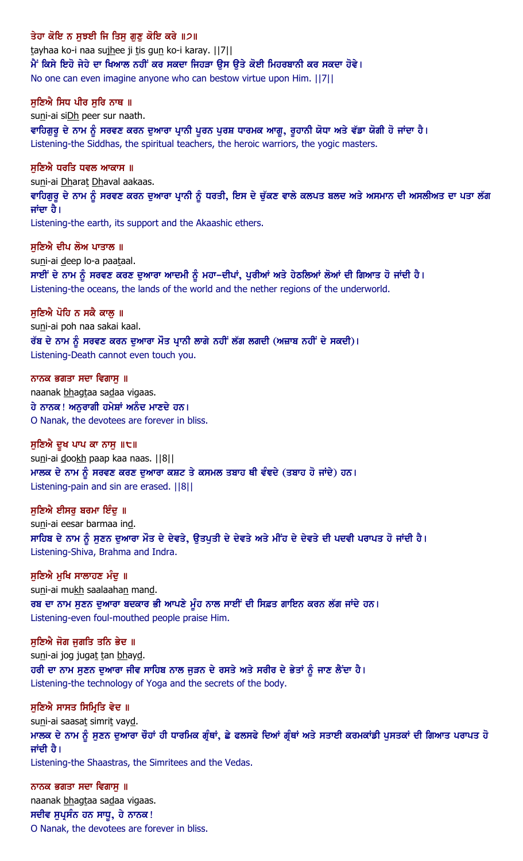ਤੇਹਾ ਕੋਇ ਨ ਸਝਈ ਜਿ ਤਿਸ ਗਣ ਕੋਇ ਕਰੇ ॥੭॥ tayhaa ko-i naa sujhee ji tis gun ko-i karay. ||7|| ਮੈਂ ਕਿਸੇ ਇਹੋ ਜੇਹੇ ਦਾ ਖਿਆਲ ਨਹੀਂ ਕਰ ਸਕਦਾ ਜਿਹੜਾ ਉਸ ਉਤੇ ਕੋਈ ਮਿਹਰਬਾਨੀ ਕਰ ਸਕਦਾ ਹੋਵੇ। No one can even imagine anyone who can bestow virtue upon Him. ||7|| ਸਣਿਐ ਸਿਧ ਪੀਰ ਸਰਿ ਨਾਥ ॥ suni-ai siDh peer sur naath. ਵਾਹਿਗੁਰੂ ਦੇ ਨਾਮ ਨੂੰ ਸਰਵਣ ਕਰਨ ਦੁਆਰਾ ਪ੍ਰਾਨੀ ਪੂਰਨ ਪੂਰਸ਼ ਧਾਰਮਕ ਆਗੂ, ਰੁਹਾਨੀ ਯੋਧਾ ਅਤੇ ਵੱਡਾ ਯੋਗੀ ਹੋ ਜਾਂਦਾ ਹੈ। Listening-the Siddhas, the spiritual teachers, the heroic warriors, the yogic masters. ਸਣਿਐ ਧਰਤਿ ਧਵਲ ਆਕਾਸ ॥ suni-ai Dharat Dhaval aakaas. ਵਾਹਿਗੁਰੂ ਦੇ ਨਾਮ ਨੂੰ ਸਰਵਣ ਕਰਨ ਦੁਆਰਾ ਪ੍ਰਾਨੀ ਨੂੰ ਧਰਤੀ, ਇਸ ਦੇ ਚੁੱਕਣ ਵਾਲੇ ਕਲਪਤ ਬਲਦ ਅਤੇ ਅਸਮਾਨ ਦੀ ਅਸਲੀਅਤ ਦਾ ਪਤਾ ਲੱਗ ਜਾਂਦਾ ਹੈ। Listening-the earth, its support and the Akaashic ethers. ਸਣਿਐ ਦੀਪ ਲੋਅ ਪਾਤਾਲ ॥ suni-ai deep lo-a paataal. ਸਾਈਂ ਦੇ ਨਾਮ ਨੂੰ ਸਰਵਣ ਕਰਣ ਦੁਆਰਾ ਆਦਮੀ ਨੂੰ ਮਹਾ–ਦੀਪਾਂ, ਪੁਰੀਆਂ ਅਤੇ ਹੇਠਲਿਆਂ ਲੋਆਂ ਦੀ ਗਿਆਤ ਹੋ ਜਾਂਦੀ ਹੈ। Listening-the oceans, the lands of the world and the nether regions of the underworld. ਸਣਿਐ ਪੋਹਿ ਨ ਸਕੈ ਕਾਲ ॥ suni-ai poh naa sakai kaal. ਰੱਬ ਦੇ ਨਾਮ ਨੂੰ ਸਰਵਣ ਕਰਨ ਦਆਰਾ ਮੌਤ ਪਾਨੀ ਲਾਗੇ ਨਹੀਂ ਲੱਗ ਲਗਦੀ (ਅਜ਼ਾਬ ਨਹੀਂ ਦੇ ਸਕਦੀ)। Listening-Death cannot even touch you. ਨਾਨਕ ਭਗਤਾ ਸਦਾ ਵਿਗਾਸੁ ॥ naanak bhagtaa sadaa vigaas. ਹੇ ਨਾਨਕ! ਅਨੁਰਾਗੀ ਹਮੇਸ਼ਾਂ ਅਨੰਦ ਮਾਣਦੇ ਹਨ। O Nanak, the devotees are forever in bliss. ਸੁਣਿਐ ਦੁਖ ਪਾਪ ਕਾ ਨਾਸੁ ॥੮॥ suni-ai dookh paap kaa naas. | 8|| <u>ਮਾਲਕ ਦੇ ਨਾਮ ਨੂੰ ਸਰਵਣ ਕਰਣ ਦੁਆਰਾ ਕਸ਼ਟ ਤੇ ਕਸਮਲ ਤਬਾਹ ਥੀ ਵੰਞਦੇ (ਤਬਾਹ ਹੋ ਜਾਂਦੇ) ਹਨ।</u> Listening-pain and sin are erased. ||8|| ਸੁਣਿਐ ਈਸਰੂ ਬਰਮਾ ਇੰਦੂ ॥ suni-ai eesar barmaa ind. ਸਾਹਿਬ ਦੇ ਨਾਮ ਨੂੰ ਸੁਣਨ ਦੁਆਰਾ ਮੌਤ ਦੇ ਦੇਵਤੇ, ਉਤਪੁਤੀ ਦੇ ਦੇਵਤੇ ਅਤੇ ਮੀਂਹ ਦੇ ਦੇਵਤੇ ਦੀ ਪਦਵੀ ਪਰਾਪਤ ਹੋ ਜਾਂਦੀ ਹੈ। Listening-Shiva, Brahma and Indra. ਸੁਣਿਐ ਮੁਖਿ ਸਾਲਾਹਣ ਮੰਦੂ ॥ suni-ai mukh saalaahan mand. ਰਬ ਦਾ ਨਾਮ ਸੁਣਨ ਦੁਆਰਾ ਬਦਕਾਰ ਭੀ ਆਪਣੇ ਮੁੰਹ ਨਾਲ ਸਾਈਂ ਦੀ ਸਿਫ਼ਤ ਗਾਇਨ ਕਰਨ ਲੱਗ ਜਾਂਦੇ ਹਨ। Listening-even foul-mouthed people praise Him. ਸੁਣਿਐ ਜੋਗ ਜੁਗਤਿ ਤਨਿ ਭੇਦ ॥ suni-ai jog jugat tan bhayd. ਹਰੀ ਦਾ ਨਾਮ ਸੁਣਨ ਦੁਆਰਾ ਜੀਵ ਸਾਹਿਬ ਨਾਲ ਜੁੜਨ ਦੇ ਰਸਤੇ ਅਤੇ ਸਰੀਰ ਦੇ ਭੇਤਾਂ ਨੂੰ ਜਾਣ ਲੈਂਦਾ ਹੈ। Listening-the technology of Yoga and the secrets of the body. ਸੁਣਿਐ ਸਾਸਤ ਸਿਮ੍ਰਿਤਿ ਵੇਦ ॥ suni-ai saasat simrit vayd.

ਮਾਲਕ ਦੇ ਨਾਮ ਨੂੰ ਸੁਣਨ ਦੁਆਰਾ ਚੌਹਾਂ ਹੀ ਧਾਰਮਿਕ ਗ੍ਰੰਥਾਂ, ਛੇ ਫਲਸਫੇ ਦਿਆਂ ਗ੍ਰੰਥਾਂ ਅਤੇ ਸਤਾਈ ਕਰਮਕਾਂਡੀ ਪੁਸਤਕਾਂ ਦੀ ਗਿਆਤ ਪਰਾਪਤ ਹੋ ਜਾਂਦੀ ਹੈ।

Listening-the Shaastras, the Simritees and the Vedas.

ਨਾਨਕ ਭਗਤਾ ਸਦਾ ਵਿਗਾਸੁ ॥ naanak bhagtaa sadaa vigaas. ਸਦੀਵ ਸੁਪ੍ਰਸੰਨ ਹਨ ਸਾਧੁ, ਹੇ ਨਾਨਕ ! O Nanak, the devotees are forever in bliss.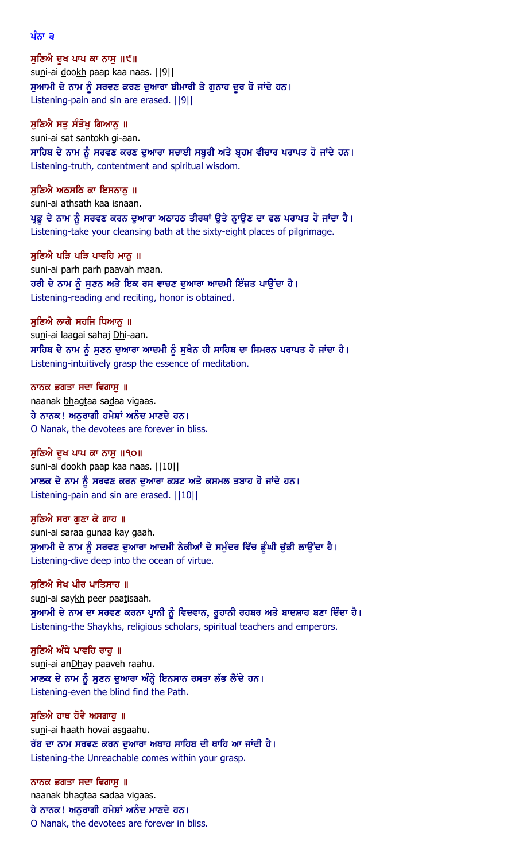ਪੰਨਾ ੩

ਸੁਣਿਐ ਦੁਖ ਪਾਪ ਕਾ ਨਾਸੁ ॥੯॥ suni-ai dookh paap kaa naas. | | 9 | | ਸੁਆਮੀ ਦੇ ਨਾਮ ਨੂੰ ਸਰਵਣ ਕਰਣ ਦੁਆਰਾ ਬੀਮਾਰੀ ਤੇ ਗੁਨਾਹ ਦੂਰ ਹੋ ਜਾਂਦੇ ਹਨ। Listening-pain and sin are erased. ||9||

ਸੁਣਿਐ ਸਤੂ ਸੰਤੋਖੂ ਗਿਆਨੂ ॥ suni-ai sat santokh gi-aan. ਸਾਹਿਬ ਦੇ ਨਾਮ ਨੂੰ ਸਰਵਣ ਕਰਣ ਦੁਆਰਾ ਸਚਾਈ ਸਬੁਰੀ ਅਤੇ ਬ੍ਰਹਮ ਵੀਚਾਰ ਪਰਾਪਤ ਹੋ ਜਾਂਦੇ ਹਨ। Listening-truth, contentment and spiritual wisdom.

ਸੁਣਿਐ ਅਠਸਠਿ ਕਾ ਇਸਨਾਨੁ ॥ suni-ai athsath kaa isnaan. ਪ੍ਰਭੂ ਦੇ ਨਾਮ ਨੂੰ ਸਰਵਣ ਕਰਨ ਦੁਆਰਾ ਅਠਾਹਠ ਤੀਰਥਾਂ ਉਤੇ ਨ੍ਹਾਉਣ ਦਾ ਫਲ ਪਰਾਪਤ ਹੋ ਜਾਂਦਾ ਹੈ। Listening-take your cleansing bath at the sixty-eight places of pilgrimage.

ਸੁਣਿਐ ਪੜਿ ਪੜਿ ਪਾਵਹਿ ਮਾਨੂ ॥ suni-ai parh parh paavah maan. ਹਰੀ ਦੇ ਨਾਮ ਨੂੰ ਸੁਣਨ ਅਤੇ ਇਕ ਰਸ ਵਾਚਣ ਦੁਆਰਾ ਆਦਮੀ ਇੱਜ਼ਤ ਪਾਉਂਦਾ ਹੈ। Listening-reading and reciting, honor is obtained.

ਸੁਣਿਐ ਲਾਗੈ ਸਹਜਿ ਧਿਆਨੂ ॥ suni-ai laagai sahaj Dhi-aan. ਸਾਹਿਬ ਦੇ ਨਾਮ ਨੂੰ ਸੁਣਨ ਦੁਆਰਾ ਆਦਮੀ ਨੂੰ ਸੁਖੈਨ ਹੀ ਸਾਹਿਬ ਦਾ ਸਿਮਰਨ ਪਰਾਪਤ ਹੋ ਜਾਂਦਾ ਹੈ। Listening-intuitively grasp the essence of meditation.

ਨਾਨਕ ਭਗਤਾ ਸਦਾ ਵਿਗਾਸ ॥ naanak bhagtaa sadaa vigaas. ਹੇ ਨਾਨਕ! ਅਨੁਰਾਗੀ ਹਮੇਸ਼ਾਂ ਅਨੰਦ ਮਾਣਦੇ ਹਨ। O Nanak, the devotees are forever in bliss.

ਸੁਣਿਐ ਦੁਖ ਪਾਪ ਕਾ ਨਾਸੁ ॥੧੦॥ suni-ai dookh paap kaa naas. | | 10 | | ਮਾਲਕ ਦੇ ਨਾਮ ਨੂੰ ਸਰਵਣ ਕਰਨ ਦੁਆਰਾ ਕਸ਼ਟ ਅਤੇ ਕਸਮਲ ਤਬਾਹ ਹੋ ਜਾਂਦੇ ਹਨ। Listening-pain and sin are erased. ||10||

ਸੁਣਿਐ ਸਰਾ ਗੁਣਾ ਕੇ ਗਾਹ ॥ suni-ai saraa gunaa kay gaah. ਸੁਆਮੀ ਦੇ ਨਾਮ ਨੂੰ ਸਰਵਣ ਦੁਆਰਾ ਆਦਮੀ ਨੇਕੀਆਂ ਦੇ ਸਮੁੰਦਰ ਵਿੱਚ ਡੂੰਘੀ ਚੁੱਭੀ ਲਾਉਂਦਾ ਹੈ। Listening-dive deep into the ocean of virtue.

ਸੁਣਿਐ ਸੇਖ ਪੀਰ ਪਾਤਿਸਾਹ ॥ suni-ai saykh peer paatisaah. ਸੁਆਮੀ ਦੇ ਨਾਮ ਦਾ ਸਰਵਣ ਕਰਨਾ ਪ੍ਰਾਨੀ ਨੂੰ ਵਿਦਵਾਨ, ਰੁਹਾਨੀ ਰਹਬਰ ਅਤੇ ਬਾਦਸ਼ਾਹ ਬਣਾ ਦਿੰਦਾ ਹੈ। Listening-the Shaykhs, religious scholars, spiritual teachers and emperors.

ਸੁਣਿਐ ਅੰਧੇ ਪਾਵਹਿ ਰਾਹੁ ॥ suni-ai anDhay paaveh raahu. ਮਾਲਕ ਦੇ ਨਾਮ ਨੂੰ ਸੁਣਨ ਦੁਆਰਾ ਅੰਨ੍ਹੇ ਇਨਸਾਨ ਰਸਤਾ ਲੱਭ ਲੈਂਦੇ ਹਨ। Listening-even the blind find the Path.

ਸੁਣਿਐ ਹਾਥ ਹੋਵੈ ਅਸਗਾਹੁ ॥ suni-ai haath hovai asgaahu. ਰੱਬ ਦਾ ਨਾਮ ਸਰਵਣ ਕਰਨ ਦੁਆਰਾ ਅਥਾਹ ਸਾਹਿਬ ਦੀ ਥਾਹਿ ਆ ਜਾਂਦੀ ਹੈ। Listening-the Unreachable comes within your grasp.

ਨਾਨਕ ਭਗਤਾ ਸਦਾ ਵਿਗਾਸੁ ॥ naanak bhagtaa sadaa vigaas. ਹੇ ਨਾਨਕ! ਅਨੁਰਾਗੀ ਹਮੇਸ਼ਾਂ ਅਨੰਦ ਮਾਣਦੇ ਹਨ। O Nanak, the devotees are forever in bliss.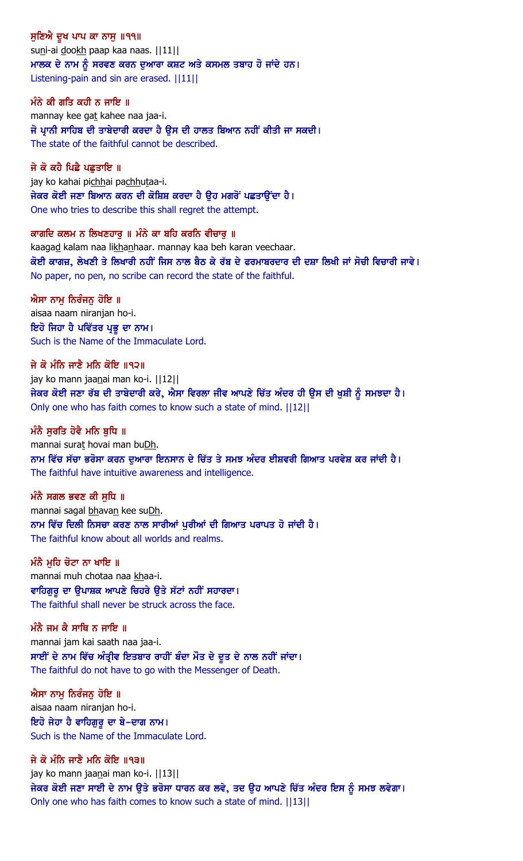ਸੁਣਿਐ ਦੁਖ ਪਾਪ ਕਾ ਨਾਸੁ ॥੧੧॥ suni-ai dookh paap kaa naas. | | 11| | ਮਾਲਕ ਦੇ ਨਾਮ ਨੂੰ ਸਰਵਣ ਕਰਨ ਦੁਆਰਾ ਕਸ਼ਟ ਅਤੇ ਕਸਮਲ ਤਬਾਹ ਹੋ ਜਾਂਦੇ ਹਨ। Listening-pain and sin are erased. ||11||

ਮੰਨੇ ਕੀ ਗਤਿ ਕਹੀ ਨ ਜਾਇ ॥ mannay kee gat kahee naa jaa-i. ਜੋ ਪ੍ਰਾਨੀ ਸਾਹਿਬ ਦੀ ਤਾਬੇਦਾਰੀ ਕਰਦਾ ਹੈ ਉਸ ਦੀ ਹਾਲਤ ਬਿਆਨ ਨਹੀਂ ਕੀਤੀ ਜਾ ਸਕਦੀ। The state of the faithful cannot be described.

ਜੇ ਕੋ ਕਹੈ ਪਿਛੈ ਪਛਤਾਇ ॥ jay ko kahai pichhai pachhutaa-i. ਜੇਕਰ ਕੋਈ ਜਣਾ ਬਿਆਨ ਕਰਨ ਦੀ ਕੋਸ਼ਿਸ਼ ਕਰਦਾ ਹੈ ਉਹ ਮਗਰੋਂ ਪਛਤਾਉਂਦਾ ਹੈ। One who tries to describe this shall regret the attempt.

ਕਾਗਦਿ ਕਲਮ ਨ ਲਿਖਣਹਾਰੁ ॥ ਮੰਨੇ ਕਾ ਬਹਿ ਕਰਨਿ ਵੀਚਾਰੁ ॥ kaagad kalam naa likhanhaar. mannay kaa beh karan veechaar. ਕੋਈ ਕਾਗਜ਼, ਲੇਖਣੀ ਤੇ ਲਿਖਾਰੀ ਨਹੀਂ ਜਿਸ ਨਾਲ ਬੈਠ ਕੇ ਰੱਬ ਦੇ ਫਰਮਾਬਰਦਾਰ ਦੀ ਦਸ਼ਾ ਲਿਖੀ ਜਾਂ ਸੋਚੀ ਵਿਚਾਰੀ ਜਾਵੇ। No paper, no pen, no scribe can record the state of the faithful.

ਐਸਾ ਨਾਮੁ ਨਿਰੰਜਨੁ ਹੋਇ ॥ aisaa naam niranjan ho-i. ਇਹੋ ਜਿਹਾ ਹੈ ਪਵਿੱਤਰ ਪ੍ਰਭੂ ਦਾ ਨਾਮ। Such is the Name of the Immaculate Lord.

ਜੇ ਕੋ ਮੰਨਿ ਜਾਣੈ ਮਨਿ ਕੋਇ ॥੧੨॥ jay ko mann jaanai man ko-i. | | 12| | ਜੇਕਰ ਕੋਈ ਜਣਾ ਰੱਬ ਦੀ ਤਾਬੇਦਾਰੀ ਕਰੇ, ਐਸਾ ਵਿਰਲਾ ਜੀਵ ਆਪਣੇ ਚਿੱਤ ਅੰਦਰ ਹੀ ਉਸ ਦੀ ਖੁਸ਼ੀ ਨੂੰ ਸਮਝਦਾ ਹੈ। Only one who has faith comes to know such a state of mind. ||12||

ਮੰਨੈ ਸਰਤਿ ਹੋਵੈ ਮਨਿ ਬਧਿ ॥ mannai surat hovai man buDh. ਨਾਮ ਵਿੱਚ ਸੱਚਾ ਭਰੋਸਾ ਕਰਨ ਦਆਰਾ ਇਨਸਾਨ ਦੇ ਚਿੱਤ ਤੇ ਸਮਝ ਅੰਦਰ ਈਸ਼ਵਰੀ ਗਿਆਤ ਪਰਵੇਸ਼ ਕਰ ਜਾਂਦੀ ਹੈ। The faithful have intuitive awareness and intelligence.

ਮੰਨੈ ਸਗਲ ਭਵਣ ਕੀ ਸਧਿ ॥ mannai sagal bhavan kee suDh. ਨਾਮ ਵਿੱਚ ਦਿਲੀ ਨਿਸਚਾ ਕਰਣ ਨਾਲ ਸਾਰੀਆਂ ਪਰੀਆਂ ਦੀ ਗਿਆਤ ਪਰਾਪਤ ਹੋ ਜਾਂਦੀ ਹੈ। The faithful know about all worlds and realms.

ਮੰਨੈ ਮਹਿ ਚੋਟਾ ਨਾ ਖਾਇ ॥ mannai muh chotaa naa khaa-i. ਵਾਹਿਗੁਰੂ ਦਾ ਉਪਾਸ਼ਕ ਆਪਣੇ ਚਿਹਰੇ ਉਤੇ ਸੱਟਾਂ ਨਹੀਂ ਸਹਾਰਦਾ। The faithful shall never be struck across the face.

ਮੰਨੈ ਜਮ ਕੈ ਸਾਥਿ ਨ ਜਾਇ ॥ mannai jam kai saath naa jaa-i. ਸਾਈਂ ਦੇ ਨਾਮ ਵਿੱਚ ਅੰਤ੍ਰੀਵ ਇਤਬਾਰ ਰਾਹੀਂ ਬੰਦਾ ਮੌਤ ਦੇ ਦੂਤ ਦੇ ਨਾਲ ਨਹੀਂ ਜਾਂਦਾ। The faithful do not have to go with the Messenger of Death.

ਐਸਾ ਨਾਮ ਨਿਰੰਜਨ ਹੋਇ ॥ aisaa naam niranjan ho-i. ਇਹੋ ਜੇਹਾ ਹੈ ਵਾਹਿਗਰ ਦਾ ਬੇ–ਦਾਗ ਨਾਮ। Such is the Name of the Immaculate Lord.

ਜੇ ਕੋ ਮੰਨਿ ਜਾਣੈ ਮਨਿ ਕੋਇ ॥੧੩॥ jay ko mann jaanai man ko-i. | | 13| | ਜੇਕਰ ਕੋਈ ਜਣਾ ਸਾਈ ਦੇ ਨਾਮ ਉਤੇ ਭਰੋਸਾ ਧਾਰਨ ਕਰ ਲਵੇ, ਤਦ ਉਹ ਆਪਣੇ ਚਿੱਤ ਅੰਦਰ ਇਸ ਨੂੰ ਸਮਝ ਲਵੇਗਾ। Only one who has faith comes to know such a state of mind. ||13||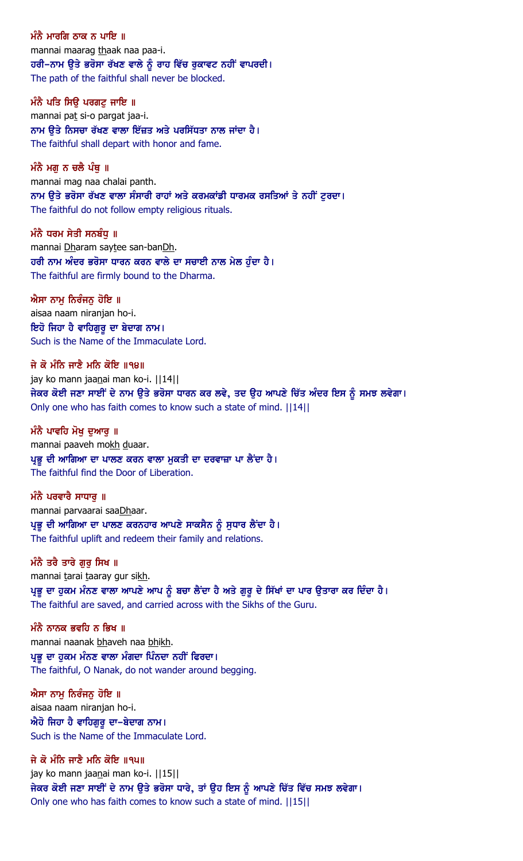ਮੰਨੈ ਮਾਰਗਿ ਨਾਕ ਨ ਪਾਇ ॥ mannai maarag thaak naa paa-i. ਹਰੀ–ਨਾਮ ਉਤੇ ਭਰੋਸਾ ਰੱਖਣ ਵਾਲੇ ਨੂੰ ਰਾਹ ਵਿੱਚ ਰੁਕਾਵਟ ਨਹੀਂ ਵਾਪਰਦੀ। The path of the faithful shall never be blocked.

ਮੰਨੈ ਪਤਿ ਸਿੳ ਪਰਗਟ ਜਾਇ ॥ mannai pat si-o pargat jaa-i. ਨਾਮ ਉਤੇ ਨਿਸਚਾ ਰੱਖਣ ਵਾਲਾ ਇੱਜ਼ਤ ਅਤੇ ਪਰਸਿੱਧਤਾ ਨਾਲ ਜਾਂਦਾ ਹੈ। The faithful shall depart with honor and fame.

ਮੰਨੈ ਮਗ ਨ ਚਲੈ ਪੰਥ ॥ mannai mag naa chalai panth. ਨਾਮ ਉਤੇ ਭਰੋਸਾ ਰੱਖਣ ਵਾਲਾ ਸੰਸਾਰੀ ਰਾਹਾਂ ਅਤੇ ਕਰਮਕਾਂਡੀ ਧਾਰਮਕ ਰਸਤਿਆਂ ਤੇ ਨਹੀਂ ਟੁਰਦਾ। The faithful do not follow empty religious rituals.

ਮੰਨੈ ਧਰਮ ਸੇਤੀ ਸਨਬੰਧੁ ॥ mannai Dharam saytee san-banDh. ਹਰੀ ਨਾਮ ਅੰਦਰ ਭਰੋਸਾ ਧਾਰਨ ਕਰਨ ਵਾਲੇ ਦਾ ਸਚਾਈ ਨਾਲ ਮੇਲ ਹੁੰਦਾ ਹੈ। The faithful are firmly bound to the Dharma.

ਐਸਾ ਨਾਮੂ ਨਿਰੰਜਨੂ ਹੋਇ ॥ aisaa naam niranjan ho-i. ਇਹੋ ਜਿਹਾ ਹੈ ਵਾਹਿਗੁਰੂ ਦਾ ਬੇਦਾਗ ਨਾਮ। Such is the Name of the Immaculate Lord.

ਜੇ ਕੋ ਮੰਨਿ ਜਾਣੈ ਮਨਿ ਕੋਇ ॥੧੪॥ jay ko mann jaanai man ko-i. | | 14| | ਜੇਕਰ ਕੋਈ ਜਣਾ ਸਾਈਂ ਦੇ ਨਾਮ ਉਤੇ ਭਰੋਸਾ ਧਾਰਨ ਕਰ ਲਵੇ, ਤਦ ਉਹ ਆਪਣੇ ਚਿੱਤ ਅੰਦਰ ਇਸ ਨੂੰ ਸਮਝ ਲਵੇਗਾ। Only one who has faith comes to know such a state of mind. ||14||

ਮੰਨੈ ਪਾਵਹਿ ਮੋਖ ਦਆਰ ॥ mannai paaveh mokh duaar. ਪ੍ਰਭੂ ਦੀ ਆਗਿਆ ਦਾ ਪਾਲਣ ਕਰਨ ਵਾਲਾ ਮੁਕਤੀ ਦਾ ਦਰਵਾਜ਼ਾ ਪਾ ਲੈਂਦਾ ਹੈ। The faithful find the Door of Liberation.

ਮੰਨੈ ਪਰਵਾਰੈ ਸਾਧਾਰ ॥ mannai parvaarai saaDhaar. ਪ੍ਰਭੂ ਦੀ ਆਗਿਆ ਦਾ ਪਾਲਣ ਕਰਨਹਾਰ ਆਪਣੇ ਸਾਕਸੈਨ ਨੂੰ ਸੁਧਾਰ ਲੈਂਦਾ ਹੈ। The faithful uplift and redeem their family and relations.

## ਮੰਨੈ ਤਰੈ ਤਾਰੇ ਗੁਰੁ ਸਿਖ ॥

mannai tarai taaray gur sikh. ਪ੍ਰਭੂ ਦਾ ਹੁਕਮ ਮੰਨਣ ਵਾਲਾ ਆਪਣੇ ਆਪ ਨੂੰ ਬਚਾ ਲੈਂਦਾ ਹੈ ਅਤੇ ਗੁਰੂ ਦੇ ਸਿੱਖਾਂ ਦਾ ਪਾਰ ਉਤਾਰਾ ਕਰ ਦਿੰਦਾ ਹੈ। The faithful are saved, and carried across with the Sikhs of the Guru.

ਮੰਨੈ ਨਾਨਕ ਭਵਹਿ ਨ ਭਿਖ $\,$  ॥ mannai naanak bhaveh naa bhikh. ਪ੍ਰਭੂ ਦਾ ਹੁਕਮ ਮੰਨਣ ਵਾਲਾ ਮੰਗਦਾ ਪਿੰਨਦਾ ਨਹੀਂ ਫਿਰਦਾ।

The faithful, O Nanak, do not wander around begging.

ਐਸਾ ਨਾਮ ਨਿਰੰਜਨ ਹੋਇ ॥ aisaa naam niranjan ho-i.  $\hat{\mathcal{M}}$ ਹੋ ਜਿਹਾ ਹੈ ਵਾਹਿਗੁਰੂ ਦਾ–ਬੇਦਾਗ ਨਾਮ। Such is the Name of the Immaculate Lord.

ਜੇ ਕੋ ਮੰਨਿ ਜਾਣੈ ਮਨਿ ਕੋਇ ॥੧੫॥ jay ko mann jaanai man ko-i. | | 15| | ਜੇਕਰ ਕੋਈ ਜਣਾ ਸਾਈਂ ਦੇ ਨਾਮ ਉਤੇ ਭਰੋਸਾ ਧਾਰੇ, ਤਾਂ ਉਹ ਇਸ ਨੂੰ ਆਪਣੇ ਚਿੱਤ ਵਿੱਚ ਸਮਝ ਲਵੇਗਾ। Only one who has faith comes to know such a state of mind. ||15||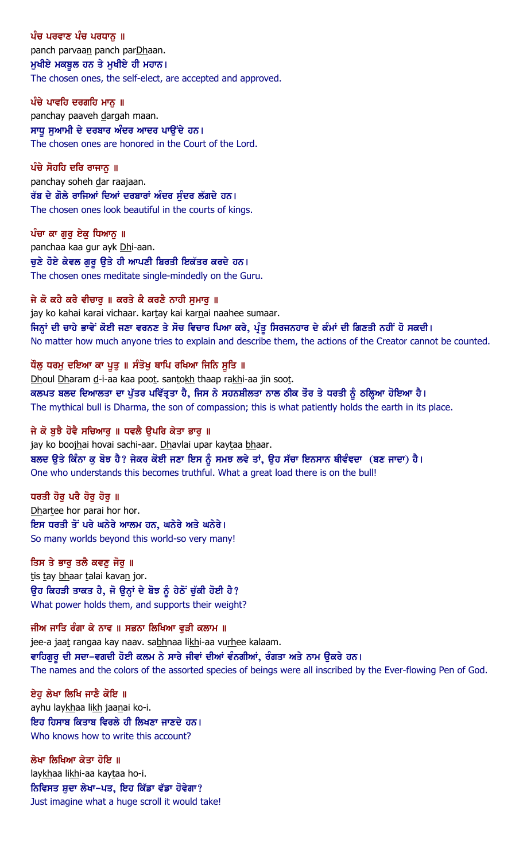ਪੰਚ ਪਰਵਾਣ ਪੰਚ ਪਰਧਾਨ ॥ panch parvaan panch parDhaan. ਮੁਖੀਏ ਮਕਬੂਲ ਹਨ ਤੇ ਮੁਖੀਏ ਹੀ ਮਹਾਨ। The chosen ones, the self-elect, are accepted and approved.

ਪੰਚੇ ਪਾਵਹਿ ਦਰਗਹਿ ਮਾਨ ॥ panchay paaveh dargah maan. ਸਾਧੁ ਸੁਆਮੀ ਦੇ ਦਰਬਾਰ ਅੰਦਰ ਆਦਰ ਪਾਉਂਦੇ ਹਨ। The chosen ones are honored in the Court of the Lord.

 $\hat{u}$ ਚੇ ਸੋਹਹਿ ਦਰਿ ਰਾਜਾਨ ॥ panchay soheh dar raajaan. ਰੱਬ ਦੇ ਗੋਲੇ ਰਾਜਿਆਂ ਦਿਆਂ ਦਰਬਾਰਾਂ ਅੰਦਰ ਸੁੰਦਰ ਲੱਗਦੇ ਹਨ। The chosen ones look beautiful in the courts of kings.

ਪੰਚਾ ਕਾ ਗੁਰੂ ਏਕੂ ਧਿਆਨੂ ॥ panchaa kaa gur ayk Dhi-aan. ਚੁਣੇ ਹੋਏ ਕੇਵਲ ਗੁਰੂ ਉਤੇ ਹੀ ਆਪਣੀ ਬਿਰਤੀ ਇਕੱਤਰ ਕਰਦੇ ਹਨ। The chosen ones meditate single-mindedly on the Guru.

ਜੇ ਕੋ ਕਹੈ ਕਰੈ ਵੀਚਾਰੂ ॥ ਕਰਤੇ ਕੈ ਕਰਣੈ ਨਾਹੀ ਸੁਮਾਰੂ ॥ jay ko kahai karai vichaar. kartay kai karnai naahee sumaar. ਜਿਨ੍ਹਾਂ ਦੀ ਚਾਹੇ ਭਾਵੇਂ ਕੋਈ ਜਣਾ ਵਰਨਣ ਤੇ ਸੋਚ ਵਿਚਾਰ ਪਿਆ ਕਰੇ, ਪ੍ਰੰਤੂ ਸਿਰਜਨਹਾਰ ਦੇ ਕੰਮਾਂ ਦੀ ਗਿਣਤੀ ਨਹੀਂ ਹੋ ਸਕਦੀ। No matter how much anyone tries to explain and describe them, the actions of the Creator cannot be counted.

ਧੌਲੂ ਧਰਮੂ ਦਇਆ ਕਾ ਪੁਤੁ ॥ ਸੰਤੋਖੁ ਥਾਪਿ ਰਖਿਆ ਜਿਨਿ ਸੁਤਿ ॥ Dhoul Dharam d-i-aa kaa poot. santokh thaap rakhi-aa jin soot. ਕਲਪਤ ਬਲਦ ਦਿਆਲਤਾ ਦਾ ਪੁੱਤਰ ਪਵਿੱਤ੍ਰਤਾ ਹੈ, ਜਿਸ ਨੇ ਸਹਨਸ਼ੀਲਤਾ ਨਾਲ ਠੀਕ ਤੌਰ ਤੇ ਧਰਤੀ ਨੂੰ ਠਲ੍ਹਿਆ ਹੋਇਆ ਹੈ। The mythical bull is Dharma, the son of compassion; this is what patiently holds the earth in its place.

ਜੇ ਕੋ ਬਝੈ ਹੋਵੈ ਸਚਿਆਰ ॥ ਧਵਲੈ ੳਪਰਿ ਕੇਤਾ ਭਾਰ ॥ jay ko boojhai hovai sachi-aar. Dhavlai upar kaytaa bhaar. ਬਲਦ ਉਤੇ ਕਿੰਨਾ ਕੁ ਬੋਝ ਹੈ? ਜੇਕਰ ਕੋਈ ਜਣਾ ਇਸ ਨੂੰ ਸਮਝ ਲਵੇ ਤਾਂ, ਉਹ ਸੱਚਾ ਇਨਸਾਨ ਥੀਵੰਞਦਾ (ਬਣ ਜਾਦਾ) ਹੈ। One who understands this becomes truthful. What a great load there is on the bull!

ਧਰਤੀ ਹੋਰ ਪਰੈ ਹੋਰ ਹੋਰ ॥ Dhartee hor parai hor hor. ਇਸ ਧਰਤੀ ਤੋਂ ਪਰੇ ਘਨੇਰੇ ਆਲਮ ਹਨ, ਘਨੇਰੇ ਅਤੇ ਘਨੇਰੇ। So many worlds beyond this world-so very many!

ਤਿਸ ਤੇ ਭਾਰ ਤਲੈ ਕਵਣ ਜੋਰ ॥ tis tay bhaar talai kavan jor. ਉਹ ਕਿਹੜੀ ਤਾਕਤ ਹੈ, ਜੋ ਉਨ੍ਹਾਂ ਦੇ ਬੋਝ ਨੂੰ ਹੇਠੋਂ ਚੁੱਕੀ ਹੋਈ ਹੈ?

What power holds them, and supports their weight?

ਜੀਅ ਜਾਤਿ ਰੰਗਾ ਕੇ ਨਾਵ ॥ ਸਭਨਾ ਲਿਖਿਆ ਵੜੀ ਕਲਾਮ ॥ jee-a jaat rangaa kay naav. sabhnaa likhi-aa vurhee kalaam. ਵਾਹਿਗੁਰੂ ਦੀ ਸਦਾ-ਵਗਦੀ ਹੋਈ ਕਲਮ ਨੇ ਸਾਰੇ ਜੀਵਾਂ ਦੀਆਂ ਵੰਨਗੀਆਂ, ਰੰਗਤਾ ਅਤੇ ਨਾਮ ਉਕਰੇ ਹਨ। The names and the colors of the assorted species of beings were all inscribed by the Ever-flowing Pen of God.

ਏਹ ਲੇਖਾ ਲਿਖਿ ਜਾਣੈ ਕੋਇ ॥ ayhu laykhaa likh jaanai ko-i. ਇਹ ਹਿਸਾਬ ਕਿਤਾਬ ਵਿਰਲੇ ਹੀ ਲਿਖਣਾ ਜਾਣਦੇ ਹਨ। Who knows how to write this account?

ਲੇਖਾ ਲਿਖਿਆ ਕੇਤਾ ਹੋਇ ॥ laykhaa likhi-aa kaytaa ho-i. ਨਿਵਿਸਤ ਸ਼ੁਦਾ ਲੇਖਾ-ਪਤ, ਇਹ ਕਿੱਡਾ ਵੱਡਾ ਹੋਵੇਗਾ? Just imagine what a huge scroll it would take!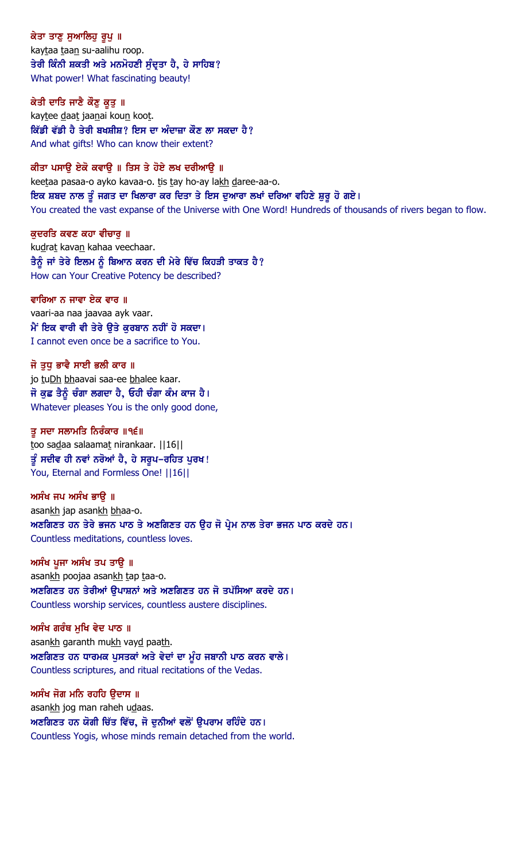ਕੇਤਾ ਤਾਣੂ ਸੁਆਲਿਹੂ ਰੂਪੂ ॥ kaytaa taan su-aalihu roop. ਤੇਰੀ ਕਿੰਨੀ ਸ਼ਕਤੀ ਅਤੇ ਮਨਮੋਹਣੀ ਸੁੰਦ੍ਰਤਾ ਹੈ, ਹੇ ਸਾਹਿਬ? What power! What fascinating beauty!

ਕੇਤੀ ਦਾਤਿ ਜਾਣੈ ਕੌਣੁ ਕੁਤੁ ॥ kaytee daat jaanai koun koot. ਕਿੱਡੀ ਵੱਡੀ ਹੈ ਤੇਰੀ ਬਖਸ਼ੀਸ਼? ਇਸ ਦਾ ਅੰਦਾਜ਼ਾ ਕੌਣ ਲਾ ਸਕਦਾ ਹੈ? And what gifts! Who can know their extent?

ਕੀਤਾ ਪਸਾੳ ਏਕੋ ਕਵਾੳ ॥ ਤਿਸ ਤੇ ਹੋਏ ਲਖ ਦਰੀਆੳ ॥ keetaa pasaa-o ayko kavaa-o. tis tay ho-ay lakh daree-aa-o. ਇਕ ਸ਼ਬਦ ਨਾਲ ਤੂੰ ਜਗਤ ਦਾ ਖਿਲਾਰਾ ਕਰ ਦਿਤਾ ਤੇ ਇਸ ਦੁਆਰਾ ਲਖਾਂ ਦਰਿਆ ਵਹਿਣੇ ਸ਼ੁਰੂ ਹੋ ਗਏ। You created the vast expanse of the Universe with One Word! Hundreds of thousands of rivers began to flow.

ਕੁਦਰਤਿ ਕਵਣ ਕਹਾ ਵੀਚਾਰੂ ॥ kudrat kavan kahaa veechaar. ਤੈਨੂੰ ਜਾਂ ਤੇਰੇ ਇਲਮ ਨੂੰ ਬਿਆਨ ਕਰਨ ਦੀ ਮੇਰੇ ਵਿੱਚ ਕਿਹੜੀ ਤਾਕਤ ਹੈ? How can Your Creative Potency be described?

ਵਾਰਿਆ ਨ ਜਾਵਾ ਏਕ ਵਾਰ ॥ vaari-aa naa jaavaa ayk vaar. ਮੈਂ ਇਕ ਵਾਰੀ ਵੀ ਤੇਰੇ ਉਤੇ ਕੁਰਬਾਨ ਨਹੀਂ ਹੋ ਸਕਦਾ। I cannot even once be a sacrifice to You.

ਜੋ ਤਧ ਭਾਵੈ ਸਾਈ ਭਲੀ ਕਾਰ ॥ jo tuDh bhaavai saa-ee bhalee kaar. ਜੋ ਕੁਛ ਤੈਨੂੰ ਚੰਗਾ ਲਗਦਾ ਹੈ, ਓਹੀ ਚੰਗਾ ਕੰਮ ਕਾਜ ਹੈ। Whatever pleases You is the only good done,

ਤ ਸਦਾ ਸਲਾਮਤਿ ਨਿਰੰਕਾਰ ॥੧੬॥ too sadaa salaamat nirankaar. | | 16| | ਤੂੰ ਸਦੀਵ ਹੀ ਨਵਾਂ ਨਰੋਆਂ ਹੈ, ਹੇ ਸਰੁਪ–ਰਹਿਤ ਪੁਰਖ! You, Eternal and Formless One! ||16||

ਅਸੰਖ ਜਪ ਅਸੰਖ ਭਾੳ ॥ asankh jap asankh bhaa-o. ਅਣਗਿਣਤ ਹਨ ਤੇਰੇ ਭਜਨ ਪਾਠ ਤੇ ਅਣਗਿਣਤ ਹਨ ਉਹ ਜੋ ਪ੍ਰੇਮ ਨਾਲ ਤੇਰਾ ਭਜਨ ਪਾਠ ਕਰਦੇ ਹਨ। Countless meditations, countless loves.

ਅਸੰਖ ਪੁਜਾ ਅਸੰਖ ਤਪ ਤਾਉ ॥ asankh poojaa asankh tap taa-o. ਅਣਗਿਣਤ ਹਨ ਤੇਰੀਆਂ ੳਪਾਸ਼ਨਾਂ ਅਤੇ ਅਣਗਿਣਤ ਹਨ ਜੋ ਤਪੱਸਿਆ ਕਰਦੇ ਹਨ। Countless worship services, countless austere disciplines.

ਅਸੰਖ ਗਰੰਥ ਮਖਿ ਵੇਦ ਪਾਠ ॥ asankh garanth mukh vayd paath.  $M$ ਣਗਿਣਤ ਹਨ ਧਾਰਮਕ ਪੁਸਤਕਾਂ ਅਤੇ ਵੇਦਾਂ ਦਾ ਮੂੰਹ ਜਬਾਨੀ ਪਾਠ ਕਰਨ ਵਾਲੇ। Countless scriptures, and ritual recitations of the Vedas.

ਅਸੰਖ ਜੋਗ ਮਨਿ ਰਹਹਿ ੳਦਾਸ ॥ asankh jog man raheh udaas. ਅਣਗਿਣਤ ਹਨ ਯੋਗੀ ਚਿੱਤ ਵਿੱਚ, ਜੋ ਦੁਨੀਆਂ ਵਲੋਂ ਉਪਰਾਮ ਰਹਿੰਦੇ ਹਨ। Countless Yogis, whose minds remain detached from the world.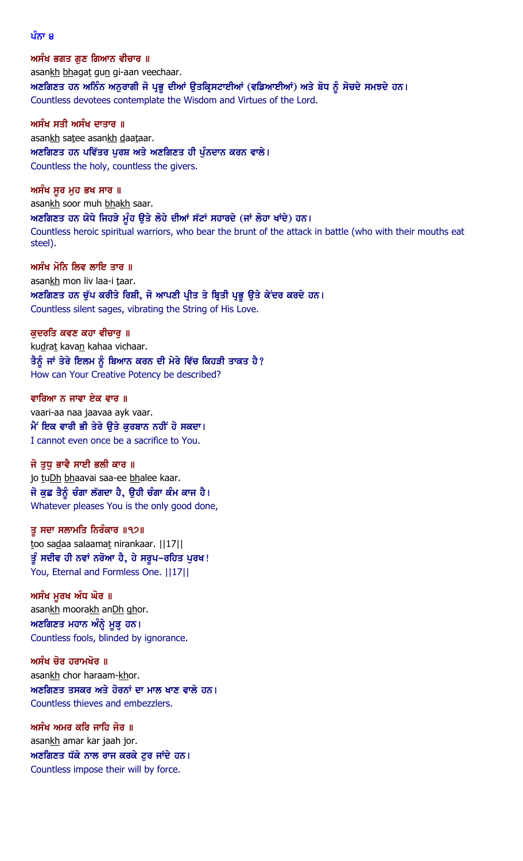#### ਪੰਨਾ ੪

ਅਸੰਖ ਭਗਤ ਗੁਣ ਗਿਆਨ ਵੀਚਾਰ ॥ asankh bhagat gun gi-aan veechaar. ਅਣਗਿਣਤ ਹਨ ਅਨਿੰਨ ਅਨੁਰਾਗੀ ਜੋ ਪ੍ਰਭੂ ਦੀਆਂ ਉਤਕ੍ਰਿਸਟਾਈਆਂ (ਵਡਿਆਈਆਂ) ਅਤੇ ਬੋਧ ਨੂੰ ਸੋਚਦੇ ਸਮਝਦੇ ਹਨ। Countless devotees contemplate the Wisdom and Virtues of the Lord.

ਅਸੰਖ ਸਤੀ ਅਸੰਖ ਦਾਤਾਰ ॥ asankh satee asankh daataar. ਅਣਗਿਣਤ ਹਨ ਪਵਿੱਤਰ ਪੂਰਸ਼ ਅਤੇ ਅਣਗਿਣਤ ਹੀ ਪੁੰਨਦਾਨ ਕਰਨ ਵਾਲੇ। Countless the holy, countless the givers.

ਅਸੰਖ ਸੁਰ ਮੁਹ ਭਖ ਸਾਰ ॥ asankh soor muh bhakh saar. ਅਣਗਿਣਤ ਹਨ ਯੋਧੇ ਜਿਹੜੇ ਮੂੰਹ ਉਤੇ ਲੋਹੇ ਦੀਆਂ ਸੱਟਾਂ ਸਹਾਰਦੇ (ਜਾਂ ਲੋਹਾ ਖਾਂਦੇ) ਹਨ। Countless heroic spiritual warriors, who bear the brunt of the attack in battle (who with their mouths eat steel).

ਅਸੰਖ ਮੋਨਿ ਲਿਵ ਲਾਇ ਤਾਰ ॥ asankh mon liv laa-i taar. ਅਣਗਿਣਤ ਹਨ ਚੁੱਪ ਕਰੀਤੇ ਰਿਸ਼ੀ, ਜੋ ਆਪਣੀ ਪ੍ਰੀਤ ਤੇ ਬ੍ਰਿਤੀ ਪ੍ਰਭੁ ਉਤੇ ਕੇਂਦਰ ਕਰਦੇ ਹਨ। Countless silent sages, vibrating the String of His Love.

ਕਦਰਤਿ ਕਵਣ ਕਹਾ ਵੀਚਾਰ ॥ kudrat kavan kahaa vichaar. ਤੈਨੂੰ ਜਾਂ ਤੇਰੇ ਇਲਮ ਨੂੰ ਬਿਆਨ ਕਰਨ ਦੀ ਮੇਰੇ ਵਿੱਚ ਕਿਹੜੀ ਤਾਕਤ ਹੈ? How can Your Creative Potency be described?

ਵਾਰਿਆ ਨ ਜਾਵਾ ਏਕ ਵਾਰ ॥ vaari-aa naa jaavaa ayk vaar. ਮੈਂ ਇਕ ਵਾਰੀ ਭੀ ਤੇਰੇ ਉਤੇ ਕੁਰਬਾਨ ਨਹੀਂ ਹੋ ਸਕਦਾ। I cannot even once be a sacrifice to You.

ਜੋ ਤੁਧ ਭਾਵੈ ਸਾਈ ਭਲੀ ਕਾਰ ॥ jo tuDh bhaavai saa-ee bhalee kaar. ਜੋ ਕੁਛ ਤੈਨੂੰ ਚੰਗਾ ਲੱਗਦਾ ਹੈ, ਉਹੀ ਚੰਗਾ ਕੰਮ ਕਾਜ ਹੈ। Whatever pleases You is the only good done,

ਤੂ ਸਦਾ ਸਲਾਮਤਿ ਨਿਰੰਕਾਰ ॥੧੭॥ too sadaa salaamat nirankaar. ||17|| ਤੂੰ ਸਦੀਵ ਹੀ ਨਵਾਂ ਨਰੋਆ ਹੈ, ਹੇ ਸਰੂਪ–ਰਹਿਤ ਪੂਰਖ! You, Eternal and Formless One. ||17||

ਅਸੰਖ ਮੁਰਖ ਅੰਧ ਘੋਰ ॥ asankh moorakh anDh ghor. ਅਣਗਿਣਤ ਮਹਾਨ ਅੰਨ੍ਹੇ ਮੁੜ੍ਹ ਹਨ। Countless fools, blinded by ignorance.

ਅਸੰਖ ਚੋਰ ਹਰਾਮਖੋਰ ॥ asankh chor haraam-khor.  $M$ ਣਗਿਣਤ ਤਸਕਰ ਅਤੇ ਹੋਰਨਾਂ ਦਾ ਮਾਲ ਖਾਣ ਵਾਲੇ ਹਨ। Countless thieves and embezzlers.

ਅਸੰਖ ਅਮਰ ਕਰਿ ਜਾਹਿ ਜੋਰ ॥ asankh amar kar jaah jor.  $M$ ਣਗਿਣਤ ਧੱਕੇ ਨਾਲ ਰਾਜ ਕਰਕੇ ਟੂਰ ਜਾਂਦੇ ਹਨ। Countless impose their will by force.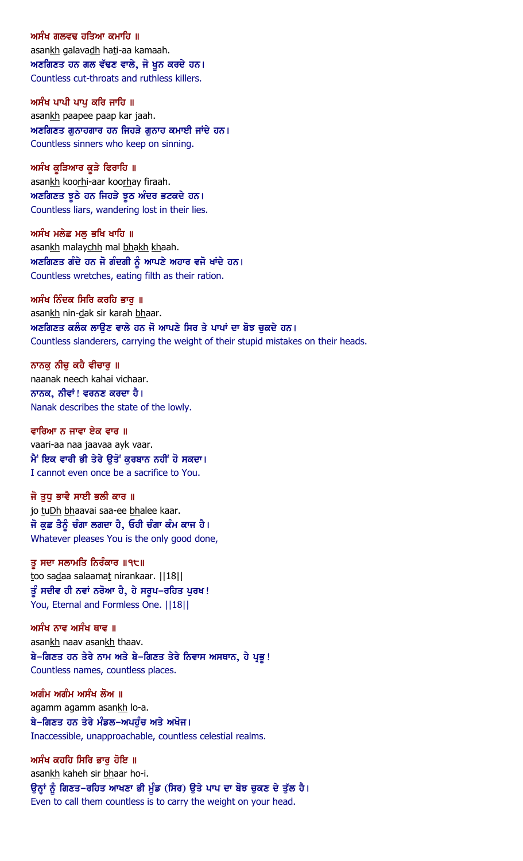ਅਸੰਖ ਗਲਵਢ ਹਤਿਆ ਕਮਾਹਿ ॥ asankh galavadh hati-aa kamaah.  $M$ ਣਗਿਣਤ ਹਨ ਗਲ ਵੱਢਣ ਵਾਲੇ, ਜੋ ਖੂਨ ਕਰਦੇ ਹਨ। Countless cut-throats and ruthless killers.

ਅਸੰਖ ਪਾਪੀ ਪਾਪ ਕਰਿ ਜਾਹਿ ॥ asankh paapee paap kar jaah. ਅਣਗਿਣਤ ਗੁਨਾਹਗਾਰ ਹਨ ਜਿਹੜੇ ਗੁਨਾਹ ਕਮਾਈ ਜਾਂਦੇ ਹਨ। Countless sinners who keep on sinning.

ਅਸੰਖ ਕੁੜਿਆਰ ਕੁੜੇ ਫਿਰਾਹਿ ॥ asankh koorhi-aar koorhay firaah. ਅਣਗਿਣਤ ਝੁਠੇ ਹਨ ਜਿਹੜੇ ਝੁਠ ਅੰਦਰ ਭਟਕਦੇ ਹਨ। Countless liars, wandering lost in their lies.

ਅਸੰਖ ਮਲੇਛ ਮਲੂ ਭਖਿ ਖਾਹਿ ॥ asankh malaychh mal bhakh khaah.  $M$ ਣਗਿਣਤ ਗੰਦੇ ਹਨ ਜੋ ਗੰਦਗੀ ਨੂੰ ਆਪਣੇ ਅਹਾਰ ਵਜੋ ਖਾਂਦੇ ਹਨ। Countless wretches, eating filth as their ration.

ਅਸੰਖ ਨਿੰਦਕ ਸਿਰਿ ਕਰਹਿ ਭਾਰ ॥ asankh nin-dak sir karah bhaar. ਅਣਗਿਣਤ ਕਲੰਕ ਲਾੳਣ ਵਾਲੇ ਹਨ ਜੋ ਆਪਣੇ ਸਿਰ ਤੇ ਪਾਪਾਂ ਦਾ ਬੋਝ ਚਕਦੇ ਹਨ। Countless slanderers, carrying the weight of their stupid mistakes on their heads.

ਨਾਨਕੁ ਨੀਚੁ ਕਹੈ ਵੀਚਾਰੁ ॥ naanak neech kahai vichaar. ਨਾਨਕ, ਨੀਵਾਂ ! ਵਰਨਣ ਕਰਦਾ ਹੈ। Nanak describes the state of the lowly.

ਵਾਰਿਆ ਨ ਜਾਵਾ ਏਕ ਵਾਰ ॥ vaari-aa naa jaavaa ayk vaar. ਮੈਂ ਇਕ ਵਾਰੀ ਭੀ ਤੇਰੇ ਉਤੋਂ ਕੁਰਬਾਨ ਨਹੀਂ ਹੋ ਸਕਦਾ। I cannot even once be a sacrifice to You.

ਜੋ ਤਧ ਭਾਵੈ ਸਾਈ ਭਲੀ ਕਾਰ ॥ jo tuDh bhaavai saa-ee bhalee kaar. ਜੋ ਕੁਛ ਤੈਨੂੰ ਚੰਗਾ ਲਗਦਾ ਹੈ, ਓਹੀ ਚੰਗਾ ਕੰਮ ਕਾਜ ਹੈ। Whatever pleases You is the only good done,

ਤ ਸਦਾ ਸਲਾਮਤਿ ਨਿਰੰਕਾਰ ॥੧੮॥ too sadaa salaamat nirankaar. ||18|| ਤੂੰ ਸਦੀਵ ਹੀ ਨਵਾਂ ਨਰੋਆ ਹੈ, ਹੇ ਸਰੂਪ–ਰਹਿਤ ਪੂਰਖ! You, Eternal and Formless One. ||18||

ਅਸੰਖ ਨਾਵ ਅਸੰਖ ਥਾਵ ॥ asankh naav asankh thaav. ਬੇ-ਗਿਣਤ ਹਨ ਤੇਰੇ ਨਾਮ ਅਤੇ ਬੇ-ਗਿਣਤ ਤੇਰੇ ਨਿਵਾਸ ਅਸਥਾਨ, ਹੇ ਪ੍ਰਭੂ! Countless names, countless places.

ਅਗੰਮ ਅਗੰਮ ਅਸੰਖ ਲੋਅ ॥ agamm agamm asankh lo-a. ਬੇ-ਗਿਣਤ ਹਨ ਤੇਰੇ ਮੰਡਲ-ਅਪਹੰਚ ਅਤੇ ਅਖੋਜ। Inaccessible, unapproachable, countless celestial realms.

ਅਸੰਖ ਕਹਹਿ ਸਿਰਿ ਭਾਰ ਹੋਇ ॥ asankh kaheh sir bhaar ho-i. ਉਨ੍ਹਾਂ ਨੂੰ ਗਿਣਤ-ਰਹਿਤ ਆਖਣਾ ਭੀ ਮੁੰਡ (ਸਿਰ) ਉਤੇ ਪਾਪ ਦਾ ਬੋਝ ਚੁਕਣ ਦੇ ਤੁੱਲ ਹੈ। Even to call them countless is to carry the weight on your head.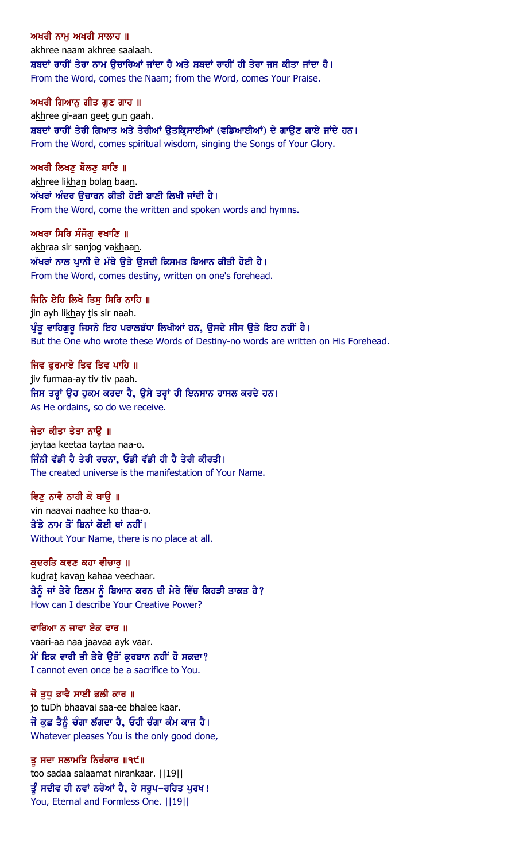ਅਖਰੀ ਨਾਮ ਅਖਰੀ ਸਾਲਾਹ ॥ akhree naam akhree saalaah. ਸ਼ਬਦਾਂ ਰਾਹੀਂ ਤੇਰਾ ਨਾਮ ੳਚਾਰਿਆਂ ਜਾਂਦਾ ਹੈ ਅਤੇ ਸ਼ਬਦਾਂ ਰਾਹੀਂ ਹੀ ਤੇਰਾ ਜਸ ਕੀਤਾ ਜਾਂਦਾ ਹੈ। From the Word, comes the Naam; from the Word, comes Your Praise.

ਅਖਰੀ ਗਿਆਨ ਗੀਤ ਗਣ ਗਾਹ ॥ akhree gi-aan geet gun gaah. ਸ਼ਬਦਾਂ ਰਾਹੀਂ ਤੇਰੀ ਗਿਆਤ ਅਤੇ ਤੇਰੀਆਂ ਉਤਕ੍ਰਿਸਾਈਆਂ (ਵਡਿਆਈਆਂ) ਦੇ ਗਾਉਣ ਗਾਏ ਜਾਂਦੇ ਹਨ। From the Word, comes spiritual wisdom, singing the Songs of Your Glory.

ਅਖਰੀ ਲਿਖਣ ਬੋਲਣ ਬਾਣਿ ॥ akhree likhan bolan baan. ਅੱਖਰਾਂ ਅੰਦਰ ੳਚਾਰਨ ਕੀਤੀ ਹੋਈ ਬਾਣੀ ਲਿਖੀ ਜਾਂਦੀ ਹੈ। From the Word, come the written and spoken words and hymns.

ਅਖਰਾ ਸਿਰਿ ਸੰਜੋਗ ਵਖਾਣਿ ॥ akhraa sir sanjog vakhaan. ਅੱਖਰਾਂ ਨਾਲ ਪਾਨੀ ਦੇ ਮੱਥੇ ਉਤੇ ਉਸਦੀ ਕਿਸਮਤ ਬਿਆਨ ਕੀਤੀ ਹੋਈ ਹੈ। From the Word, comes destiny, written on one's forehead.

ਜਿਨਿ ਏਹਿ ਲਿਖੇ ਤਿਸ ਸਿਰਿ ਨਾਹਿ ॥ jin ayh likhay tis sir naah. ਪ੍ਰੰਤੂ ਵਾਹਿਗੁਰੂ ਜਿਸਨੇ ਇਹ ਪਰਾਲਬੱਧਾ ਲਿਖੀਆਂ ਹਨ, ਉਸਦੇ ਸੀਸ ਉਤੇ ਇਹ ਨਹੀਂ ਹੈ। But the One who wrote these Words of Destiny-no words are written on His Forehead.

ਜਿਵ ਫਰਮਾਏ ਤਿਵ ਤਿਵ ਪਾਹਿ ॥ jiv furmaa-ay tiv tiv paah. ਜਿਸ ਤਰ੍ਹਾਂ ਉਹ ਹੁਕਮ ਕਰਦਾ ਹੈ, ਉਸੇ ਤਰ੍ਹਾਂ ਹੀ ਇਨਸਾਨ ਹਾਸਲ ਕਰਦੇ ਹਨ। As He ordains, so do we receive.

ਜੇਤਾ ਕੀਤਾ ਤੇਤਾ ਨਾੳ ॥ jaytaa keetaa taytaa naa-o. ਜਿੰਨੀ ਵੱਡੀ ਹੈ ਤੇਰੀ ਰਚਨਾ, ਓਡੀ ਵੱਡੀ ਹੀ ਹੈ ਤੇਰੀ ਕੀਰਤੀ। The created universe is the manifestation of Your Name.

ਵਿਣ ਨਾਵੈ ਨਾਹੀ ਕੋ ਥਾੳ ॥ vin naavai naahee ko thaa-o. ਤੈਂਡੇ ਨਾਮ ਤੋਂ ਬਿਨਾਂ ਕੋਈ ਥਾਂ ਨਹੀਂ। Without Your Name, there is no place at all.

ਕਦਰਤਿ ਕਵਣ ਕਹਾ ਵੀਚਾਰ ॥ kudrat kavan kahaa veechaar. ਤੈਨੂੰ ਜਾਂ ਤੇਰੇ ਇਲਮ ਨੂੰ ਬਿਆਨ ਕਰਨ ਦੀ ਮੇਰੇ ਵਿੱਚ ਕਿਹੜੀ ਤਾਕਤ ਹੈ? How can I describe Your Creative Power?

ਵਾਰਿਆ ਨ ਜਾਵਾ ਏਕ ਵਾਰ ॥ vaari-aa naa jaavaa ayk vaar. ਮੈਂ ਇਕ ਵਾਰੀ ਭੀ ਤੇਰੇ ੳਤੋਂ ਕਰਬਾਨ ਨਹੀਂ ਹੋ ਸਕਦਾ? I cannot even once be a sacrifice to You.

ਜੋ ਤਧ ਭਾਵੈ ਸਾਈ ਭਲੀ ਕਾਰ ॥ jo tuDh bhaavai saa-ee bhalee kaar. ਜੋ ਕਛ ਤੈਨੂੰ ਚੰਗਾ ਲੱਗਦਾ ਹੈ, ਓਹੀ ਚੰਗਾ ਕੰਮ ਕਾਜ ਹੈ। Whatever pleases You is the only good done,

ਤ ਸਦਾ ਸਲਾਮਤਿ ਨਿਰੰਕਾਰ ॥੧੯॥ too sadaa salaamat nirankaar. ||19|| ਤੂੰ ਸਦੀਵ ਹੀ ਨਵਾਂ ਨਰੋਆਂ ਹੈ, ਹੇ ਸਰੂਪ–ਰਹਿਤ ਪੂਰਖ! You, Eternal and Formless One. ||19||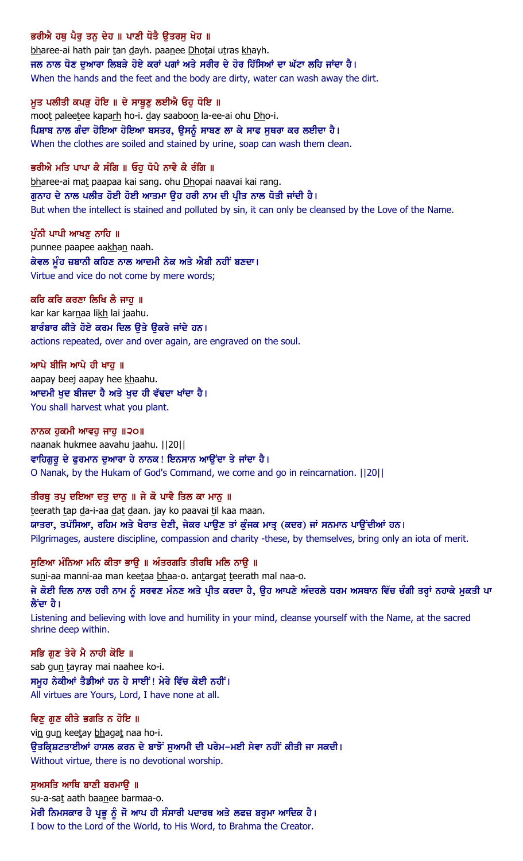## ਭਰੀਐ ਹਥ ਪੈਰ ਤਨ ਦੇਹ ॥ ਪਾਣੀ ਧੋਤੈ ਉਤਰਸੁ ਖੇਹ ॥

bharee-ai hath pair tan dayh. paanee Dhotai utras khayh. ਜਲ ਨਾਲ ਧੋਣ ਦਆਰਾ ਲਿਬੜੇ ਹੋਏ ਕਰਾਂ ਪਗਾਂ ਅਤੇ ਸਰੀਰ ਦੇ ਹੋਰ ਹਿੱਸਿਆਂ ਦਾ ਘੱਟਾ ਲਹਿ ਜਾਂਦਾ ਹੈ। When the hands and the feet and the body are dirty, water can wash away the dirt.

### ਮੁਤ ਪਲੀਤੀ ਕਪੜੁ ਹੋਇ ॥ ਦੇ ਸਾਬੁਣੁ ਲਈਐ ਓਹੁ ਧੋਇ ॥

moot paleetee kaparh ho-i. day saaboon la-ee-ai ohu Dho-i. ਪਿਸ਼ਾਬ ਨਾਲ ਗੰਦਾ ਹੋਇਆ ਹੋਇਆ ਬਸਤਰ, ਉਸਨੂੰ ਸਾਬਣ ਲਾ ਕੇ ਸਾਫ ਸੁਥਰਾ ਕਰ ਲਈਦਾ ਹੈ। When the clothes are soiled and stained by urine, soap can wash them clean.

### ਭਰੀਐ ਮਤਿ ਪਾਪਾ ਕੈ ਸੰਗਿ ॥ ਓਹ ਧੋਪੈ ਨਾਵੈ ਕੈ ਰੰਗਿ ॥

bharee-ai mat paapaa kai sang. ohu Dhopai naavai kai rang. ਗੁਨਾਹ ਦੇ ਨਾਲ ਪਲੀਤ ਹੋਈ ਹੋਈ ਆਤਮਾ ਉਹ ਹਰੀ ਨਾਮ ਦੀ ਪ੍ਰੀਤ ਨਾਲ ਧੋਤੀ ਜਾਂਦੀ ਹੈ। But when the intellect is stained and polluted by sin, it can only be cleansed by the Love of the Name.

### ਪੰਨੀ ਪਾਪੀ ਆਖਣ ਨਾਹਿ ॥

punnee paapee aakhan naah. ਕੇਵਲ ਮੂੰਹ ਜ਼ਬਾਨੀ ਕਹਿਣ ਨਾਲ ਆਦਮੀ ਨੇਕ ਅਤੇ ਐਬੀ ਨਹੀਂ ਬਣਦਾ। Virtue and vice do not come by mere words;

### ਕਰਿ ਕਰਿ ਕਰਣਾ ਲਿਖਿ ਲੈ ਜਾਹ ॥

kar kar karnaa likh lai jaahu. ਬਾਰੰਬਾਰ ਕੀਤੇ ਹੋਏ ਕਰਮ ਦਿਲ ੳਤੇ ੳਕਰੇ ਜਾਂਦੇ ਹਨ। actions repeated, over and over again, are engraved on the soul.

#### ਆਪੇ ਬੀਜਿ ਆਪੇ ਹੀ ਖਾਹ ॥

aapay beej aapay hee khaahu. ਆਦਮੀ ਖਦ ਬੀਜਦਾ ਹੈ ਅਤੇ ਖਦ ਹੀ ਵੱਢਦਾ ਖਾਂਦਾ ਹੈ। You shall harvest what you plant.

ਨਾਨਕ ਹਕਮੀ ਆਵਹ ਜਾਹ ॥੨੦॥ naanak hukmee aavahu jaahu. ||20|| ਵਾਹਿਗੁਰੂ ਦੇ ਫੁਰਮਾਨ ਦੁਆਰਾ ਹੇ ਨਾਨਕ! ਇਨਸਾਨ ਆਉਂਦਾ ਤੇ ਜਾਂਦਾ ਹੈ। O Nanak, by the Hukam of God's Command, we come and go in reincarnation. ||20||

### ਤੀਰਥ ਤਪ ਦਇਆ ਦਤ ਦਾਨ ॥ ਜੇ ਕੋ ਪਾਵੈ ਤਿਲ ਕਾ ਮਾਨ ॥

teerath tap da-i-aa dat daan. jay ko paavai til kaa maan. ਯਾਤਰਾ, ਤਪੱਸਿਆ, ਰਹਿਮ ਅਤੇ ਖੈਰਾਤ ਦੇਣੀ, ਜੇਕਰ ਪਾੳਣ ਤਾਂ ਕੰਜਕ ਮਾਤੂ (ਕਦਰ) ਜਾਂ ਸਨਮਾਨ ਪਾੳਂਦੀਆਂ ਹਨ। Pilgrimages, austere discipline, compassion and charity -these, by themselves, bring only an iota of merit.

ਸਣਿਆ ਮੰਨਿਆ ਮਨਿ ਕੀਤਾ ਭਾੳ ॥ ਅੰਤਰਗਤਿ ਤੀਰਥਿ ਮਲਿ ਨਾੳ ॥ suni-aa manni-aa man keetaa bhaa-o. antargat teerath mal naa-o. ਜੇ ਕੋਈ ਦਿਲ ਨਾਲ ਹਰੀ ਨਾਮ ਨੂੰ ਸਰਵਣ ਮੰਨਣ ਅਤੇ ਪ੍ਰੀਤ ਕਰਦਾ ਹੈ, ਉਹ ਆਪਣੇ ਅੰਦਰਲੇ ਧਰਮ ਅਸਥਾਨ ਵਿੱਚ ਚੰਗੀ ਤਰ੍ਹਾਂ ਨਹਾਕੇ ਮੁਕਤੀ ਪਾ ਲੈਂਦਾ ਹੈ।

Listening and believing with love and humility in your mind, cleanse yourself with the Name, at the sacred shrine deep within.

### ਸਭਿ ਗੁਣ ਤੇਰੇ ਮੈ ਨਾਹੀ ਕੋਇ ॥

sab gun tayray mai naahee ko-i. ਸਮੂਹ ਨੇਕੀਆਂ ਤੈਡੀਆਂ ਹਨ ਹੇ ਸਾਈਂ ! ਮੇਰੇ ਵਿੱਚ ਕੋਈ ਨਹੀਂ । All virtues are Yours, Lord, I have none at all.

ਵਿਣੂ ਗੁਣ ਕੀਤੇ ਭਗਤਿ ਨ ਹੋਇ ॥ vin gun keetay bhagat naa ho-i. ਉਤਕ੍ਰਿਸ਼ਟਤਾਈਆਂ ਹਾਸਲ ਕਰਨ ਦੇ ਬਾਝੋਂ ਸੁਆਮੀ ਦੀ ਪਰੇਮ–ਮਈ ਸੇਵਾ ਨਹੀਂ ਕੀਤੀ ਜਾ ਸਕਦੀ। Without virtue, there is no devotional worship.

ਸੁਅਸਤਿ ਆਥਿ ਬਾਣੀ ਬਰਮਾਉ ॥ su-a-sat aath baanee barmaa-o. ਮੇਰੀ ਨਿਮਸਕਾਰ ਹੈ ਪ੍ਰਭੂ ਨੂੰ ਜੋ ਆਪ ਹੀ ਸੰਸਾਰੀ ਪਦਾਰਥ ਅਤੇ ਲਫਜ਼ ਬਰ੍ਹਮਾ ਆਦਿਕ ਹੈ। I bow to the Lord of the World, to His Word, to Brahma the Creator.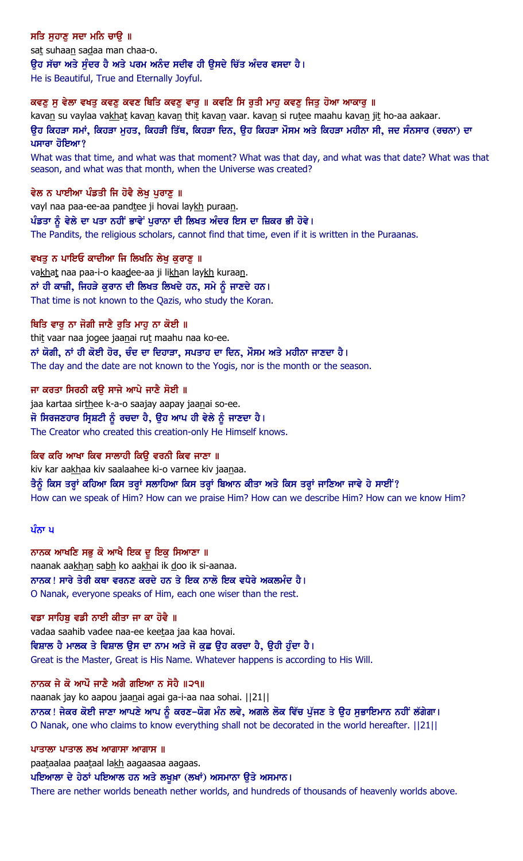ਸਤਿ ਸਹਾਣ ਸਦਾ ਮਨਿ ਚਾੳ ॥ sat suhaan sadaa man chaa-o. ਉਹ ਸੱਚਾ ਅਤੇ ਸੁੰਦਰ ਹੈ ਅਤੇ ਪਰਮ ਅਨੰਦ ਸਦੀਵ ਹੀ ਉਸਦੇ ਚਿੱਤ ਅੰਦਰ ਵਸਦਾ ਹੈ। He is Beautiful, True and Eternally Joyful.

#### ਕਵਣ ਸ ਵੇਲਾ ਵਖਤ ਕਵਣ ਕਵਣ ਥਿਤਿ ਕਵਣ ਵਾਰ ॥ ਕਵਣਿ ਸਿ ਰਤੀ ਮਾਹ ਕਵਣ ਜਿਤ ਹੋਆ ਆਕਾਰ ॥

kavan su vaylaa vakhat kavan kavan thit kavan vaar. kavan si rutee maahu kavan jit ho-aa aakaar. ਉਹ ਕਿਹੜਾ ਸਮਾਂ, ਕਿਹੜਾ ਮੁਹਤ, ਕਿਹੜੀ ਤਿੱਥ, ਕਿਹੜਾ ਦਿਨ, ਉਹ ਕਿਹੜਾ ਮੌਸਮ ਅਤੇ ਕਿਹੜਾ ਮਹੀਨਾ ਸੀ, ਜਦ ਸੰਨਸਾਰ (ਰਚਨਾ) ਦਾ ਪਸਾਰਾ ਹੋਇਆ?

What was that time, and what was that moment? What was that day, and what was that date? What was that season, and what was that month, when the Universe was created?

#### ਵੇਲ ਨ ਪਾਈਆ ਪੰਡਤੀ ਜਿ ਹੋਵੈ ਲੇਖ ਪੁਰਾਣੂ ॥

vayl naa paa-ee-aa pandtee ji hovai laykh puraan. ਪੰਡਤਾ ਨੰ ਵੇਲੇ ਦਾ ਪਤਾ ਨਹੀਂ ਭਾਵੇਂ ਪਰਾਨਾ ਦੀ ਲਿਖਤ ਅੰਦਰ ਇਸ ਦਾ ਜ਼ਿਕਰ ਭੀ ਹੋਵੇ। The Pandits, the religious scholars, cannot find that time, even if it is written in the Puraanas.

ਵਖਤੂ ਨ ਪਾਇਓ ਕਾਦੀਆ ਜਿ ਲਿਖਨਿ ਲੇਖੂ ਕੁਰਾਣੂ ॥ vakhat naa paa-i-o kaadee-aa ji likhan laykh kuraan. ਨਾਂ ਹੀ ਕਾਜ਼ੀ, ਜਿਹੜੇ ਕਰਾਨ ਦੀ ਲਿਖਤ ਲਿਖਦੇ ਹਨ, ਸਮੇ ਨੂੰ ਜਾਣਦੇ ਹਨ। That time is not known to the Qazis, who study the Koran.

#### ਥਿਤਿ ਵਾਰੂ ਨਾ ਜੋਗੀ ਜਾਣੈ ਰੁਤਿ ਮਾਹੂ ਨਾ ਕੋਈ ॥

thit vaar naa jogee jaanai rut maahu naa ko-ee. ਨਾਂ ਯੋਗੀ, ਨਾਂ ਹੀ ਕੋਈ ਹੋਰ, ਚੰਦ ਦਾ ਦਿਹਾੜਾ, ਸਪਤਾਹ ਦਾ ਦਿਨ, ਮੌਸਮ ਅਤੇ ਮਹੀਨਾ ਜਾਣਦਾ ਹੈ। The day and the date are not known to the Yogis, nor is the month or the season.

ਜਾ ਕਰਤਾ ਸਿਰਠੀ ਕਉ ਸਾਜੇ ਆਪੇ ਜਾਣੈ ਸੋਈ ॥

jaa kartaa sirthee k-a-o saajay aapay jaanai so-ee. ਜੋ ਸਿਰਜਣਹਾਰ ਸਿਸ਼ਟੀ ਨੂੰ ਰਚਦਾ ਹੈ, ਉਹ ਆਪ ਹੀ ਵੇਲੇ ਨੂੰ ਜਾਣਦਾ ਹੈ। The Creator who created this creation-only He Himself knows.

ਕਿਵ ਕਰਿ ਆਖਾ ਕਿਵ ਸਾਲਾਹੀ ਕਿਉ ਵਰਨੀ ਕਿਵ ਜਾਣਾ ॥ kiv kar aakhaa kiv saalaahee ki-o varnee kiv jaanaa. ਤੈਨੂੰ ਕਿਸ ਤਰ੍ਹਾਂ ਕਹਿਆ ਕਿਸ ਤਰ੍ਹਾਂ ਸਲਾਹਿਆ ਕਿਸ ਤਰ੍ਹਾਂ ਬਿਆਨ ਕੀਤਾ ਅਤੇ ਕਿਸ ਤਰ੍ਹਾਂ ਜਾਣਿਆ ਜਾਵੇ ਹੇ ਸਾਈਂ? How can we speak of Him? How can we praise Him? How can we describe Him? How can we know Him?

#### ਪੰਨਾ ਪ

ਨਾਨਕ ਆਖਣਿ ਸਭੁ ਕੋ ਆਖੈ ਇਕ ਦੁ ਇਕੁ ਸਿਆਣਾ ॥ naanak aakhan sabh ko aakhai ik doo ik si-aanaa. ਨਾਨਕ ! ਸਾਰੇ ਤੇਰੀ ਕਥਾ ਵਰਨਣ ਕਰਦੇ ਹਨ ਤੇ ਇਕ ਨਾਲੋ ਇਕ ਵਧੇਰੇ ਅਕਲਮੰਦ ਹੈ । O Nanak, everyone speaks of Him, each one wiser than the rest.

#### ਵਡਾ ਸਾਹਿਬੂ ਵਡੀ ਨਾਈ ਕੀਤਾ ਜਾ ਕਾ ਹੋਵੈ ॥

vadaa saahib vadee naa-ee keetaa jaa kaa hovai. ਵਿਸ਼ਾਲ ਹੈ ਮਾਲਕ ਤੇ ਵਿਸ਼ਾਲ ੳਸ ਦਾ ਨਾਮ ਅਤੇ ਜੋ ਕਛ ੳਹ ਕਰਦਾ ਹੈ, ੳਹੀ ਹੰਦਾ ਹੈ। Great is the Master, Great is His Name. Whatever happens is according to His Will.

#### ਨਾਨਕ ਜੇ ਕੋ ਆਪੌ ਜਾਣੈ ਅਗੈ ਗਇਆ ਨ ਸੋਹੈ ॥੨੧॥

naanak jay ko aapou jaanai agai ga-i-aa naa sohai. ||21|| ਨਾਨਕ ! ਜੇਕਰ ਕੋਈ ਜਾਣਾ ਆਪਣੇ ਆਪ ਨੂੰ ਕਰਣ-ਯੋਗ ਮੰਨ ਲਵੇ, ਅਗਲੇ ਲੋਕ ਵਿੱਚ ਪੁੱਜਣ ਤੇ ਉਹ ਸੁਭਾਇਮਾਨ ਨਹੀਂ ਲੱਗੇਗਾ। O Nanak, one who claims to know everything shall not be decorated in the world hereafter. ||21||

#### ਪਾਤਾਲਾ ਪਾਤਾਲ ਲਖ ਆਗਾਸਾ ਆਗਾਸ $\parallel$

paataalaa paataal lakh aagaasaa aagaas.

ਪਇਆਲਾ ਦੇ ਹੇਠਾਂ ਪਇਆਲ ਹਨ ਅਤੇ ਲਖਖ਼ਾ (ਲਖਾਂ) ਅਸਮਾਨਾ ੳਤੇ ਅਸਮਾਨ।

There are nether worlds beneath nether worlds, and hundreds of thousands of heavenly worlds above.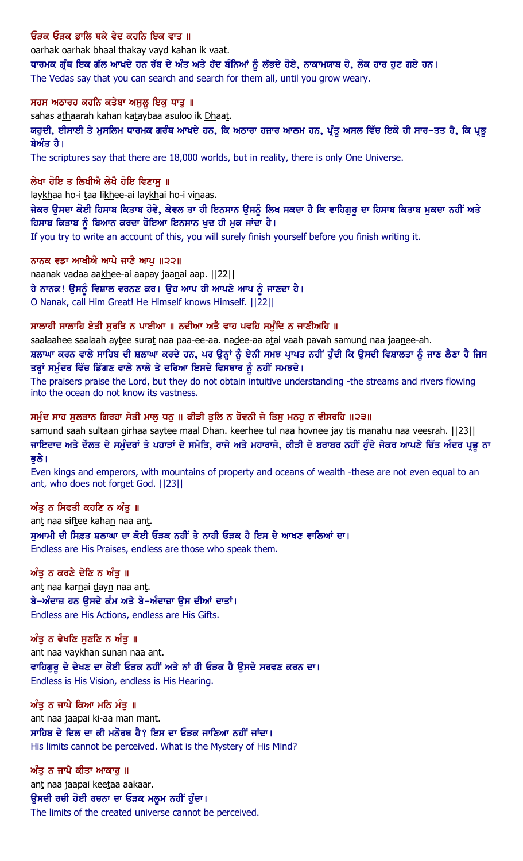## ਓਤਕ ਓਤਕ ਭਾਲਿ ਥਕੇ ਵੇਦ ਕਹਨਿ ਇਕ ਵਾਤ ॥

oarhak oarhak bhaal thakay vayd kahan ik vaat. ਧਾਰਮਕ ਗ੍ਰੰਥ ਇਕ ਗੱਲ ਆਖਦੇ ਹਨ ਰੱਬ ਦੇ ਅੰਤ ਅਤੇ ਹੱਦ ਬੰਨਿਆਂ ਨੂੰ ਲੱਭਦੇ ਹੋਏ, ਨਾਕਾਮਯਾਬ ਹੋ, ਲੋਕ ਹਾਰ ਹੁਟ ਗਏ ਹਨ। The Vedas say that you can search and search for them all, until you grow weary.

#### ਸਹਸ ਅਠਾਰਹ ਕਹਨਿ ਕਤੇਬਾ ਅਸਲ ਇਕ ਧਾਤ ॥

sahas athaarah kahan kataybaa asuloo ik Dhaat.

ਯਹੂਦੀ, ਈਸਾਈ ਤੇ ਮੁਸਲਿਮ ਧਾਰਮਕ ਗਰੰਥ ਆਖਦੇ ਹਨ, ਕਿ ਅਠਾਰਾ ਹਜ਼ਾਰ ਆਲਮ ਹਨ, ਪ੍ਰੰਤੂ ਅਸਲ ਵਿੱਚ ਇਕੋ ਹੀ ਸਾਰ**–ਤਤ ਹੈ, ਕਿ ਪ੍ਰ**ਭੂ ਬੇਅੰਤ ਹੈ।

The scriptures say that there are 18,000 worlds, but in reality, there is only One Universe.

#### ਲੇਖਾ ਹੋਇ ਤ ਲਿਖੀਐ ਲੇਖੈ ਹੋਇ ਵਿਣਾਸੁ ॥

laykhaa ho-i taa likhee-ai laykhai ho-i vinaas.

ਜੇਕਰ ਉਸਦਾ ਕੋਈ ਹਿਸਾਬ ਕਿਤਾਬ ਹੋਵੇ, ਕੇਵਲ ਤਾ ਹੀ ਇਨਸਾਨ ਉਸਨੂੰ ਲਿਖ ਸਕਦਾ ਹੈ ਕਿ ਵਾਹਿਗੁਰੂ ਦਾ ਹਿਸਾਬ ਕਿਤਾਬ ਮੁਕਦਾ ਨਹੀਂ ਅਤੇ ਹਿਸਾਬ ਕਿਤਾਬ ਨੂੰ ਬਿਆਨ ਕਰਦਾ ਹੋਇਆ ਇਨਸਾਨ ਖੁਦ ਹੀ ਮੁਕ ਜਾਂਦਾ ਹੈ।

If you try to write an account of this, you will surely finish yourself before you finish writing it.

#### ਨਾਨਕ ਵਡਾ ਆਖੀਐ ਆਪੇ ਜਾਣੈ ਆਪੁ ॥੨੨॥

naanak vadaa aakhee-ai aapay jaanai aap. | | 22 | | ਹੇ ਨਾਨਕ ! ਉਸਨੂੰ ਵਿਸ਼ਾਲ ਵਰਨਣ ਕਰ। ਉਹ ਆਪ ਹੀ ਆਪਣੇ ਆਪ ਨੂੰ ਜਾਣਦਾ ਹੈ। O Nanak, call Him Great! He Himself knows Himself. ||22||

#### ਸਾਲਾਹੀ ਸਾਲਾਹਿ ਏਤੀ ਸੁਰਤਿ ਨ ਪਾਈਆ ॥ ਨਦੀਆ ਅਤੈ ਵਾਹ ਪਵਹਿ ਸਮੁੰਦਿ ਨ ਜਾਣੀਅਹਿ ॥

saalaahee saalaah aytee surat naa paa-ee-aa. nadee-aa atai vaah pavah samund naa jaanee-ah. ਸ਼ਲਾਘਾ ਕਰਨ ਵਾਲੇ ਸਾਹਿਬ ਦੀ ਸ਼ਲਾਘਾ ਕਰਦੇ ਹਨ, ਪਰ ਉਨ੍ਹਾਂ ਨੂੰ ਏਨੀ ਸਮਝ ਪ੍ਰਾਪਤ ਨਹੀਂ ਹੁੰਦੀ ਕਿ ਉਸਦੀ ਵਿਸ਼ਾਲਤਾ ਨੂੰ ਜਾਣ ਲੈਣਾ ਹੈ ਜਿਸ ਤਰ੍ਹਾਂ ਸਮੁੰਦਰ ਵਿੱਚ ਡਿੱਗਣ ਵਾਲੇ ਨਾਲੇ ਤੇ ਦਰਿਆ ਇਸਦੇ ਵਿਸਥਾਰ ਨੂੰ ਨਹੀਂ ਸਮਝਦੇ।

The praisers praise the Lord, but they do not obtain intuitive understanding -the streams and rivers flowing into the ocean do not know its vastness.

#### ਸਮੁੰਦ ਸਾਹ ਸੁਲਤਾਨ ਗਿਰਹਾ ਸੇਤੀ ਮਾਲੂ ਧਨੂ ॥ ਕੀੜੀ ਤੁਲਿ ਨ ਹੋਵਨੀ ਜੇ ਤਿਸੂ ਮਨਹੂ ਨ ਵੀਸਰਹਿ ॥੨੩॥

samund saah sultaan girhaa saytee maal Dhan. keerhee tul naa hovnee jay tis manahu naa veesrah. [[23] [ ਜਾਇਦਾਦ ਅਤੇ ਦੌਲਤ ਦੇ ਸਮੁੰਦਰਾਂ ਤੇ ਪਹਾੜਾਂ ਦੇ ਸਮੇਤਿ, ਰਾਜੇ ਅਤੇ ਮਹਾਰਾਜੇ, ਕੀੜੀ ਦੇ ਬਰਾਬਰ ਨਹੀਂ ਹੁੰਦੇ ਜੇਕਰ ਆਪਣੇ ਚਿੱਤ ਅੰਦਰ ਪ੍ਰਭੂ ਨਾ ਭੁਲੇ।

Even kings and emperors, with mountains of property and oceans of wealth -these are not even equal to an ant, who does not forget God. ||23||

#### ਅੰਤੂ ਨ ਸਿਫਤੀ ਕਹਣਿ ਨ ਅੰਤੂ ॥

ant naa siftee kahan naa ant. ਸੁਆਮੀ ਦੀ ਸਿਫ਼ਤ ਸ਼ਲਾਘਾ ਦਾ ਕੋਈ ਓੜਕ ਨਹੀਂ ਤੇ ਨਾਹੀ ਓੜਕ ਹੈ ਇਸ ਦੇ ਆਖਣ ਵਾਲਿਆਂ ਦਾ। Endless are His Praises, endless are those who speak them.

#### ਅੰਤੂ ਨ ਕਰਣੈ ਦੇਣਿ ਨ ਅੰਤੂ ॥

ant naa karnai dayn naa ant. ਬੇ-ਅੰਦਾਜ਼ ਹਨ ਉਸਦੇ ਕੰਮ ਅਤੇ ਬੇ-ਅੰਦਾਜ਼ਾ ਉਸ ਦੀਆਂ ਦਾਤਾਂ। Endless are His Actions, endless are His Gifts.

### ਅੰਤੂ ਨ ਵੇਖਣਿ ਸੁਣਣਿ ਨ ਅੰਤੂ ॥ ant naa vaykhan sunan naa ant. ਵਾਹਿਗੁਰੂ ਦੇ ਦੇਖਣ ਦਾ ਕੋਈ ਓੜਕ ਨਹੀਂ ਅਤੇ ਨਾਂ ਹੀ ਓੜਕ ਹੈ ਉਸਦੇ ਸਰਵਣ ਕਰਨ ਦਾ। Endless is His Vision, endless is His Hearing.

ਅੰਤੂ ਨ ਜਾਪੈ ਕਿਆ ਮਨਿ ਮੰਤੂ ॥

ant naa jaapai ki-aa man mant. ਸਾਹਿਬ ਦੇ ਦਿਲ ਦਾ ਕੀ ਮਨੋਰਥ ਹੈ? ਇਸ ਦਾ ਓੜਕ ਜਾਣਿਆ ਨਹੀਂ ਜਾਂਦਾ। His limits cannot be perceived. What is the Mystery of His Mind?

## ਅੰਤ ਨ ਜਾਪੈ ਕੀਤਾ ਆਕਾਰ ॥ ant naa jaapai keetaa aakaar. ਉਸਦੀ ਰਚੀ ਹੋਈ ਰਚਨਾ ਦਾ ਓੜਕ ਮਲੁਮ ਨਹੀਂ ਹੁੰਦਾ। The limits of the created universe cannot be perceived.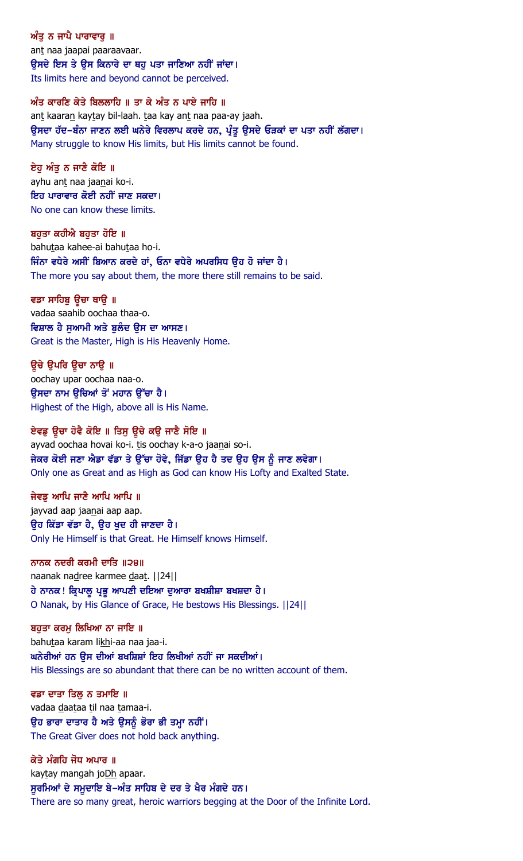ਅੰਤ ਨ ਜਾਪੈ ਪਾਰਾਵਾਰ ॥ ant naa jaapai paaraavaar. ਉਸਦੇ ਇਸ ਤੇ ਉਸ ਕਿਨਾਰੇ ਦਾ ਥਹੁ ਪਤਾ ਜਾਣਿਆ ਨਹੀਂ ਜਾਂਦਾ। Its limits here and beyond cannot be perceived.

#### ਅੰਤ ਕਾਰਣਿ ਕੇਤੇ ਬਿਲਲਾਹਿ ॥ ਤਾ ਕੇ ਅੰਤ ਨ ਪਾਏ ਜਾਹਿ ॥

ant kaaran kaytay bil-laah. taa kay ant naa paa-ay jaah. ਉਸਦਾ ਹੱਦ–ਬੰਨਾ ਜਾਣਨ ਲਈ ਘਨੇਰੇ ਵਿਰਲਾਪ ਕਰਦੇ ਹਨ, ਪ੍ਰੰਤੂ ਉਸਦੇ ਓੜਕਾਂ ਦਾ ਪਤਾ ਨਹੀਂ ਲੱਗਦਾ। Many struggle to know His limits, but His limits cannot be found.

ਏਹ ਅੰਤ ਨ ਜਾਣੈ ਕੋਇ ॥ ayhu ant naa jaanai ko-i. ਇਹ ਪਾਰਾਵਾਰ ਕੋਈ ਨਹੀਂ ਜਾਣ ਸਕਦਾ। No one can know these limits.

ਬਹੁਤਾ ਕਹੀਐ ਬਹੁਤਾ ਹੋਇ ॥ bahutaa kahee-ai bahutaa ho-i. ਜਿੰਨਾ ਵਧੇਰੇ ਅਸੀਂ ਬਿਆਨ ਕਰਦੇ ਹਾਂ, ਓਨਾ ਵਧੇਰੇ ਅਪਰਸਿਧ ਉਹ ਹੋ ਜਾਂਦਾ ਹੈ। The more you say about them, the more there still remains to be said.

ਵਡਾ ਸਾਹਿਬੁ ਉਚਾ ਥਾਉ ॥ vadaa saahib oochaa thaa-o. ਵਿਸ਼ਾਲ ਹੈ ਸਆਮੀ ਅਤੇ ਬਲੰਦ ੳਸ ਦਾ ਆਸਣ। Great is the Master, High is His Heavenly Home.

ਉਚੇ ਉਪਰਿ ਉਚਾ ਨਾਉ ॥ oochay upar oochaa naa-o. ੳਸਦਾ ਨਾਮ ੳਚਿਆਂ ਤੋਂ ਮਹਾਨ ੳੱਚਾ ਹੈ। Highest of the High, above all is His Name.

ਏਵਡੂ ਉਚਾ ਹੋਵੈ ਕੋਇ ॥ ਤਿਸੂ ਉਚੇ ਕਉ ਜਾਣੈ ਸੋਇ ॥ ayvad oochaa hovai ko-i. tis oochay k-a-o jaanai so-i. ਜੇਕਰ ਕੋਈ ਜਣਾ ਐਡਾ ਵੱਡਾ ਤੇ ਉੱਚਾ ਹੋਵੇ, ਜਿੱਡਾ ਉਹ ਹੈ ਤਦ ਉਹ ਉਸ ਨੂੰ ਜਾਣ ਲਵੇਗਾ। Only one as Great and as High as God can know His Lofty and Exalted State.

ਜੇਵਡ ਆਪਿ ਜਾਣੈ ਆਪਿ ਆਪਿ ॥ jayvad aap jaanai aap aap. ੳਹ ਕਿੱਡਾ ਵੱਡਾ ਹੈ, ੳਹ ਖਦ ਹੀ ਜਾਣਦਾ ਹੈ। Only He Himself is that Great. He Himself knows Himself.

ਨਾਨਕ ਨਦਰੀ ਕਰਮੀ ਦਾਤਿ ॥੨੪॥ naanak nadree karmee daat. ||24|| ਹੇ ਨਾਨਕ ! ਕ੍ਰਿਪਾਲੂ ਪ੍ਰਭੂ ਆਪਣੀ ਦਇਆ ਦੁਆਰਾ ਬਖਸ਼ੀਸ਼ਾ ਬਖਸ਼ਦਾ ਹੈ । O Nanak, by His Glance of Grace, He bestows His Blessings. ||24||

ਬਹਤਾ ਕਰਮ ਲਿਖਿਆ ਨਾ ਜਾਇ ॥ bahutaa karam likhi-aa naa jaa-i. ਘਨੇਰੀਆਂ ਹਨ ਉਸ ਦੀਆਂ ਬਖਸ਼ਿਸ਼ਾਂ ਇਹ ਲਿਖੀਆਂ ਨਹੀਂ ਜਾ ਸਕਦੀਆਂ। His Blessings are so abundant that there can be no written account of them.

ਵਡਾ ਦਾਤਾ ਤਿਲ ਨ ਤਮਾਇ ॥ vadaa daataa til naa tamaa-i. ਉਹ ਭਾਰਾ ਦਾਤਾਰ ਹੈ ਅਤੇ ਉਸਨੂੰ ਭੋਰਾ ਭੀ ਤਮ੍ਹਾ ਨਹੀਂ। The Great Giver does not hold back anything.

ਕੇਤੇ ਮੰਗਹਿ ਜੋਧ ਅਪਾਰ ॥ kaytay mangah joDh apaar. ਸੁਰਮਿਆਂ ਦੇ ਸਮੁਦਾਇ ਬੇ–ਅੰਤ ਸਾਹਿਬ ਦੇ ਦਰ ਤੇ ਖੈਰ ਮੰਗਦੇ ਹਨ। There are so many great, heroic warriors begging at the Door of the Infinite Lord.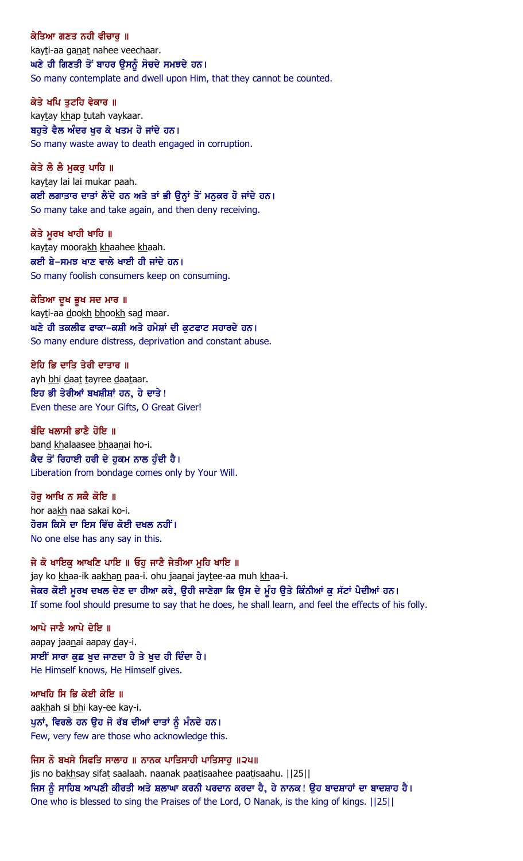ਕੇਤਿਆ ਗਣਤ ਨਹੀ ਵੀਚਾਰ ॥ kayti-aa ganat nahee veechaar. ਘਣੇ ਹੀ ਗਿਣਤੀ ਤੋਂ ਬਾਹਰ ਉਸਨੂੰ ਸੋਚਦੇ ਸਮਝਦੇ ਹਨ। So many contemplate and dwell upon Him, that they cannot be counted.

ਕੇਤੇ ਖਪਿ ਤਟਹਿ ਵੇਕਾਰ ॥ kaytay khap tutah vaykaar. ਬਹੁਤੇ ਵੈਲ ਅੰਦਰ ਖੁਰ ਕੇ ਖਤਮ ਹੋ ਜਾਂਦੇ ਹਨ। So many waste away to death engaged in corruption.

ਕੇਤੇ ਲੈ ਲੈ ਮਕਰ ਪਾਹਿ ॥ kaytay lai lai mukar paah. ਕਈ ਲਗਾਤਾਰ ਦਾਤਾਂ ਲੈਂਦੇ ਹਨ ਅਤੇ ਤਾਂ ਭੀ ਉਨ੍ਹਾਂ ਤੋਂ ਮਨੁਕਰ ਹੋ ਜਾਂਦੇ ਹਨ। So many take and take again, and then deny receiving.

ਕੇਤੇ ਮੁਰਖ ਖਾਹੀ ਖਾਹਿ ॥ kaytay moorakh khaahee khaah. ਕਈ ਬੇ-ਸਮਝ ਖਾਣ ਵਾਲੇ ਖਾਈ ਹੀ ਜਾਂਦੇ ਹਨ। So many foolish consumers keep on consuming.

ਕੇਤਿਆ ਦੂਖ ਭੂਖ ਸਦ ਮਾਰ ॥ kayti-aa dookh bhookh sad maar. ਘਣੇ ਹੀ ਤਕਲੀਫ ਫਾਕਾ-ਕਸ਼ੀ ਅਤੇ ਹਮੇਸ਼ਾਂ ਦੀ ਕੁਟਫਾਟ ਸਹਾਰਦੇ ਹਨ। So many endure distress, deprivation and constant abuse.

ਏਹਿ ਭਿ ਦਾਤਿ ਤੇਰੀ ਦਾਤਾਰ ॥ ayh bhi daat tayree daataar. ਇਹ ਭੀ ਤੇਰੀਆਂ ਬਖਸ਼ੀਸ਼ਾਂ ਹਨ, ਹੇ ਦਾਤੇ ! Even these are Your Gifts, O Great Giver!

ਬੰਦਿ ਖਲਾਸੀ ਭਾਣੈ ਹੋਇ ॥ band khalaasee bhaanai ho-i. ਕੈਦ ਤੋਂ ਰਿਹਾਈ ਹਰੀ ਦੇ ਹੁਕਮ ਨਾਲ ਹੁੰਦੀ ਹੈ। Liberation from bondage comes only by Your Will.

ਹੋਰ ਆਖਿ ਨ ਸਕੈ ਕੋਇ ॥ hor aakh naa sakai ko-i. ਹੋਰਸ ਕਿਸੇ ਦਾ ਇਸ ਵਿੱਚ ਕੋਈ ਦਖਲ ਨਹੀਂ। No one else has any say in this.

ਜੇ ਕੋ ਖਾਇਕ ਆਖਣਿ ਪਾਇ ॥ ਓਹ ਜਾਣੈ ਜੇਤੀਆ ਮਹਿ ਖਾਇ ॥ jay ko khaa-ik aakhan paa-i. ohu jaanai jaytee-aa muh khaa-i. ਜੇਕਰ ਕੋਈ ਮੁਰਖ ਦਖਲ ਦੇਣ ਦਾ ਹੀਆ ਕਰੇ, ਉਹੀ ਜਾਣੇਗਾ ਕਿ ਉਸ ਦੇ ਮੂੰਹ ਉਤੇ ਕਿੰਨੀਆਂ ਕੁ ਸੱਟਾਂ ਪੈਦੀਆਂ ਹਨ। If some fool should presume to say that he does, he shall learn, and feel the effects of his folly.

ਆਪੇ ਜਾਣੈ ਆਪੇ ਦੇਇ ॥ aapay jaanai aapay day-i. ਸਾਈਂ ਸਾਰਾ ਕੁਛ ਖੁਦ ਜਾਣਦਾ ਹੈ ਤੇ ਖੁਦ ਹੀ ਦਿੰਦਾ ਹੈ। He Himself knows, He Himself gives.

ਆਖਹਿ ਸਿ ਭਿ ਕੇਈ ਕੇਇ ॥ aakhah si bhi kay-ee kay-i. ਪੂਨਾਂ, ਵਿਰਲੇ ਹਨ ਉਹ ਜੋ ਰੱਬ ਦੀਆਂ ਦਾਤਾਂ ਨੂੰ ਮੰਨਦੇ ਹਨ। Few, very few are those who acknowledge this.

ਜਿਸ ਨੋ ਬਖਸੇ ਸਿਫਤਿ ਸਾਲਾਹ ॥ ਨਾਨਕ ਪਾਤਿਸਾਹੀ ਪਾਤਿਸਾਹ ॥੨੫॥ jis no bakhsay sifat saalaah. naanak paatisaahee paatisaahu. | | 25 | | ਜਿਸ ਨੂੰ ਸਾਹਿਬ ਆਪਣੀ ਕੀਰਤੀ ਅਤੇ ਸ਼ਲਾਘਾ ਕਰਨੀ ਪਰਦਾਨ ਕਰਦਾ ਹੈ, ਹੇ ਨਾਨਕ! ਉਹ ਬਾਦਸ਼ਾਹਾਂ ਦਾ ਬਾਦਸ਼ਾਹ ਹੈ। One who is blessed to sing the Praises of the Lord, O Nanak, is the king of kings. ||25||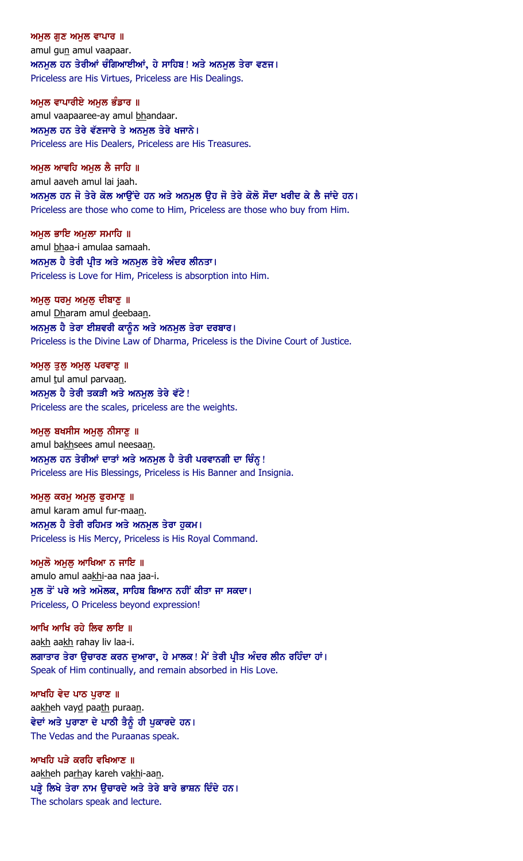ਅਮਲ ਗਣ ਅਮਲ ਵਾਪਾਰ  $\parallel$ amul gun amul vaapaar. ਅਨਮੂਲ ਹਨ ਤੇਰੀਆਂ ਚੰਗਿਆਈਆਂ, ਹੇ ਸਾਹਿਬ! ਅਤੇ ਅਨਮੂਲ ਤੇਰਾ ਵਣਜ। Priceless are His Virtues, Priceless are His Dealings.

ਅਮਲ ਵਾਪਾਰੀਏ ਅਮਲ ਭੰਡਾਰ ॥ amul vaapaaree-ay amul bhandaar. ਅਨਮੁਲ ਹਨ ਤੇਰੇ ਵੱਣਜਾਰੇ ਤੇ ਅਨਮੁਲ ਤੇਰੇ ਖਜਾਨੇ। Priceless are His Dealers, Priceless are His Treasures.

ਅਮਲ ਆਵਹਿ ਅਮਲ ਲੈ ਜਾਹਿ ॥ amul aaveh amul lai jaah. ਅਨਮੂਲ ਹਨ ਜੋ ਤੇਰੇ ਕੋਲ ਆਉਂਦੇ ਹਨ ਅਤੇ ਅਨਮੂਲ ਉਹ ਜੋ ਤੇਰੇ ਕੋਲੋ ਸੌਦਾ ਖਰੀਦ ਕੇ ਲੈ ਜਾਂਦੇ ਹਨ। Priceless are those who come to Him, Priceless are those who buy from Him.

ਅਮੁਲ ਭਾਇ ਅਮੁਲਾ ਸਮਾਹਿ ॥ amul bhaa-i amulaa samaah. ਅਨਮੂਲ ਹੈ ਤੇਰੀ ਪ੍ਰੀਤ ਅਤੇ ਅਨਮੂਲ ਤੇਰੇ ਅੰਦਰ ਲੀਨਤਾ। Priceless is Love for Him, Priceless is absorption into Him.

ਅਮੁਲੁ ਧਰਮੁ ਅਮੁਲੁ ਦੀਬਾਣੁ ॥ amul Dharam amul deebaan. ਅਨਮੂਲ ਹੈ ਤੇਰਾ ਈਸ਼ਵਰੀ ਕਾਨੂੰਨ ਅਤੇ ਅਨਮੂਲ ਤੇਰਾ ਦਰਬਾਰ। Priceless is the Divine Law of Dharma, Priceless is the Divine Court of Justice.

ਅਮੁਲੁ ਤੁਲੁ ਅਮੁਲੁ ਪਰਵਾਣੁ **॥** amul tul amul parvaan. ਅਨਮੂਲ ਹੈ ਤੇਰੀ ਤਕੜੀ ਅਤੇ ਅਨਮੂਲ ਤੇਰੇ ਵੱਟੇ ! Priceless are the scales, priceless are the weights.

ਅਮਲ ਬਖਸੀਸ ਅਮਲ ਨੀਸਾਣ ॥ amul bakhsees amul neesaan. ਅਨਮੂਲ ਹਨ ਤੇਰੀਆਂ ਦਾਤਾਂ ਅਤੇ ਅਨਮੂਲ ਹੈ ਤੇਰੀ ਪਰਵਾਨਗੀ ਦਾ ਚਿੰਨ੍ਹ ! Priceless are His Blessings, Priceless is His Banner and Insignia.

 $M$ ਲ ਕਰਮ ਅਮਲ ਫਰਮਾਣ  $\parallel$ amul karam amul fur-maan. ਅਨਮਲ ਹੈ ਤੇਰੀ ਰਹਿਮਤ ਅਤੇ ਅਨਮਲ ਤੇਰਾ ਹਕਮ। Priceless is His Mercy, Priceless is His Royal Command.

ਅਮਲੋ ਅਮਲ ਆਖਿਆ ਨ ਜਾਇ ॥ amulo amul aakhi-aa naa jaa-i. ਮਲ ਤੋਂ ਪਰੇ ਅਤੇ ਅਮੋਲਕ, ਸਾਹਿਬ ਬਿਆਨ ਨਹੀਂ ਕੀਤਾ ਜਾ ਸਕਦਾ। Priceless, O Priceless beyond expression!

ਆਖਿ ਆਖਿ ਰਹੇ ਲਿਵ ਲਾਇ ॥ aakh aakh rahay liv laa-i. ਲਗਾਤਾਰ ਤੇਰਾ ਉਚਾਰਣ ਕਰਨ ਦੁਆਰਾ, ਹੇ ਮਾਲਕ ! ਮੈਂ ਤੇਰੀ ਪ੍ਰੀਤ ਅੰਦਰ ਲੀਨ ਰਹਿੰਦਾ ਹਾਂ । Speak of Him continually, and remain absorbed in His Love.

ਆਖਹਿ ਵੇਦ ਪਾਠ ਪਰਾਣ ॥ aakheh vayd paath puraan. ਵੇਦਾਂ ਅਤੇ ਪੁਰਾਣਾ ਦੇ ਪਾਠੀ ਤੈਨੂੰ ਹੀ ਪੁਕਾਰਦੇ ਹਨ। The Vedas and the Puraanas speak.

ਆਖਹਿ ਪੜੇ ਕਰਹਿ ਵਖਿਆਣ ॥ aakheh parhay kareh vakhi-aan. ਪੜ੍ਹੇ ਲਿਖੇ ਤੇਰਾ ਨਾਮ ਉਚਾਰਦੇ ਅਤੇ ਤੇਰੇ ਬਾਰੇ ਭਾਸ਼ਨ ਦਿੰਦੇ ਹਨ। The scholars speak and lecture.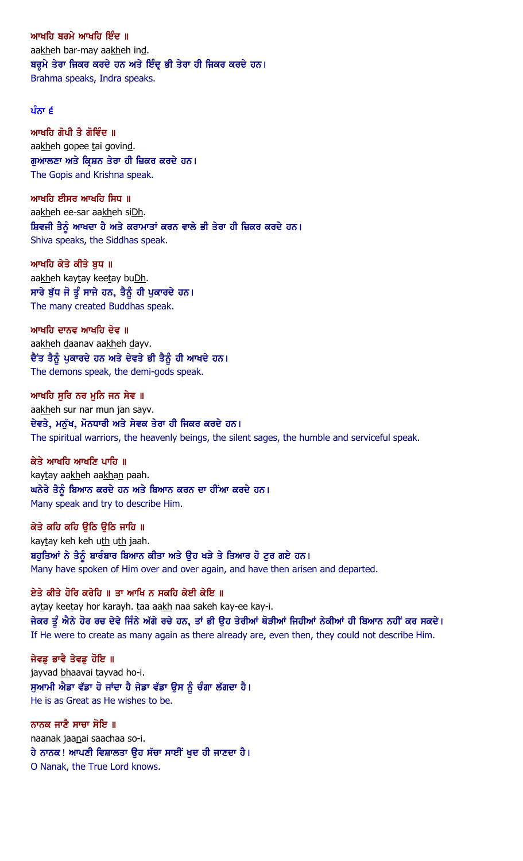ਆਖਹਿ ਬਰਮੇ ਆਖਹਿ ਇੰਦ ॥ aakheh bar-may aakheh ind. ਬਰੂਮੇ ਤੇਰਾ ਜ਼ਿਕਰ ਕਰਦੇ ਹਨ ਅਤੇ ਇੰਦੂ ਭੀ ਤੇਰਾ ਹੀ ਜ਼ਿਕਰ ਕਰਦੇ ਹਨ। Brahma speaks, Indra speaks.

### ਪੰਨਾ $\epsilon$

ਆਖਹਿ ਗੋਪੀ ਤੈ ਗੋਵਿੰਦ ॥ aakheh gopee tai govind. ਗਆਲਣਾ ਅਤੇ ਕ੍ਰਿਸ਼ਨ ਤੇਰਾ ਹੀ ਜ਼ਿਕਰ ਕਰਦੇ ਹਨ। The Gopis and Krishna speak.

ਆਖਹਿ ਈਸਰ ਆਖਹਿ ਸਿਧ ॥ aakheh ee-sar aakheh siDh. ਸ਼ਿਵਜੀ ਤੈਨੂੰ ਆਖਦਾ ਹੈ ਅਤੇ ਕਰਾਮਾਤਾਂ ਕਰਨ ਵਾਲੇ ਭੀ ਤੇਰਾ ਹੀ ਜ਼ਿਕਰ ਕਰਦੇ ਹਨ। Shiva speaks, the Siddhas speak.

ਆਖਹਿ ਕੇਤੇ ਕੀਤੇ ਬਧ ॥ aakheh kaytay keetay buDh. ਸਾਰੇ ਬੁੱਧ ਜੋ ਤੂੰ ਸਾਜੇ ਹਨ, ਤੈਨੂੰ ਹੀ ਪੁਕਾਰਦੇ ਹਨ। The many created Buddhas speak.

ਆਖਹਿ ਦਾਨਵ ਆਖਹਿ ਦੇਵ ॥ aakheh daanav aakheh dayv. ਦੈਂਤ ਤੈਨੂੰ ਪੁਕਾਰਦੇ ਹਨ ਅਤੇ ਦੇਵਤੇ ਭੀ ਤੈਨੂੰ ਹੀ ਆਖਦੇ ਹਨ। The demons speak, the demi-gods speak.

ਆਖਹਿ ਸਰਿ ਨਰ ਮਨਿ ਜਨ ਸੇਵ ॥ aakheh sur nar mun jan sayv. ਦੇਵਤੇ, ਮਨੱਖ, ਮੋਨਧਾਰੀ ਅਤੇ ਸੇਵਕ ਤੇਰਾ ਹੀ ਜਿਕਰ ਕਰਦੇ ਹਨ। The spiritual warriors, the heavenly beings, the silent sages, the humble and serviceful speak.

ਕੇਤੇ ਆਖਹਿ ਆਖਣਿ ਪਾਹਿ ॥ kaytay aakheh aakhan paah. ਘਨੇਰੇ ਤੈਨੂੰ ਬਿਆਨ ਕਰਦੇ ਹਨ ਅਤੇ ਬਿਆਨ ਕਰਨ ਦਾ ਹੀਂਆ ਕਰਦੇ ਹਨ। Many speak and try to describe Him.

ਕੇਤੇ ਕਹਿ ਕਹਿ ਉਠਿ ਉਠਿ ਜਾਹਿ ॥ kaytay keh keh uth uth jaah. ਬਹੁਤਿਆਂ ਨੇ ਤੈਨੂੰ ਬਾਰੰਬਾਰ ਬਿਆਨ ਕੀਤਾ ਅਤੇ ਉਹ ਖੜੇ ਤੇ ਤਿਆਰ ਹੋ ਟੁਰ ਗਏ ਹਨ। Many have spoken of Him over and over again, and have then arisen and departed.

ਏਤੇ ਕੀਤੇ ਹੋਰਿ ਕਰੇਹਿ ॥ ਤਾ ਆਖਿ ਨ ਸਕਹਿ ਕੇਈ ਕੇਇ ॥ aytay keetay hor karayh. taa aakh naa sakeh kay-ee kay-i. ਜੇਕਰ ਤੂੰ ਐਨੇ ਹੋਰ ਰਚ ਦੇਵੇ ਜਿੰਨੇ ਅੱਗੇ ਰਚੇ ਹਨ, ਤਾਂ ਭੀ ਉਹ ਤੇਰੀਆਂ ਥੋੜੀਆਂ ਜਿਹੀਆਂ ਨੇਕੀਆਂ ਹੀ ਬਿਆਨ ਨਹੀਂ ਕਰ ਸਕਦੇ। If He were to create as many again as there already are, even then, they could not describe Him.

ਜੇਵਡੂ ਭਾਵੈ ਤੇਵਡੂ ਹੋਇ ॥ jayvad bhaavai tayvad ho-i. ਸੁਆਮੀ ਐਡਾ ਵੱਡਾ ਹੋ ਜਾਂਦਾ ਹੈ ਜੇਡਾ ਵੱਡਾ ਉਸ ਨੂੰ ਚੰਗਾ ਲੱਗਦਾ ਹੈ। He is as Great as He wishes to be.

ਨਾਨਕ ਜਾਣੈ ਸਾਚਾ ਸੋਇ ॥ naanak jaanai saachaa so-i. ਹੇ ਨਾਨਕ! ਆਪਣੀ ਵਿਸ਼ਾਲਤਾ ਉਹ ਸੱਚਾ ਸਾਈਂ ਖੁਦ ਹੀ ਜਾਣਦਾ ਹੈ। O Nanak, the True Lord knows.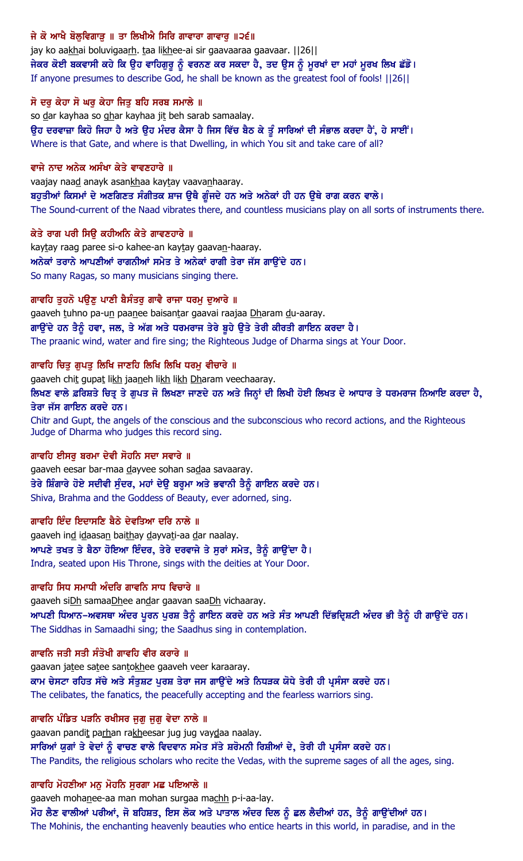## ਜੇ ਕੋ ਆਖੈ ਬੋਲਵਿਗਾੜ ॥ ਤਾ ਲਿਖੀਐ ਸਿਰਿ ਗਾਵਾਰਾ ਗਾਵਾਰ ॥੨੬॥

jay ko aakhai boluvigaarh. taa likhee-ai sir gaavaaraa gaavaar. | 26| | ਜੇਕਰ ਕੋਈ ਬਕਵਾਸੀ ਕਹੇ ਕਿ ਉਹ ਵਾਹਿਗੁਰੂ ਨੂੰ ਵਰਨਣ ਕਰ ਸਕਦਾ ਹੈ, ਤਦ ਉਸ ਨੂੰ ਮੁਰਖਾਂ ਦਾ ਮਹਾਂ ਮੁਰਖ ਲਿਖ ਛੱਡੋ। If anyone presumes to describe God, he shall be known as the greatest fool of fools! ||26||

### ਸੋ ਦਰ ਕੇਹਾ ਸੋ ਘਰ ਕੇਹਾ ਜਿਤ ਬਹਿ ਸਰਬ ਸਮਾਲੇ ॥

so dar kayhaa so ghar kayhaa jit beh sarab samaalay. ਉਹ ਦਰਵਾਜ਼ਾ ਕਿਹੋ ਜਿਹਾ ਹੈ ਅਤੇ ਉਹ ਮੰਦਰ ਕੈਸਾ ਹੈ ਜਿਸ ਵਿੱਚ ਬੈਠ ਕੇ ਤੂੰ ਸਾਰਿਆਂ ਦੀ ਸੰਭਾਲ ਕਰਦਾ ਹੈਂ, ਹੇ ਸਾਈਂ। Where is that Gate, and where is that Dwelling, in which You sit and take care of all?

#### ਵਾਜੇ ਨਾਦ ਅਨੇਕ ਅਸੰਖਾ ਕੇਤੇ ਵਾਵਣਹਾਰੇ ॥

vaajay naad anayk asankhaa kaytay vaavanhaaray. ਬਹੁਤੀਆਂ ਕਿਸਮਾਂ ਦੇ ਅਣਗਿਣਤ ਸੰਗੀਤਕ ਸ਼ਾਜ ਉਥੈ ਗੁੰਜਦੇ ਹਨ ਅਤੇ ਅਨੇਕਾਂ ਹੀ ਹਨ ਉਥੇ ਰਾਗ ਕਰਨ ਵਾਲੇ। The Sound-current of the Naad vibrates there, and countless musicians play on all sorts of instruments there.

### ਕੇਤੇ ਰਾਗ ਪਰੀ ਸਿਉ ਕਹੀਅਨਿ ਕੇਤੇ ਗਾਵਣਹਾਰੇ ॥

kaytay raag paree si-o kahee-an kaytay gaavan-haaray. ਅਨੇਕਾਂ ਤਰਾਨੇ ਆਪਣੀਆਂ ਰਾਗਨੀਆਂ ਸਮੇਤ ਤੇ ਅਨੇਕਾਂ ਰਾਗੀ ਤੇਰਾ ਜੱਸ ਗਾਉਂਦੇ ਹਨ। So many Ragas, so many musicians singing there.

### ਗਾਵਹਿ ਤੁਹਨੋ ਪਉਣੂ ਪਾਣੀ ਬੈਸੰਤਰੂ ਗਾਵੈ ਰਾਜਾ ਧਰਮੂ ਦੁਆਰੇ ॥

gaaveh tuhno pa-un paanee baisantar gaavai raajaa Dharam du-aaray. ਗਾਉਂਦੇ ਹਨ ਤੈਨੂੰ ਹਵਾ, ਜਲ, ਤੇ ਅੱਗ ਅਤੇ ਧਰਮਰਾਜ ਤੇਰੇ ਬੁਹੇ ਉਤੇ ਤੇਰੀ ਕੀਰਤੀ ਗਾਇਨ ਕਰਦਾ ਹੈ। The praanic wind, water and fire sing; the Righteous Judge of Dharma sings at Your Door.

### ਗਾਵਹਿ ਚਿਤੁ ਗੁਪਤੁ ਲਿਖਿ ਜਾਣਹਿ ਲਿਖਿ ਲਿਖਿ ਧਰਮੁ ਵੀਚਾਰੇ ॥

gaaveh chit gupat likh jaaneh likh likh Dharam veechaaray.

ਲਿਖਣ ਵਾਲੇ ਫ਼ਰਿਸ਼ਤੇ ਚਿਤ੍ਰ ਤੇ ਗੁਪਤ ਜੋ ਲਿਖਣਾ ਜਾਣਦੇ ਹਨ ਅਤੇ ਜਿਨ੍ਹਾਂ ਦੀ ਲਿਖੀ ਹੋਈ ਲਿਖਤ ਦੇ ਆਧਾਰ ਤੇ ਧਰਮਰਾਜ ਨਿਆਇ ਕਰਦਾ ਹੈ, ਤੇਰਾ ਜੱਸ ਗਾਇਨ ਕਰਦੇ ਹਨ।

Chitr and Gupt, the angels of the conscious and the subconscious who record actions, and the Righteous Judge of Dharma who judges this record sing.

### ਗਾਵਹਿ ਈਸਰੂ ਬਰਮਾ ਦੇਵੀ ਸੋਹਨਿ ਸਦਾ ਸਵਾਰੇ ॥

gaaveh eesar bar-maa dayvee sohan sadaa savaaray. ਤੇਰੇ ਸ਼ਿੰਗਾਰੇ ਹੋਏ ਸਦੀਵੀ ਸੁੰਦਰ, ਮਹਾਂ ਦੇਉ ਬਰ੍ਹਮਾ ਅਤੇ ਭਵਾਨੀ ਤੈਨੂੰ ਗਾਇਨ ਕਰਦੇ ਹਨ। Shiva, Brahma and the Goddess of Beauty, ever adorned, sing.

### ਗਾਵਹਿ ਇੰਦ ਇਦਾਸਣਿ ਬੈਠੇ ਦੇਵਤਿਆ ਦਰਿ ਨਾਲੇ ॥

gaaveh ind idaasan baithay dayvati-aa dar naalay. ਆਪਣੇ ਤਖਤ ਤੇ ਬੈਠਾ ਹੋਇਆ ਇੰਦਰ, ਤੇਰੇ ਦਰਵਾਜੇ ਤੇ ਸੁਰਾਂ ਸਮੇਤ, ਤੈਨੂੰ ਗਾਉਂਦਾ ਹੈ। Indra, seated upon His Throne, sings with the deities at Your Door.

### ਗਾਵਹਿ ਸਿਧ ਸਮਾਧੀ ਅੰਦਰਿ ਗਾਵਨਿ ਸਾਧ ਵਿਚਾਰੇ ॥

gaaveh siDh samaaDhee andar gaavan saaDh vichaaray. ਆਪਣੀ ਧਿਆਨ–ਅਵਸਥਾ ਅੰਦਰ ਪੂਰਨ ਪੂਰਸ਼ ਤੈਨੂੰ ਗਾਇਨ ਕਰਦੇ ਹਨ ਅਤੇ ਸੰਤ ਆਪਣੀ ਦਿੱਭਦ੍ਰਿਸ਼ਟੀ ਅੰਦਰ ਭੀ ਤੈਨੂੰ ਹੀ ਗਾਉਂਦੇ ਹਨ। The Siddhas in Samaadhi sing; the Saadhus sing in contemplation.

#### ਗਾਵਨਿ ਜਤੀ ਸਤੀ ਸੰਤੋਖੀ ਗਾਵਹਿ ਵੀਰ ਕਰਾਰੇ ॥

gaavan jatee satee santokhee gaaveh veer karaaray. ਕਾਮ ਚੇਸਟਾ ਰਹਿਤ ਸੱਚੇ ਅਤੇ ਸੰਤੁਸ਼ਟ ਪੁਰਸ਼ ਤੇਰਾ ਜਸ ਗਾਉਂਦੇ ਅਤੇ ਨਿਧੜਕ ਯੋਧੇ ਤੇਰੀ ਹੀ ਪ੍ਰਸੰਸਾ ਕਰਦੇ ਹਨ। The celibates, the fanatics, the peacefully accepting and the fearless warriors sing.

ਗਾਵਨਿ ਪੰਡਿਤ ਪੜਨਿ ਰਖੀਸਰ ਜੁਗੁ ਜੁਗੁ ਵੇਦਾ ਨਾਲੇ ॥

gaavan pandit parhan rakheesar jug jug vaydaa naalay. ਸਾਰਿਆਂ ਯੁਗਾਂ ਤੇ ਵੇਦਾਂ ਨੂੰ ਵਾਚਣ ਵਾਲੇ ਵਿਦਵਾਨ ਸਮੇਤ ਸੱਤੇ ਸ਼ਰੋਮਨੀ ਰਿਸ਼ੀਆਂ ਦੇ, ਤੇਰੀ ਹੀ ਪ੍ਰਸੰਸਾ ਕਰਦੇ ਹਨ। The Pandits, the religious scholars who recite the Vedas, with the supreme sages of all the ages, sing.

ਗਾਵਹਿ ਮੋਹਣੀਆ ਮਨੁ ਮੋਹਨਿ ਸੁਰਗਾ ਮਛ ਪਇਆਲੇ ॥

gaaveh mohanee-aa man mohan surgaa machh p-i-aa-lay.

ਮੌਹ ਲੈਣ ਵਾਲੀਆਂ ਪਰੀਆਂ, ਜੋ ਬਹਿਸ਼ਤ, ਇਸ ਲੋਕ ਅਤੇ ਪਾਤਾਲ ਅੰਦਰ ਦਿਲ ਨੂੰ ਛਲ ਲੈਦੀਆਂ ਹਨ, ਤੈਨੂੰ ਗਾਉਂਦੀਆਂ ਹਨ। The Mohinis, the enchanting heavenly beauties who entice hearts in this world, in paradise, and in the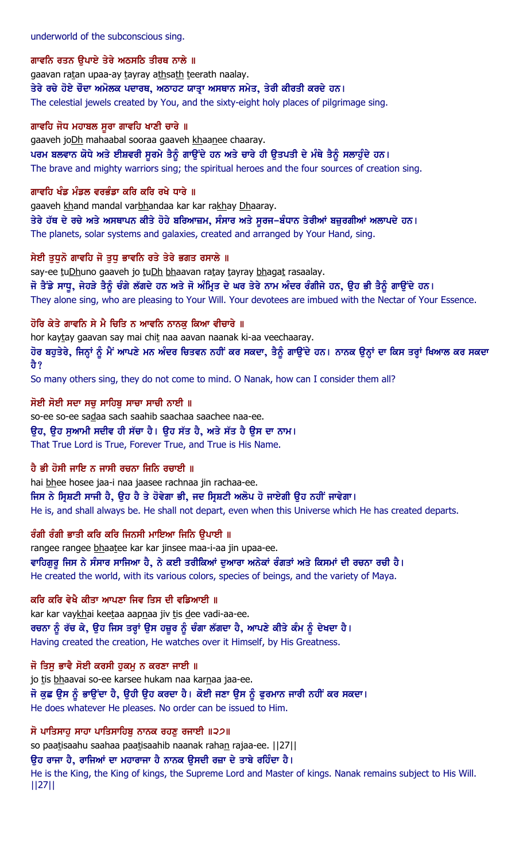#### ਗਾਵਨਿ ਰਤਨ ੳਪਾਏ ਤੇਰੇ ਅਠਸਠਿ ਤੀਰਥ ਨਾਲੇ ॥

gaavan ratan upaa-ay tayray athsath teerath naalay.

ਤੇਰੇ ਰਚੇ ਹੋਏ ਚੌਦਾ ਅਮੋਲਕ ਪਦਾਰਥ, ਅਠਾਹਟ ਯਾਤਾ ਅਸਥਾਨ ਸਮੇਤ, ਤੇਰੀ ਕੀਰਤੀ ਕਰਦੇ ਹਨ।

The celestial jewels created by You, and the sixty-eight holy places of pilgrimage sing.

#### ਗਾਵਹਿ ਜੋਧ ਮਹਾਬਲ ਸੁਰਾ ਗਾਵਹਿ ਖਾਣੀ ਚਾਰੇ ॥

gaaveh joDh mahaabal sooraa gaaveh khaanee chaaray.

ਪਰਮ ਬਲਵਾਨ ਯੋਧੇ ਅਤੇ ਈਸ਼ਵਰੀ ਸੁਰਮੇ ਤੈਨੂੰ ਗਾਉਂਦੇ ਹਨ ਅਤੇ ਚਾਰੇ ਹੀ ਉਤਪਤੀ ਦੇ ਮੰਥੇ ਤੈਨੂੰ ਸਲਾਹੁੰਦੇ ਹਨ।

The brave and mighty warriors sing; the spiritual heroes and the four sources of creation sing.

#### ਗਾਵਹਿ ਖੰਡ ਮੰਡਲ ਵਰਭੰਡਾ ਕਰਿ ਕਰਿ ਰਖੇ ਧਾਰੇ ॥

gaaveh khand mandal varbhandaa kar kar rakhay Dhaaray.

ਤੇਰੇ ਹੱਥ ਦੇ ਰਚੇ ਅਤੇ ਅਸਥਾਪਨ ਕੀਤੇ ਹੋਹੇ ਬਰਿਆਜ਼ਮ, ਸੰਸਾਰ ਅਤੇ ਸੂਰਜ–ਬੰਧਾਨ ਤੇਰੀਆਂ ਬਜ਼ੁਰਗੀਆਂ ਅਲਾਪਦੇ ਹਨ। The planets, solar systems and galaxies, created and arranged by Your Hand, sing.

#### ਸੇਈ ਤਧਨੋ ਗਾਵਹਿ ਜੋ ਤਧ ਭਾਵਨਿ ਰਤੇ ਤੇਰੇ ਭਗਤ ਰਸਾਲੇ ॥

say-ee tuDhuno gaaveh jo tuDh bhaavan ratay tayray bhagat rasaalay. ਜੋ ਤੈਂਡੇ ਸਾਧੂ, ਜੇਹੜੇ ਤੈਨੂੰ ਚੰਗੇ ਲੱਗਦੇ ਹਨ ਅਤੇ ਜੋ ਅੰਮ੍ਰਿਤ ਦੇ ਘਰ ਤੇਰੇ ਨਾਮ ਅੰਦਰ ਰੰਗੀਜੇ ਹਨ, ਉਹ ਭੀ ਤੈਨੂੰ ਗਾਉਂਦੇ ਹਨ। They alone sing, who are pleasing to Your Will. Your devotees are imbued with the Nectar of Your Essence.

### ਹੋਰਿ ਕੇਤੇ ਗਾਵਨਿ ਸੇ ਮੈ ਚਿਤਿ ਨ ਆਵਨਿ ਨਾਨਕ ਕਿਆ ਵੀਚਾਰੇ ॥

hor kaytay gaavan say mai chit naa aavan naanak ki-aa veechaaray. ਹੋਰ ਬਹੁਤੇਰੇ, ਜਿਨ੍ਹਾਂ ਨੂੰ ਮੈਂ ਆਪਣੇ ਮਨ ਅੰਦਰ ਚਿਤਵਨ ਨਹੀਂ ਕਰ ਸਕਦਾ, ਤੈਨੂੰ ਗਾਉਂਦੇ ਹਨ। ਨਾਨਕ ਉਨ੍ਹਾਂ ਦਾ ਕਿਸ ਤਰ੍ਹਾਂ ਖਿਆਲ ਕਰ ਸਕਦਾ ਹੈ?

So many others sing, they do not come to mind. O Nanak, how can I consider them all?

#### ਸੋਈ ਸੋਈ ਸਦਾ ਸਚੁ ਸਾਹਿਬੂ ਸਾਚਾ ਸਾਚੀ ਨਾਈ ॥

so-ee so-ee sadaa sach saahib saachaa saachee naa-ee. ਉਹ, ਉਹ ਸੁਆਮੀ ਸਦੀਵ ਹੀ ਸੱਚਾ ਹੈ। ਉਹ ਸੱਤ ਹੈ, ਅਤੇ ਸੱਤ ਹੈ ਉਸ ਦਾ ਨਾਮ। That True Lord is True, Forever True, and True is His Name.

### ਹੈ ਭੀ ਹੋਸੀ ਜਾਇ ਨ ਜਾਸੀ ਰਚਨਾ ਜਿਨਿ ਰਚਾਈ ॥

hai bhee hosee jaa-i naa jaasee rachnaa jin rachaa-ee. ਜਿਸ ਨੇ ਸਿਸ਼ਟੀ ਸਾਜੀ ਹੈ, ੳਹ ਹੈ ਤੇ ਹੋਵੇਗਾ ਭੀ, ਜਦ ਸਿਸ਼ਟੀ ਅਲੋਪ ਹੋ ਜਾਏਗੀ ੳਹ ਨਹੀਂ ਜਾਵੇਗਾ। He is, and shall always be. He shall not depart, even when this Universe which He has created departs.

### ਰੰਗੀ ਰੰਗੀ ਭਾਤੀ ਕਰਿ ਕਰਿ ਜਿਨਸੀ ਮਾਇਆ ਜਿਨਿ ਉਪਾਈ ॥

rangee rangee bhaatee kar kar jinsee maa-i-aa jin upaa-ee. ਵਾਹਿਗਰ ਜਿਸ ਨੇ ਸੰਸਾਰ ਸਾਜਿਆ ਹੈ, ਨੇ ਕਈ ਤਰੀਕਿਆਂ ਦਆਰਾ ਅਨੇਕਾਂ ਰੰਗਤਾਂ ਅਤੇ ਕਿਸਮਾਂ ਦੀ ਰਚਨਾ ਰਚੀ ਹੈ। He created the world, with its various colors, species of beings, and the variety of Maya.

### ਕਰਿ ਕਰਿ ਵੇਖੈ ਕੀਤਾ ਆਪਣਾ ਜਿਵ ਤਿਸ ਦੀ ਵਡਿਆਈ ॥

kar kar vaykhai keetaa aapnaa jiv tis dee vadi-aa-ee. ਰਚਨਾ ਨੂੰ ਰੱਚ ਕੇ, ਉਹ ਜਿਸ ਤਰ੍ਹਾਂ ਉਸ ਹਜ਼ੂਰ ਨੂੰ ਚੰਗਾ ਲੱਗਦਾ ਹੈ, ਆਪਣੇ ਕੀਤੇ ਕੰਮ ਨੂੰ ਦੇਖਦਾ ਹੈ। Having created the creation, He watches over it Himself, by His Greatness.

### ਜੋ ਤਿਸੁ ਭਾਵੈ ਸੋਈ ਕਰਸੀ ਹੁਕਮੁ ਨ ਕਰਣਾ ਜਾਈ ॥

jo tis bhaavai so-ee karsee hukam naa karnaa jaa-ee. ਜੋ ਕੁਛ ਉਸ ਨੂੰ ਭਾਉਂਦਾ ਹੈ, ਉਹੀ ਉਹ ਕਰਦਾ ਹੈ। ਕੋਈ ਜਣਾ ਉਸ ਨੂੰ ਫੁਰਮਾਨ ਜਾਰੀ ਨਹੀਂ ਕਰ ਸਕਦਾ। He does whatever He pleases. No order can be issued to Him.

### ਸੋ ਪਾਤਿਸਾਹੁ ਸਾਹਾ ਪਾਤਿਸਾਹਿਬੁ ਨਾਨਕ ਰਹਣੁ ਰਜਾਈ ॥੨੭॥

so paatisaahu saahaa paatisaahib naanak rahan rajaa-ee. [[27]]

#### ੳਹ ਰਾਜਾ ਹੈ, ਰਾਜਿਆਂ ਦਾ ਮਹਾਰਾਜਾ ਹੈ ਨਾਨਕ ੳਸਦੀ ਰਜ਼ਾ ਦੇ ਤਾਬੇ ਰਹਿੰਦਾ ਹੈ।

He is the King, the King of kings, the Supreme Lord and Master of kings. Nanak remains subject to His Will. ||27||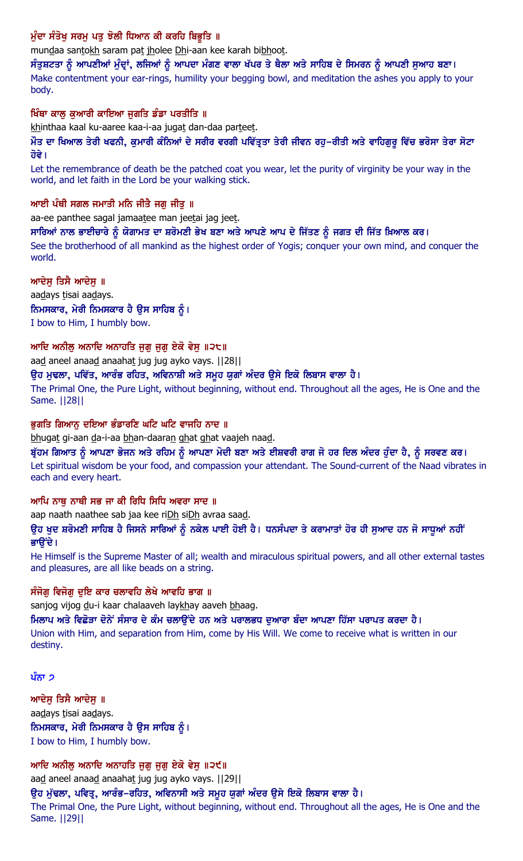## ਮੁੰਦਾ ਸੰਤੋਖੂ ਸਰਮੂ ਪਤੂ ਝੋਲੀ ਧਿਆਨ ਕੀ ਕਰਹਿ ਬਿਭੂਤਿ ॥

mundaa santokh saram pat jholee Dhi-aan kee karah bibhoot.

ਸੰਤੁਸ਼ਟਤਾ ਨੂੰ ਆਪਣੀਆਂ ਮੁੰਦਾਂ, ਲਜਿਆਂ ਨੂੰ ਆਪਦਾ ਮੰਗਣ ਵਾਲਾ ਖੱਪਰ ਤੇ ਥੈਲਾ ਅਤੇ ਸਾਹਿਬ ਦੇ ਸਿਮਰਨ ਨੂੰ ਆਪਣੀ ਸੁਆਹ ਬਣਾ। Make contentment your ear-rings, humility your begging bowl, and meditation the ashes you apply to your body.

#### ਖਿੰਥਾ ਕਾਲ ਕਆਰੀ ਕਾਇਆ ਜਗਤਿ ਡੰਡਾ ਪਰਤੀਤਿ ॥

khinthaa kaal ku-aaree kaa-i-aa jugat dan-daa parteet.

ਔਤ ਦਾ ਖਿਆਲ ਤੇਰੀ ਖਫਨੀ, ਕੁਮਾਰੀ ਕੰਨਿਆਂ ਦੇ ਸਰੀਰ ਵਰਗੀ ਪਵਿੱਤ੍ਰਤਾ ਤੇਰੀ ਜੀਵਨ ਰਹੁ–ਰੀਤੀ ਅਤੇ ਵਾਹਿਗੁਰੂ ਵਿੱਚ ਭਰੋਸਾ ਤੇਰਾ ਸੋਟਾ ਹੋਵੇ।

Let the remembrance of death be the patched coat you wear, let the purity of virginity be your way in the world, and let faith in the Lord be your walking stick.

#### ਆਈ ਪੰਥੀ ਸਗਲ ਜਮਾਤੀ ਮਨਿ ਜੀਤੈ ਜਗ ਜੀਤ ॥

aa-ee panthee sagal jamaatee man jeetai jag jeet.

#### ਸਾਰਿਆਂ ਨਾਲ ਭਾਈਚਾਰੇ ਨੂੰ ਯੋਗਾਮਤ ਦਾ ਸ਼ਰੋਮਣੀ ਭੇਖ ਬਣਾ ਅਤੇ ਆਪਣੇ ਆਪ ਦੇ ਜਿੱਤਣ ਨੂੰ ਜਗਤ ਦੀ ਜਿੱਤ ਖ਼ਿਆਲ ਕਰ।

See the brotherhood of all mankind as the highest order of Yogis; conquer your own mind, and conquer the world.

### ਆਦੇਸ਼ ਤਿਸੈ ਆਦੇਸ਼ ॥

aadays tisai aadays. ਨਿਮਸਕਾਰ, ਮੇਰੀ ਨਿਮਸਕਾਰ ਹੈ ਉਸ ਸਾਹਿਬ ਨੂੰ। I bow to Him, I humbly bow.

### ਆਦਿ ਅਨੀਲ ਅਨਾਦਿ ਅਨਾਹਤਿ ਜਗ ਜਗ ਏਕੋ ਵੇਸ ॥੨੮॥

aad aneel anaad anaahat jug jug ayko vays. [[28]]

ਉਹ ਮੁਢਲਾ, ਪਵਿੱਤ, ਆਰੰਭ ਰਹਿਤ, ਅਵਿਨਾਸ਼ੀ ਅਤੇ ਸਮੂਹ ਯੂਗਾਂ ਅੰਦਰ ਉਸੇ ਇਕੋ ਲਿਬਾਸ ਵਾਲਾ ਹੈ।

The Primal One, the Pure Light, without beginning, without end. Throughout all the ages, He is One and the Same. ||28||

### ਭੁਗਤਿ ਗਿਆਨੂ ਦਇਆ ਭੰਡਾਰਣਿ ਘਟਿ ਘਟਿ ਵਾਜਹਿ ਨਾਦ ॥

bhugat gi-aan da-i-aa bhan-daaran ghat ghat vaajeh naad.

ਬ੍ਰੱਹਮ ਗਿਆਤ ਨੂੰ ਆਪਣਾ ਭੋਜਨ ਅਤੇ ਰਹਿਮ ਨੂੰ ਆਪਣਾ ਮੋਦੀ ਬਣਾ ਅਤੇ ਈਸ਼ਵਰੀ ਰਾਗ ਜੋ ਹਰ ਦਿਲ ਅੰਦਰ ਹੁੰਦਾ ਹੈ, ਨੂੰ ਸਰਵਣ ਕਰ। Let spiritual wisdom be your food, and compassion your attendant. The Sound-current of the Naad vibrates in each and every heart.

### ਆਪਿ ਨਾਥ ਨਾਥੀ ਸਭ ਜਾ ਕੀ ਰਿਧਿ ਸਿਧਿ ਅਵਰਾ ਸਾਦ ॥

aap naath naathee sab jaa kee riDh siDh avraa saad.

ਉਹ ਖੁਦ ਸ਼ਰੋਮਣੀ ਸਾਹਿਬ ਹੈ ਜਿਸਨੇ ਸਾਰਿਆਂ ਨੂੰ ਨਕੇਲ ਪਾਈ ਹੋਈ ਹੈ। ਧਨਸੰਪਦਾ ਤੇ ਕਰਾਮਾਤਾਂ ਹੋਰ ਹੀ ਸੁਆਦ ਹਨ ਜੋ ਸਾਧੂਆਂ ਨਹੀਂ ਭਾੳਂਦੇ ।

He Himself is the Supreme Master of all; wealth and miraculous spiritual powers, and all other external tastes and pleasures, are all like beads on a string.

### ਸੰਜੋਗ ਵਿਜੋਗ ਦਇ ਕਾਰ ਚਲਾਵਹਿ ਲੇਖੇ ਆਵਹਿ ਭਾਗ ॥

sanjog vijog du-i kaar chalaaveh laykhay aaveh bhaag.

ਮਿਲਾਪ ਅਤੇ ਵਿਛੋੜਾ ਦੋਨੇਂ ਸੰਸਾਰ ਦੇ ਕੰਮ ਚਲਾੳਂਦੇ ਹਨ ਅਤੇ ਪਰਾਲਭਧ ਦਆਰਾ ਬੰਦਾ ਆਪਣਾ ਹਿੱਸਾ ਪਰਾਪਤ ਕਰਦਾ ਹੈ। Union with Him, and separation from Him, come by His Will. We come to receive what is written in our destiny.

### ਪੰਨਾ ੭

ਆਦੇਸ ਤਿਸੈ ਆਦੇਸ ॥ aadays tisai aadays. ਨਿਮਸਕਾਰ, ਮੇਰੀ ਨਿਮਸਕਾਰ ਹੈ ਉਸ ਸਾਹਿਬ ਨੂੰ। I bow to Him, I humbly bow.

## ਆਦਿ ਅਨੀਲੂ ਅਨਾਦਿ ਅਨਾਹਤਿ ਜੁਗੁ ਜੁਗੁ ਏਕੋ ਵੇਸੁ ॥੨੯॥

aad aneel anaad anaahat jug jug ayko vays. [[29]]

ਉਹ ਮੁੱਢਲਾ, ਪਵਿਤ੍ਰ, ਆਰੰਭ–ਰਹਿਤ, ਅਵਿਨਾਸੀ ਅਤੇ ਸਮੂਹ ਯੁਗਾਂ ਅੰਦਰ ਉਸੇ ਇਕੋ ਲਿਬਾਸ ਵਾਲਾ ਹੈ।

The Primal One, the Pure Light, without beginning, without end. Throughout all the ages, He is One and the Same. ||29||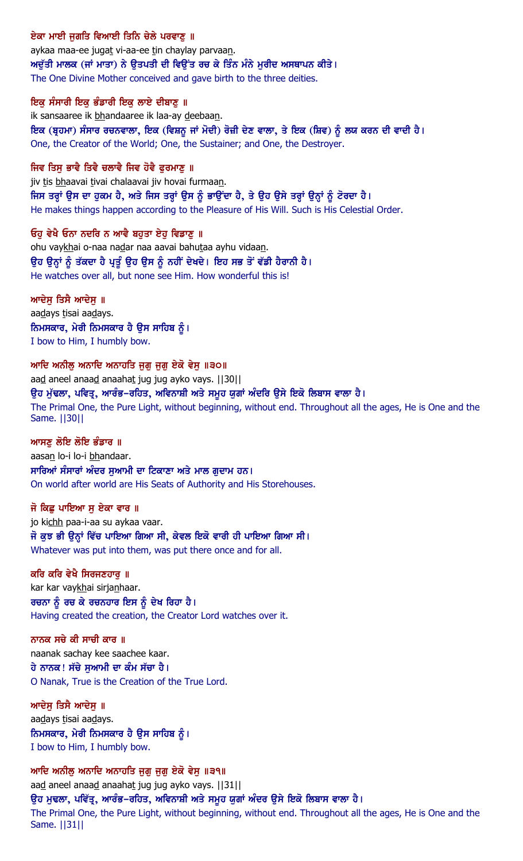### ਏਕਾ ਮਾਈ ਜਗਤਿ ਵਿਆਈ ਤਿਨਿ ਚੇਲੇ ਪਰਵਾਣ ॥

aykaa maa-ee jugat vi-aa-ee tin chaylay parvaan. ਅਦੁੱਤੀ ਮਾਲਕ (ਜਾਂ ਮਾਤਾ) ਨੇ ਉਤਪਤੀ ਦੀ ਵਿਉਂਤ ਰਚ ਕੇ ਤਿੰਨ ਮੰਨੇ ਮੁਰੀਦ ਅਸਥਾਪਨ ਕੀਤੇ। The One Divine Mother conceived and gave birth to the three deities.

#### ਇਕ ਸੰਸਾਰੀ ਇਕ ਭੰਡਾਰੀ ਇਕ ਲਾਏ ਦੀਬਾਣ ॥

ik sansaaree ik bhandaaree ik laa-ay deebaan.

ਇਕ (ਬ੍ਰਹਮਾ) ਸੰਸਾਰ ਰਚਨਵਾਲਾ, ਇਕ (ਵਿਸ਼ਨੂ ਜਾਂ ਮੋਦੀ) ਰੋਜ਼ੀ ਦੇਣ ਵਾਲਾ, ਤੇ ਇਕ (ਸ਼ਿਵ) ਨੂੰ ਲਯ ਕਰਨ ਦੀ ਵਾਦੀ ਹੈ। One, the Creator of the World; One, the Sustainer; and One, the Destroyer.

#### ਜਿਵ ਤਿਸ ਭਾਵੈ ਤਿਵੈ ਚਲਾਵੈ ਜਿਵ ਹੋਵੈ ਫਰਮਾਣ ॥

jiv tis bhaavai tivai chalaavai jiv hovai furmaan. ਜਿਸ ਤਰ੍ਹਾਂ ਉਸ ਦਾ ਹੁਕਮ ਹੈ, ਅਤੇ ਜਿਸ ਤਰ੍ਹਾਂ ਉਸ ਨੂੰ ਭਾਉਂਦਾ ਹੈ, ਤੇ ਉਹ ਉਸੇ ਤਰ੍ਹਾਂ ਉਨ੍ਹਾਂ ਨੂੰ ਟੋਰਦਾ ਹੈ। He makes things happen according to the Pleasure of His Will. Such is His Celestial Order.

### ਓਹ ਵੇਖੈ ਓਨਾ ਨਦਰਿ ਨ ਆਵੈ ਬਹਤਾ ਏਹ ਵਿਡਾਣ ॥

ohu vaykhai o-naa nadar naa aavai bahutaa ayhu vidaan. ਉਹ ਉਨ੍ਹਾਂ ਨੂੰ ਤੱਕਦਾ ਹੈ ਪ੍ਰਤੂੰ ਉਹ ਉਸ ਨੂੰ ਨਹੀਂ ਦੇਖਦੇ। ਇਹ ਸਭ ਤੋਂ ਵੱਡੀ ਹੈਰਾਨੀ ਹੈ। He watches over all, but none see Him. How wonderful this is!

### ਆਦੇਸ ਤਿਸੈ ਆਦੇਸ ॥

aadays tisai aadays. ਨਿਮਸਕਾਰ, ਮੇਰੀ ਨਿਮਸਕਾਰ ਹੈ ਉਸ ਸਾਹਿਬ ਨੂੰ। I bow to Him, I humbly bow.

#### ਆਦਿ ਅਨੀਲੂ ਅਨਾਦਿ ਅਨਾਹਤਿ ਜੁਗੁ ਜੁਗੁ ਏਕੋ ਵੇਸੁ ॥੩੦॥

aad aneel anaad anaahat jug jug ayko vays. [[30]] ੳਹ ਮੱਢਲਾ, ਪਵਿਤੂ, ਆਰੰਭ–ਰਹਿਤ, ਅਵਿਨਾਸ਼ੀ ਅਤੇ ਸਮੂਹ ਯਗਾਂ ਅੰਦਰਿ ੳਸੇ ਇਕੋ ਲਿਬਾਸ ਵਾਲਾ ਹੈ। The Primal One, the Pure Light, without beginning, without end. Throughout all the ages, He is One and the Same. ||30||

#### ਆਸਣ ਲੋਇ ਲੋਇ ਭੰਡਾਰ ॥

aasan lo-i lo-i bhandaar. ਸਾਰਿਆਂ ਸੰਸਾਰਾਂ ਅੰਦਰ ਸਆਮੀ ਦਾ ਟਿਕਾਣਾ ਅਤੇ ਮਾਲ ਗਦਾਮ ਹਨ। On world after world are His Seats of Authority and His Storehouses.

#### ਜੋ ਕਿਛ ਪਾਇਆ ਸ ਏਕਾ ਵਾਰ ॥

jo kichh paa-i-aa su aykaa vaar. ਜੋ ਕਝ ਭੀ ੳਨ੍ਹਾਂ ਵਿੱਚ ਪਾਇਆ ਗਿਆ ਸੀ, ਕੇਵਲ ਇਕੋ ਵਾਰੀ ਹੀ ਪਾਇਆ ਗਿਆ ਸੀ। Whatever was put into them, was put there once and for all.

#### ਕਰਿ ਕਰਿ ਵੇਖੈ ਸਿਰਜਣਹਾਰ ॥

kar kar vaykhai sirjanhaar. ਰਚਨਾ ਨੂੰ ਰਚ ਕੇ ਰਚਨਹਾਰ ਇਸ ਨੂੰ ਦੇਖ ਰਿਹਾ ਹੈ। Having created the creation, the Creator Lord watches over it.

#### ਨਾਨਕ ਸਚੇ ਕੀ ਸਾਚੀ ਕਾਰ ॥

naanak sachay kee saachee kaar. ਹੇ ਨਾਨਕ! ਸੱਚੇ ਸਆਮੀ ਦਾ ਕੰਮ ਸੱਚਾ ਹੈ। O Nanak, True is the Creation of the True Lord.

#### ਆਦੇਸ ਤਿਸੈ ਆਦੇਸ ॥

aadays tisai aadays. ਨਿਮਸਕਾਰ, ਮੇਰੀ ਨਿਮਸਕਾਰ ਹੈ ਉਸ ਸਾਹਿਬ ਨੂੰ। I bow to Him, I humbly bow.

ਆਦਿ ਅਨੀਲੂ ਅਨਾਦਿ ਅਨਾਹਤਿ ਜੁਗ਼ ਜੁਗ਼ ਏਕੋ ਵੇਸੁ ॥੩੧॥ aad aneel anaad anaahat jug jug ayko vays. [[31]] ਉਹ ਮੁਢਲਾ, ਪਵਿੱਤੂ, ਆਰੰਭ–ਰਹਿਤ, ਅਵਿਨਾਸ਼ੀ ਅਤੇ ਸਮੂਹ ਯੂਗਾਂ ਅੰਦਰ ਉਸੇ ਇਕੋ ਲਿਬਾਸ ਵਾਲਾ ਹੈ। The Primal One, the Pure Light, without beginning, without end. Throughout all the ages, He is One and the Same. ||31||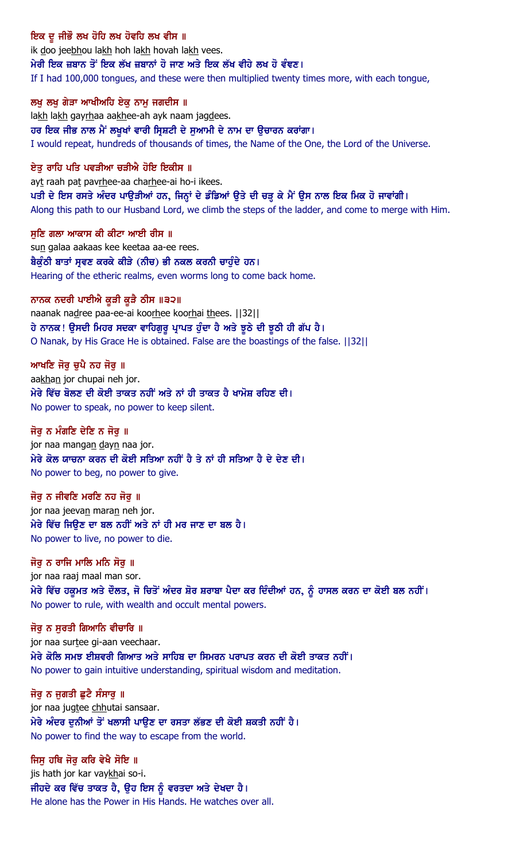## ਇਕ ਦੂ ਜੀਭੌ ਲਖ ਹੋਹਿ ਲਖ ਹੋਵਹਿ ਲਖ ਵੀਸ ॥

ik doo jeebhou lakh hoh lakh hovah lakh vees. ਮੇਰੀ ਇਕ ਜ਼ਬਾਨ ਤੋਂ ਇਕ ਲੱਖ ਜ਼ਬਾਨਾਂ ਹੋ ਜਾਣ ਅਤੇ ਇਕ ਲੱਖ ਵੀਹੇ ਲਖ ਹੋ ਵੰਞਣ। If I had 100,000 tongues, and these were then multiplied twenty times more, with each tongue,

#### ਲਖੂ ਲਖੂ ਗੇੜਾ ਆਖੀਅਹਿ ਏਕੂ ਨਾਮੂ ਜਗਦੀਸ ॥

lakh lakh gayrhaa aakhee-ah ayk naam jagdees. ਹਰ ਇਕ ਜੀਭ ਨਾਲ ਮੈਂ ਲਖੁਖਾਂ ਵਾਰੀ ਸ੍ਰਿਸ਼ਟੀ ਦੇ ਸੁਆਮੀ ਦੇ ਨਾਮ ਦਾ ਉਚਾਰਨ ਕਰਾਂਗਾ। I would repeat, hundreds of thousands of times, the Name of the One, the Lord of the Universe.

#### ਏਤ ਰਾਹਿ ਪਤਿ ਪਵੜੀਆ ਚੜੀਐ ਹੋਇ ਇਕੀਸ ॥

ayt raah pat pavrhee-aa charhee-ai ho-i ikees. ਪਤੀ ਦੇ ਇਸ ਰਸਤੇ ਅੰਦਰ ਪਾਉੜੀਆਂ ਹਨ, ਜਿਨ੍ਹਾਂ ਦੇ ਡੰਡਿਆਂ ਉਤੇ ਦੀ ਚੜ੍ਹ ਕੇ ਮੈਂ ਉਸ ਨਾਲ ਇਕ ਮਿਕ ਹੋ ਜਾਵਾਂਗੀ। Along this path to our Husband Lord, we climb the steps of the ladder, and come to merge with Him.

ਸਣਿ ਗਲਾ ਆਕਾਸ ਕੀ ਕੀਟਾ ਆਈ ਰੀਸ ॥ sun galaa aakaas kee keetaa aa-ee rees. ਬੈਕੁੰਠੀ ਬਾਤਾਂ ਸੁਵਣ ਕਰਕੇ ਕੀੜੇ (ਨੀਚ) ਭੀ ਨਕਲ ਕਰਨੀ ਚਾਹੁੰਦੇ ਹਨ। Hearing of the etheric realms, even worms long to come back home.

#### ਨਾਨਕ ਨਦਰੀ ਪਾਈਐ ਕੁੜੀ ਕੁੜੈ ਠੀਸ ॥੩੨॥

naanak nadree paa-ee-ai koorhee koorhai thees. [[32]] ਹੇ ਨਾਨਕ ! ਉਸਦੀ ਮਿਹਰ ਸਦਕਾ ਵਾਹਿਗੁਰੂ ਪ੍ਰਾਪਤ ਹੁੰਦਾ ਹੈ ਅਤੇ ਝੂਠੇ ਦੀ ਝੂਠੀ ਹੀ ਗੱਪ ਹੈ । O Nanak, by His Grace He is obtained. False are the boastings of the false. ||32||

#### ਆਖਣਿ ਜੋਰੁ ਚੁਪੈ ਨਹ ਜੋਰੁ ॥

aakhan jor chupai neh jor. ਮੇਰੇ ਵਿੱਚ ਬੋਲਣ ਦੀ ਕੋਈ ਤਾਕਤ ਨਹੀਂ ਅਤੇ ਨਾਂ ਹੀ ਤਾਕਤ ਹੈ ਖਾਮੋਸ਼ ਰਹਿਣ ਦੀ। No power to speak, no power to keep silent.

#### ਜੋਰ ਨ ਮੰਗਣਿ ਦੇਣਿ ਨ ਜੋਰ ॥

jor naa mangan dayn naa jor. ਮੇਰੇ ਕੋਲ ਯਾਚਨਾ ਕਰਨ ਦੀ ਕੋਈ ਸਤਿਆ ਨਹੀਂ ਹੈ ਤੇ ਨਾਂ ਹੀ ਸਤਿਆ ਹੈ ਦੇ ਦੇਣ ਦੀ। No power to beg, no power to give.

#### ਜੋਰ ਨ ਜੀਵਣਿ ਮਰਣਿ ਨਹ ਜੋਰ ॥

jor naa jeevan maran neh jor. ਮੇਰੇ ਵਿੱਚ ਜਿੳਣ ਦਾ ਬਲ ਨਹੀਂ ਅਤੇ ਨਾਂ ਹੀ ਮਰ ਜਾਣ ਦਾ ਬਲ ਹੈ। No power to live, no power to die.

#### ਜੋਰ ਨ ਰਾਜਿ ਮਾਲਿ ਮਨਿ ਸੋਰ ॥

jor naa raaj maal man sor. <u>ਮੇਰੇ ਵਿੱਚ ਹਕੁਮਤ ਅਤੇ ਦੌਲਤ, ਜੋ ਚਿਤੋਂ ਅੰਦਰ ਸ਼ੋਰ ਸ਼ਰਾਬਾ ਪੈਦਾ ਕਰ ਦਿੰਦੀਆਂ ਹਨ, ਨੂੰ ਹਾਸਲ ਕਰਨ ਦਾ ਕੋਈ ਬਲ ਨਹੀਂ।</u> No power to rule, with wealth and occult mental powers.

#### ਜੋਰ ਨ ਸਰਤੀ ਗਿਆਨਿ ਵੀਚਾਰਿ ॥

jor naa surtee gi-aan veechaar. ਮੇਰੇ ਕੋਲਿ ਸਮਝ ਈਸ਼ਵਰੀ ਗਿਆਤ ਅਤੇ ਸਾਹਿਬ ਦਾ ਸਿਮਰਨ ਪਰਾਪਤ ਕਰਨ ਦੀ ਕੋਈ ਤਾਕਤ ਨਹੀਂ। No power to gain intuitive understanding, spiritual wisdom and meditation.

#### ਜੋਰ ਨ ਜਗਤੀ ਛਟੈ ਸੰਸਾਰ ॥

jor naa jugtee chhutai sansaar. ਮੇਰੇ ਅੰਦਰ ਦੁਨੀਆਂ ਤੋਂ ਖਲਾਸੀ ਪਾਉਣ ਦਾ ਰਸਤਾ ਲੱਭਣ ਦੀ ਕੋਈ ਸ਼ਕਤੀ ਨਹੀਂ ਹੈ। No power to find the way to escape from the world.

#### ਜਿਸ ਹਥਿ ਜੋਰ ਕਰਿ ਵੇਖੈ ਸੋਇ ॥

jis hath jor kar vaykhai so-i. ਜੀਹਦੇ ਕਰ ਵਿੱਚ ਤਾਕਤ ਹੈ, ਉਹ ਇਸ ਨੂੰ ਵਰਤਦਾ ਅਤੇ ਦੇਖਦਾ ਹੈ। He alone has the Power in His Hands. He watches over all.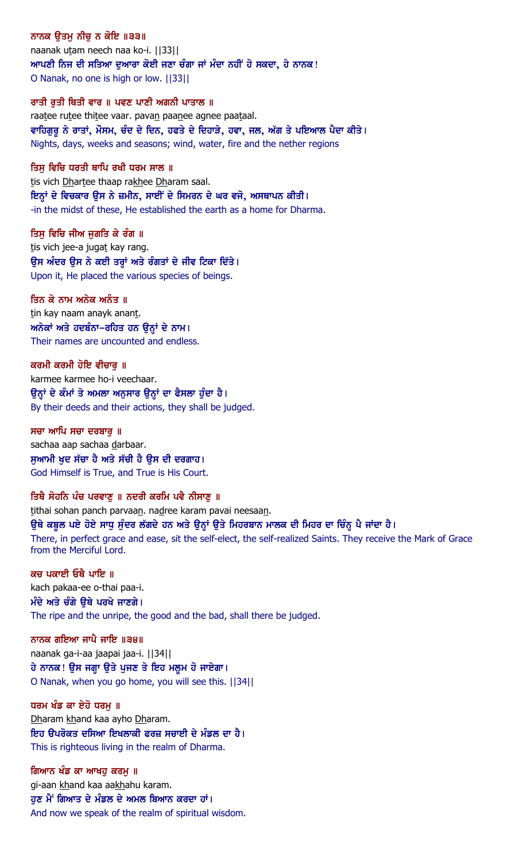### ਨਾਨਕ ਉਤਮੂ ਨੀਚੂ ਨ ਕੋਇ ॥੩੩॥

naanak utam neech naa ko-i. ||33|| <u>ਆਪਣੀ ਨਿਜ ਦੀ ਸਤਿਆ ਦੁਆਰਾ ਕੋਈ ਜਣਾ ਚੰਗਾ ਜਾਂ ਮੰਦਾ ਨਹੀਂ ਹੋ ਸਕਦਾ, ਹੇ ਨਾਨਕ !</u> O Nanak, no one is high or low. ||33||

#### ਰਾਤੀ ਰਤੀ ਥਿਤੀ ਵਾਰ ॥ ਪਵਣ ਪਾਣੀ ਅਗਨੀ ਪਾਤਾਲ ॥

raatee rutee thitee vaar. pavan paanee agnee paataal. ਵਾਹਿਗੁਰੂ ਨੇ ਰਾਤਾਂ, ਮੌਸਮ, ਚੰਦ ਦੇ ਦਿਨ, ਹਫਤੇ ਦੇ ਦਿਹਾੜੇ, ਹਵਾ, ਜਲ, ਅੱਗ ਤੇ ਪਇਆਲ ਪੈਦਾ ਕੀਤੇ। Nights, days, weeks and seasons; wind, water, fire and the nether regions

#### ਤਿਸ ਵਿਚਿ ਧਰਤੀ ਥਾਪਿ ਰਖੀ ਧਰਮ ਸਾਲ ॥

tis vich Dhartee thaap rakhee Dharam saal. ਇਨ੍ਹਾਂ ਦੇ ਵਿਚਕਾਰ ਉਸ ਨੇ ਜ਼ਮੀਨ, ਸਾਈਂ ਦੇ ਸਿਮਰਨ ਦੇ ਘਰ ਵਜੋ, ਅਸਥਾਪਨ ਕੀਤੀ। -in the midst of these, He established the earth as a home for Dharma.

#### ਤਿਸੁ ਵਿਚਿ ਜੀਅ ਜੁਗਤਿ ਕੇ ਰੰਗ ॥

tis vich jee-a jugat kay rang. ਉਸ ਅੰਦਰ ਉਸ ਨੇ ਕਈ ਤਰ੍ਹਾਂ ਅਤੇ ਰੰਗਤਾਂ ਦੇ ਜੀਵ ਟਿਕਾ ਦਿੱਤੇ। Upon it, He placed the various species of beings.

#### ਤਿਨ ਕੇ ਨਾਮ ਅਨੇਕ ਅਨੰਤ ॥

tin kay naam anayk anant. ਅਨੇਕਾਂ ਅਤੇ ਹਦਬੰਨਾ–ਰਹਿਤ ਹਨ ਉਨ੍ਹਾਂ ਦੇ ਨਾਮ। Their names are uncounted and endless.

#### ਕਰਮੀ ਕਰਮੀ ਹੋਇ ਵੀਚਾਰ ॥

karmee karmee ho-i veechaar. ਉਨ੍ਹਾਂ ਦੇ ਕੰਮਾਂ ਤੇ ਅਮਲਾ ਅਨੁਸਾਰ ਉਨ੍ਹਾਂ ਦਾ ਫੈਸਲਾ ਹੁੰਦਾ ਹੈ। By their deeds and their actions, they shall be judged.

ਸਚਾ ਆਪਿ ਸਚਾ ਦਰਬਾਰ ॥ sachaa aap sachaa darbaar. ਸੁਆਮੀ ਖੁਦ ਸੱਚਾ ਹੈ ਅਤੇ ਸੱਚੀ ਹੈ ਉਸ ਦੀ ਦਰਗਾਹ। God Himself is True, and True is His Court.

### ਤਿਥੈ ਸੋਹਨਿ ਪੰਚ ਪਰਵਾਣ ॥ ਨਦਰੀ ਕਰਮਿ ਪਵੈ ਨੀਸਾਣ ॥

tithai sohan panch parvaan. nadree karam pavai neesaan.

### ਉਥੇ ਕਬੂਲ ਪਏ ਹੋਏ ਸਾਧੂ ਸੁੰਦਰ ਲੱਗਦੇ ਹਨ ਅਤੇ ਉਨ੍ਹਾਂ ਉਤੇ ਮਿਹਰਬਾਨ ਮਾਲਕ ਦੀ ਮਿਹਰ ਦਾ ਚਿੰਨ੍ਹ ਪੈ ਜਾਂਦਾ ਹੈ।

There, in perfect grace and ease, sit the self-elect, the self-realized Saints. They receive the Mark of Grace from the Merciful Lord.

ਕਚ ਪਕਾਈ ਓਥੈ ਪਾਇ ॥ kach pakaa-ee o-thai paa-i. ਮੰਦੇ ਅਤੇ ਚੰਗੇ ਉਥੇ ਪਰਖੇ ਜਾਣਗੇ। The ripe and the unripe, the good and the bad, shall there be judged.

ਨਾਨਕ ਗਇਆ ਜਾਪੈ ਜਾਇ ॥੩੪॥

naanak ga-i-aa jaapai jaa-i. ||34|| ਹੇ ਨਾਨਕ ! ਉਸ ਜਗ੍ਹਾ ਉਤੇ ਪੁਜਣ ਤੇ ਇਹ ਮਲੁਮ ਹੋ ਜਾਏਗਾ। O Nanak, when you go home, you will see this. ||34||

#### ਧਰਮ ਖੰਡ ਕਾ ਏਹੋ ਧਰਮ ॥

Dharam khand kaa ayho Dharam. ਇਹ ੳਪਰੋਕਤ ਦਸਿਆ ਇਖਲਾਕੀ ਫਰਜ਼ ਸਚਾਈ ਦੇ ਮੰਡਲ ਦਾ ਹੈ। This is righteous living in the realm of Dharma.

ਗਿਆਨ ਖੰਡ ਕਾ ਆਖਹ ਕਰਮ ॥ gi-aan khand kaa aakhahu karam. ਹੁਣ ਮੈਂ ਗਿਆਤ ਦੇ ਮੰਡਲ ਦੇ ਅਮਲ ਬਿਆਨ ਕਰਦਾ ਹਾਂ। And now we speak of the realm of spiritual wisdom.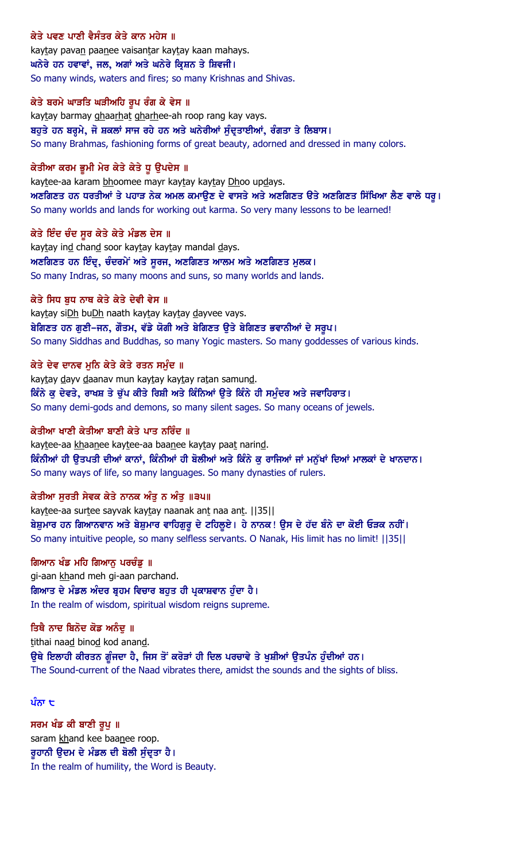## ਕੇਤੇ ਪਵਣ ਪਾਣੀ ਵੈਸੰਤਰ ਕੇਤੇ ਕਾਨ ਮਹੇਸ ॥

kaytay pavan paanee vaisantar kaytay kaan mahays. ਘਨੇਰੇ ਹਨ ਹਵਾਵਾਂ, ਜਲ, ਅਗਾਂ ਅਤੇ ਘਨੇਰੇ ਕ੍ਰਿਸ਼ਨ ਤੇ ਸ਼ਿਵਜੀ। So many winds, waters and fires; so many Krishnas and Shivas.

### ਕੇਤੇ ਬਰਮੇ ਘਾੜਤਿ ਘੜੀਅਹਿ ਰੂਪ ਰੰਗ ਕੇ ਵੇਸ ॥

kaytay barmay ghaarhat gharhee-ah roop rang kay vays. ਬਹੁਤੇ ਹਨ ਬਰ੍ਹਮੇ, ਜੋ ਸ਼ਕਲਾਂ ਸਾਜ ਰਹੇ ਹਨ ਅਤੇ ਘਨੇਰੀਆਂ ਸੁੰਦ੍ਰਤਾਈਆਂ, ਰੰਗਤਾ ਤੇ ਲਿਬਾਸ। So many Brahmas, fashioning forms of great beauty, adorned and dressed in many colors.

### ਕੇਤੀਆ ਕਰਮ ਭੂਮੀ ਮੇਰ ਕੇਤੇ ਕੇਤੇ ਧੂ ਉਪਦੇਸ ॥

kaytee-aa karam bhoomee mayr kaytay kaytay Dhoo updays. ਅਣਗਿਣਤ ਹਨ ਧਰਤੀਆਂ ਤੇ ਪਹਾੜ ਨੇਕ ਅਮਲ ਕਮਾਉਣ ਦੇ ਵਾਸਤੇ ਅਤੇ ਅਣਗਿਣਤ ੳਤੇ ਅਣਗਿਣਤ ਸਿੱਖਿਆ ਲੈਣ ਵਾਲੇ ਧਰੂ। So many worlds and lands for working out karma. So very many lessons to be learned!

### ਕੇਤੇ ਇੰਦ ਚੰਦ ਸੂਰ ਕੇਤੇ ਕੇਤੇ ਮੰਡਲ ਦੇਸ ॥

kaytay ind chand soor kaytay kaytay mandal days. ਅਣਗਿਣਤ ਹਨ ਇੰਦ੍ਰ, ਚੰਦਰਮੇਂ ਅਤੇ ਸੂਰਜ, ਅਣਗਿਣਤ ਆਲਮ ਅਤੇ ਅਣਗਿਣਤ ਮੁਲਕ। So many Indras, so many moons and suns, so many worlds and lands.

### ਕੇਤੇ ਸਿਧ ਬਧ ਨਾਥ ਕੇਤੇ ਕੇਤੇ ਦੇਵੀ ਵੇਸ ॥

kaytay siDh buDh naath kaytay kaytay dayvee vays. ਬੇਗਿਣਤ ਹਨ ਗੁਣੀ-ਜਨ, ਗੌਤਮ, ਵੱਡੇ ਯੋਗੀ ਅਤੇ ਬੇਗਿਣਤ ਉਤੇ ਬੇਗਿਣਤ ਭਵਾਨੀਆਂ ਦੇ ਸਰੂਪ। So many Siddhas and Buddhas, so many Yogic masters. So many goddesses of various kinds.

### ਕੇਤੇ ਦੇਵ ਦਾਨਵ ਮੁਨਿ ਕੇਤੇ ਕੇਤੇ ਰਤਨ ਸਮੁੰਦ ॥

kaytay dayv daanav mun kaytay kaytay ratan samund. ਕਿੰਨੇ ਕੁ ਦੇਵਤੇ, ਰਾਖਸ਼ ਤੇ ਚੁੱਪ ਕੀਤੇ ਰਿਸ਼ੀ ਅਤੇ ਕਿੰਨਿਆਂ ਉਤੇ ਕਿੰਨੇ ਹੀ ਸਮੁੰਦਰ ਅਤੇ ਜਵਾਹਿਰਾਤ। So many demi-gods and demons, so many silent sages. So many oceans of jewels.

### ਕੇਤੀਆ ਖਾਣੀ ਕੇਤੀਆ ਬਾਣੀ ਕੇਤੇ ਪਾਤ ਨਰਿੰਦ ॥

kaytee-aa khaanee kaytee-aa baanee kaytay paat narind. ਕਿੰਨੀਆਂ ਹੀ ਉਤਪਤੀ ਦੀਆਂ ਕਾਨਾਂ, ਕਿੰਨੀਆਂ ਹੀ ਬੋਲੀਆਂ ਅਤੇ ਕਿੰਨੇ ਕੁ ਰਾਜਿਆਂ ਜਾਂ ਮਨੁੱਖਾਂ ਦਿਆਂ ਮਾਲਕਾਂ ਦੇ ਖਾਨਦਾਨ। So many ways of life, so many languages. So many dynasties of rulers.

## ਕੇਤੀਆ ਸਰਤੀ ਸੇਵਕ ਕੇਤੇ ਨਾਨਕ ਅੰਤ ਨ ਅੰਤ ॥੩੫॥

kaytee-aa surtee sayvak kaytay naanak ant naa ant. | [35] | ਬੇਸ਼ੁਮਾਰ ਹਨ ਗਿਆਨਵਾਨ ਅਤੇ ਬੇਸ਼ੁਮਾਰ ਵਾਹਿਗੁਰੂ ਦੇ ਟਹਿਲੂਏ। ਹੇ ਨਾਨਕ! ਉਸ ਦੇ ਹੱਦ ਬੰਨੇ ਦਾ ਕੋਈ ਓੜਕ ਨਹੀਂ। So many intuitive people, so many selfless servants. O Nanak, His limit has no limit! ||35||

### ਗਿਆਨ ਖੰਡ ਮਹਿ ਗਿਆਨ ਪਰਚੰਡ ॥

gi-aan khand meh gi-aan parchand. ਗਿਆਤ ਦੇ ਮੰਡਲ ਅੰਦਰ ਬ੍ਰਹਮ ਵਿਚਾਰ ਬਹੁਤ ਹੀ ਪ੍ਰਕਾਸ਼ਵਾਨ ਹੁੰਦਾ ਹੈ। In the realm of wisdom, spiritual wisdom reigns supreme.

### ਤਿਥੈ ਨਾਦ ਬਿਨੋਦ ਕੋਡ ਅਨੰਦ ॥

tithai naad binod kod anand. ਉਥੇ ਇਲਾਹੀ ਕੀਰਤਨ ਗੁੰਜਦਾ ਹੈ, ਜਿਸ ਤੋਂ ਕਰੋੜਾਂ ਹੀ ਦਿਲ ਪਰਚਾਵੇ ਤੇ ਖੁਸ਼ੀਆਂ ਉਤਪੰਨ ਹੁੰਦੀਆਂ ਹਨ। The Sound-current of the Naad vibrates there, amidst the sounds and the sights of bliss.

### ਪੰਨਾ  $\mathbf t$

ਸਰਮ ਖੰਡ ਕੀ ਬਾਣੀ ਰੂਪੁ ॥ saram khand kee baanee roop. ਰੁਹਾਨੀ ਉਦਮ ਦੇ ਮੰਡਲ ਦੀ ਬੋਲੀ ਸੁੰਦ੍ਰਤਾ ਹੈ। In the realm of humility, the Word is Beauty.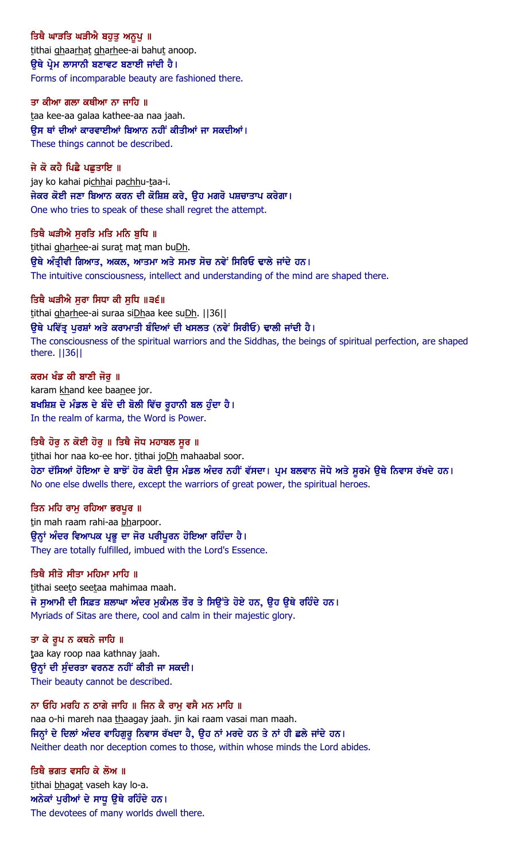ਤਿਥੈ ਘਾੜਤਿ ਘੜੀਐ ਬਹੁਤੂ ਅਨੁਪੁ ॥ tithai ghaarhat gharhee-ai bahut anoop. ਉਥੇ ਪ੍ਰੇਮ ਲਾਸਾਨੀ ਬਣਾਵਟ ਬਣਾਈ ਜਾਂਦੀ ਹੈ। Forms of incomparable beauty are fashioned there.

ਤਾ ਕੀਆ ਗਲਾ ਕਥੀਆ ਨਾ ਜਾਹਿ ॥ taa kee-aa galaa kathee-aa naa jaah. ਉਸ ਥਾਂ ਦੀਆਂ ਕਾਰਵਾਈਆਂ ਬਿਆਨ ਨਹੀਂ ਕੀਤੀਆਂ ਜਾ ਸਕਦੀਆਂ। These things cannot be described.

ਜੇ ਕੋ ਕਹੈ ਪਿਛੈ ਪਛਤਾਇ ॥ jay ko kahai pichhai pachhu-taa-i. ਜੇਕਰ ਕੋਈ ਜਣਾ ਬਿਆਨ ਕਰਨ ਦੀ ਕੋਸ਼ਿਸ਼ ਕਰੇ, ਉਹ ਮਗਰੋ ਪਸ਼ਚਾਤਾਪ ਕਰੇਗਾ। One who tries to speak of these shall regret the attempt.

ਤਿਥੈ ਘੜੀਐ ਸੂਰਤਿ ਮਤਿ ਮਨਿ ਬੁਧਿ ॥ tithai gharhee-ai surat mat man buDh. ਉਥੇ ਅੰਤ੍ਰੀਵੀ ਗਿਆਤ, ਅਕਲ, ਆਤਮਾ ਅਤੇ ਸਮਝ ਸੋਚ ਨਵੇਂ ਸਿਰਿਓ ਢਾਲੇ ਜਾਂਦੇ ਹਨ। The intuitive consciousness, intellect and understanding of the mind are shaped there.

ਤਿਥੈ ਘੜੀਐ ਸੁਰਾ ਸਿਧਾ ਕੀ ਸੁਧਿ ॥੩੬॥ tithai gharhee-ai suraa siDhaa kee suDh. | | 36 | | ਉਥੇ ਪਵਿੱਤ੍ਰ ਪੁਰਸ਼ਾਂ ਅਤੇ ਕਰਾਮਾਤੀ ਬੰਦਿਆਂ ਦੀ ਖਸਲਤ (ਨਵੇਂ ਸਿਰੀਓ) ਢਾਲੀ ਜਾਂਦੀ ਹੈ। The consciousness of the spiritual warriors and the Siddhas, the beings of spiritual perfection, are shaped there. ||36||

ਕਰਮ ਖੰਡ ਕੀ ਬਾਣੀ ਜੋਰੁ ॥ karam khand kee baanee jor. ਬਖਸ਼ਿਸ਼ ਦੇ ਮੰਡਲ ਦੇ ਬੰਦੇ ਦੀ ਬੋਲੀ ਵਿੱਚ ਰੁਹਾਨੀ ਬਲ ਹੁੰਦਾ ਹੈ। In the realm of karma, the Word is Power.

ਤਿਥੈ ਹੋਰੂ ਨ ਕੋਈ ਹੋਰੂ ॥ ਤਿਥੈ ਜੋਧ ਮਹਾਬਲ ਸੂਰ ॥ tithai hor naa ko-ee hor. tithai joDh mahaabal soor. ਹੇਠਾ ਦੱਸਿਆਂ ਹੋਇਆ ਦੇ ਬਾਝੋਂ ਹੋਰ ਕੋਈ ਉਸ ਮੰਡਲ ਅੰਦਰ ਨਹੀਂ ਵੱਸਦਾ। ਪ੍ਰਮ ਬਲਵਾਨ ਜੋਧੇ ਅਤੇ ਸੁਰਮੇ ਉਥੇ ਨਿਵਾਸ ਰੱਖਦੇ ਹਨ। No one else dwells there, except the warriors of great power, the spiritual heroes.

ਤਿਨ ਮਹਿ ਰਾਮ ਰਹਿਆ ਭਰਪੁਰ ॥ tin mah raam rahi-aa bharpoor. ਉਨ੍ਹਾਂ ਅੰਦਰ ਵਿਆਪਕ ਪ੍ਰਭੂ ਦਾ ਜੋਰ ਪਰੀਪੂਰਨ ਹੋਇਆ ਰਹਿੰਦਾ ਹੈ। They are totally fulfilled, imbued with the Lord's Essence.

ਤਿਥੈ ਸੀਤੋ ਸੀਤਾ ਮਹਿਮਾ ਮਾਹਿ ॥ tithai seeto seetaa mahimaa maah. ਜੋ ਸੁਆਮੀ ਦੀ ਸਿਫ਼ਤ ਸ਼ਲਾਘਾ ਅੰਦਰ ਮੁਕੰਮਲ ਤੌਰ ਤੇ ਸਿਉਂਤੇ ਹੋਏ ਹਨ, ਉਹ ਉਥੇ ਰਹਿੰਦੇ ਹਨ। Myriads of Sitas are there, cool and calm in their majestic glory.

ਤਾ ਕੇ ਰੂਪ ਨ ਕਥਨੇ ਜਾਹਿ ॥ taa kay roop naa kathnay jaah. ਉਨ੍ਹਾਂ ਦੀ ਸੁੰਦਰਤਾ ਵਰਨਣ ਨਹੀਂ ਕੀਤੀ ਜਾ ਸਕਦੀ। Their beauty cannot be described.

ਨਾ ਓਹਿ ਮਰਹਿ ਨ ਠਾਗੇ ਜਾਹਿ ॥ ਜਿਨ ਕੈ ਰਾਮ ਵਸੈ ਮਨ ਮਾਹਿ ॥ naa o-hi mareh naa thaagay jaah. jin kai raam vasai man maah. ਜਿਨ੍ਹਾਂ ਦੇ ਦਿਲਾਂ ਅੰਦਰ ਵਾਹਿਗੁਰੂ ਨਿਵਾਸ ਰੱਖਦਾ ਹੈ, ਉਹ ਨਾਂ ਮਰਦੇ ਹਨ ਤੇ ਨਾਂ ਹੀ ਛਲੇ ਜਾਂਦੇ ਹਨ। Neither death nor deception comes to those, within whose minds the Lord abides.

ਤਿਥੈ ਭਗਤ ਵਸਹਿ ਕੇ ਲੋਅ ॥ tithai bhagat vaseh kay lo-a. ਅਨੇਕਾਂ ਪੁਰੀਆਂ ਦੇ ਸਾਧੁ ਉਥੇ ਰਹਿੰਦੇ ਹਨ। The devotees of many worlds dwell there.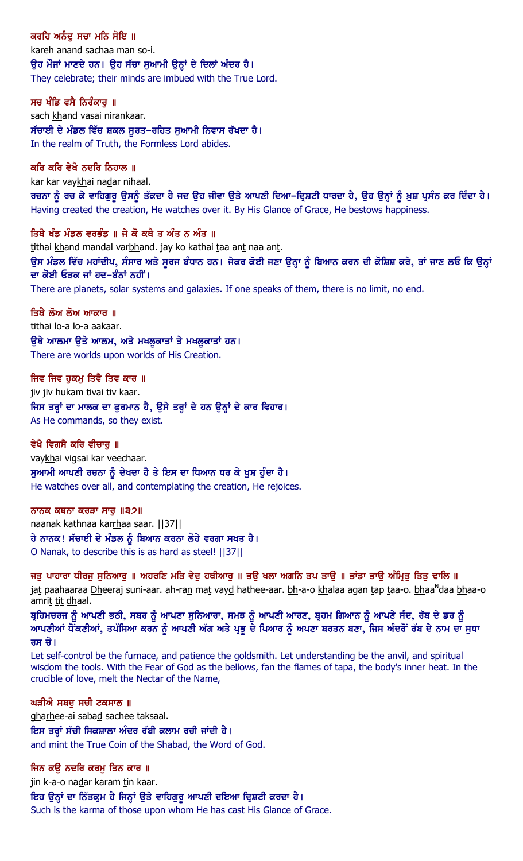ਕਰਹਿ ਅਨੰਦ ਸਚਾ ਮਨਿ ਸੋਇ ॥ kareh anand sachaa man so-i. ਉਹ ਮੌਜਾਂ ਮਾਣਦੇ ਹਨ। ਉਹ ਸੱਚਾ ਸੁਆਮੀ ਉਨ੍ਹਾਂ ਦੇ ਦਿਲਾਂ ਅੰਦਰ ਹੈ। They celebrate; their minds are imbued with the True Lord.

ਸਚ ਖੰਡਿ ਵਸੈ ਨਿਰੰਕਾਰ ॥ sach khand vasai nirankaar. ਸੱਚਾਈ ਦੇ ਮੰਡਲ ਵਿੱਚ ਸ਼ਕਲ ਸੁਰਤ–ਰਹਿਤ ਸੁਆਮੀ ਨਿਵਾਸ ਰੱਖਦਾ ਹੈ। In the realm of Truth, the Formless Lord abides.

#### ਕਰਿ ਕਰਿ ਵੇਖੈ ਨਦਰਿ ਨਿਹਾਲ ॥

kar kar vaykhai nadar nihaal.

ਰਚਨਾ ਨੂੰ ਰਚ ਕੇ ਵਾਹਿਗੁਰੂ ਉਸਨੂੰ ਤੱਕਦਾ ਹੈ ਜਦ ਉਹ ਜੀਵਾ ਉਤੇ ਆਪਣੀ ਦਿਆ–ਦ੍ਰਿਸ਼ਟੀ ਧਾਰਦਾ ਹੈ, ਉਹ ਉਨ੍ਹਾਂ ਨੂੰ ਖ਼ੁਸ਼ ਪ੍ਰਸੰਨ ਕਰ ਦਿੰਦਾ ਹੈ। Having created the creation, He watches over it. By His Glance of Grace, He bestows happiness.

#### ਤਿਥੈ ਖੰਡ ਮੰਡਲ ਵਰਭੰਡ ॥ ਜੇ ਕੋ ਕਥੈ ਤ ਅੰਤ ਨ ਅੰਤ ॥

tithai khand mandal varbhand. jay ko kathai taa ant naa ant. ਉਸ ਮੰਡਲ ਵਿੱਚ ਮਹਾਂਦੀਪ, ਸੰਸਾਰ ਅਤੇ ਸੁਰਜ ਬੰਧਾਨ ਹਨ। ਜੇਕਰ ਕੋਈ ਜਣਾ ਉਨ੍ਹਾ ਨੂੰ ਬਿਆਨ ਕਰਨ ਦੀ ਕੋਸ਼ਿਸ਼ ਕਰੇ, ਤਾਂ ਜਾਣ ਲਓ ਕਿ ਉਨ੍ਹਾਂ ਦਾ ਕੋਈ ਓੜਕ ਜਾਂ ਹਦ–ਬੰਨਾਂ ਨਹੀਂ। There are planets, solar systems and galaxies. If one speaks of them, there is no limit, no end.

ਤਿਥੈ ਲੋਅ ਲੋਅ ਆਕਾਰ ॥

tithai lo-a lo-a aakaar. ੳਥੇ ਆਲਮਾ ੳਤੇ ਆਲਮ, ਅਤੇ ਮਖਲਕਾਤਾਂ ਤੇ ਮਖਲਕਾਤਾਂ ਹਨ। There are worlds upon worlds of His Creation.

### ਜਿਵ ਜਿਵ ਹੁਕਮੂ ਤਿਵੈ ਤਿਵ ਕਾਰ ॥

jiv jiv hukam tivai tiv kaar. ਜਿਸ ਤਰ੍ਹਾਂ ਦਾ ਮਾਲਕ ਦਾ ਫੁਰਮਾਨ ਹੈ, ਉਸੇ ਤਰ੍ਹਾਂ ਦੇ ਹਨ ਉਨ੍ਹਾਂ ਦੇ ਕਾਰ ਵਿਹਾਰ। As He commands, so they exist.

### ਵੇਖੈ ਵਿਗਸੈ ਕਰਿ ਵੀਚਾਰੂ ॥

vaykhai vigsai kar veechaar. ਸੁਆਮੀ ਆਪਣੀ ਰਚਨਾ ਨੂੰ ਦੇਖਦਾ ਹੈ ਤੇ ਇਸ ਦਾ ਧਿਆਨ ਧਰ ਕੇ ਖੁਸ਼ ਹੁੰਦਾ ਹੈ। He watches over all, and contemplating the creation, He rejoices.

### ਨਾਨਕ ਕਥਨਾ ਕਰੜਾ ਸਾਰੁ ॥੩੭॥

naanak kathnaa karrhaa saar. | 37 | | ਹੇ ਨਾਨਕ ! ਸੱਚਾਈ ਦੇ ਮੰਡਲ ਨੂੰ ਬਿਆਨ ਕਰਨਾ ਲੋਹੇ ਵਰਗਾ ਸਖਤ ਹੈ। O Nanak, to describe this is as hard as steel! ||37||

ਜਤੂ ਪਾਹਾਰਾ ਧੀਰਜੂ ਸੁਨਿਆਰੂ ॥ ਅਹਰਣਿ ਮਤਿ ਵੇਦੂ ਹਥੀਆਰੂ ॥ ਭਉ ਖਲਾ ਅਗਨਿ ਤਪ ਤਾਉ ॥ ਭਾਂਡਾ ਭਾਉ ਅੰਮ੍ਰਿਤੂ ਤਿਤੂ ਢਾਲਿ ॥ ja<u>t</u> paahaaraa <u>Dh</u>eeraj suni-aar. ah-ra<u>n</u> ma<u>t</u> vay<u>d</u> hathee-aar. <u>bh</u>-a-o <u>kh</u>alaa agan <u>t</u>ap <u>t</u>aa-o. <u>bh</u>aa<sup>n</sup>daa <u>bh</u>aa-o amrit tit dhaal.

ਬੁਹਿਮਚਰਜ ਨੂੰ ਆਪਣੀ ਭਠੀ, ਸਬਰ ਨੂੰ ਆਪਣਾ ਸੁਨਿਆਰਾ, ਸਮਝ ਨੂੰ ਆਪਣੀ ਆਰਣ, ਬ੍ਰਹਮ ਗਿਆਨ ਨੂੰ ਆਪਣੇ ਸੰਦ, ਰੱਬ ਦੇ ਡਰ ਨੂੰ ਆਪਣੀਆਂ ਧੋਂਕਣੀਆਂ, ਤਪੱਸਿਆ ਕਰਨ ਨੂੰ ਆਪਣੀ ਅੱਗ ਅਤੇ ਪ੍ਰਭੂ ਦੇ ਪਿਆਰ ਨੂੰ ਅਪਣਾ ਬਰਤਨ ਬਣਾ, ਜਿਸ ਅੰਦਰੋਂ ਰੱਬ ਦੇ ਨਾਮ ਦਾ ਸੁਧਾ ਰਸ ਚੋ।

Let self-control be the furnace, and patience the goldsmith. Let understanding be the anvil, and spiritual wisdom the tools. With the Fear of God as the bellows, fan the flames of tapa, the body's inner heat. In the crucible of love, melt the Nectar of the Name,

### ਘੜੀਐ ਸਬਦੂ ਸਚੀ ਟਕਸਾਲ ॥

gharhee-ai sabad sachee taksaal. ਇਸ ਤਰ੍ਹਾਂ ਸੱਚੀ ਸਿਕਸ਼ਾਲਾ ਅੰਦਰ ਰੱਬੀ ਕਲਾਮ ਰਚੀ ਜਾਂਦੀ ਹੈ। and mint the True Coin of the Shabad, the Word of God.

ਜਿਨ ਕਉ ਨਦਰਿ ਕਰਮੂ ਤਿਨ ਕਾਰ ॥ jin k-a-o nadar karam tin kaar. ਇਹ ਉਨ੍ਹਾਂ ਦਾ ਨਿੱਤਕ੍ਰਮ ਹੈ ਜਿਨ੍ਹਾਂ ਉਤੇ ਵਾਹਿਗੁਰੂ ਆਪਣੀ ਦਇਆ ਦ੍ਰਿਸ਼ਟੀ ਕਰਦਾ ਹੈ। Such is the karma of those upon whom He has cast His Glance of Grace.